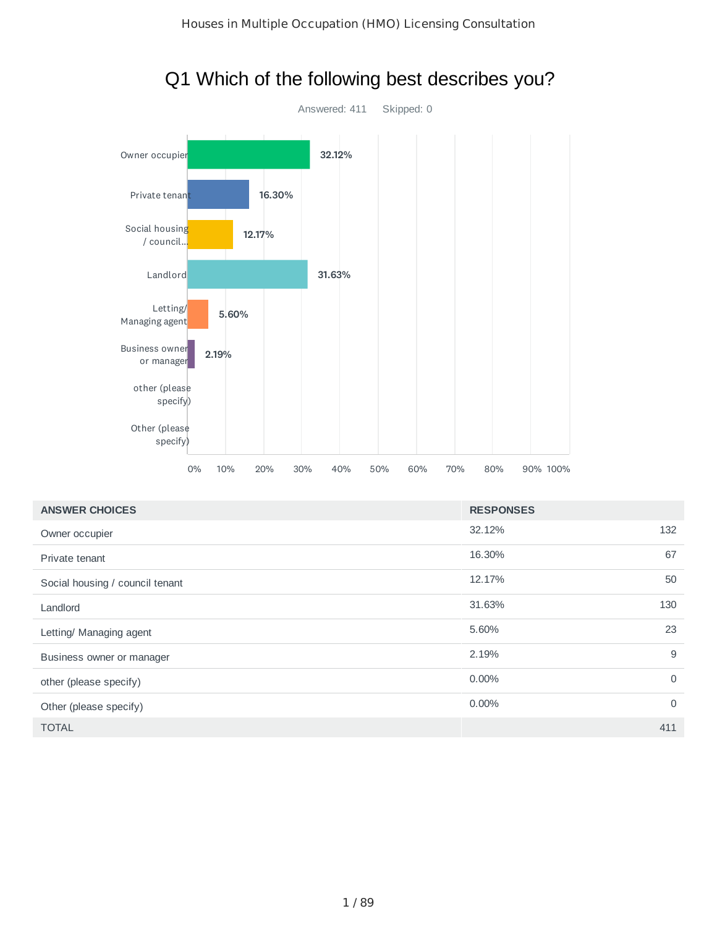

## Q1 Which of the following best describes you?

| <b>ANSWER CHOICES</b>           | <b>RESPONSES</b> |             |
|---------------------------------|------------------|-------------|
| Owner occupier                  | 32.12%           | 132         |
| Private tenant                  | 16.30%           | 67          |
| Social housing / council tenant | 12.17%           | 50          |
| Landlord                        | 31.63%           | 130         |
| Letting/ Managing agent         | 5.60%            | 23          |
| Business owner or manager       | 2.19%            | 9           |
| other (please specify)          | 0.00%            | $\mathbf 0$ |
| Other (please specify)          | $0.00\%$         | $\mathbf 0$ |
| <b>TOTAL</b>                    |                  | 411         |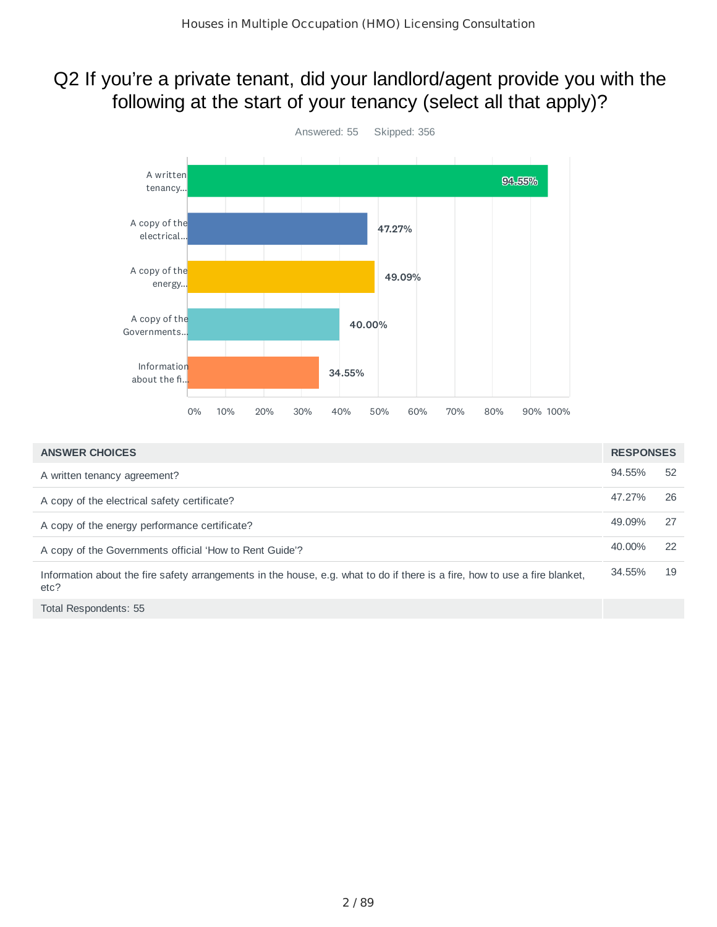## Q2 If you're a private tenant, did your landlord/agent provide you with the following at the start of your tenancy (select all that apply)?



| <b>ANSWER CHOICES</b>                                                                                                               | <b>RESPONSES</b> |    |
|-------------------------------------------------------------------------------------------------------------------------------------|------------------|----|
| A written tenancy agreement?                                                                                                        | 94.55%           | 52 |
| A copy of the electrical safety certificate?                                                                                        | 47.27%           | 26 |
| A copy of the energy performance certificate?                                                                                       | 49.09%           | 27 |
| A copy of the Governments official 'How to Rent Guide'?                                                                             | 40.00%           | 22 |
| Information about the fire safety arrangements in the house, e.g. what to do if there is a fire, how to use a fire blanket,<br>etc? | 34.55%           | 19 |
| Total Respondents: 55                                                                                                               |                  |    |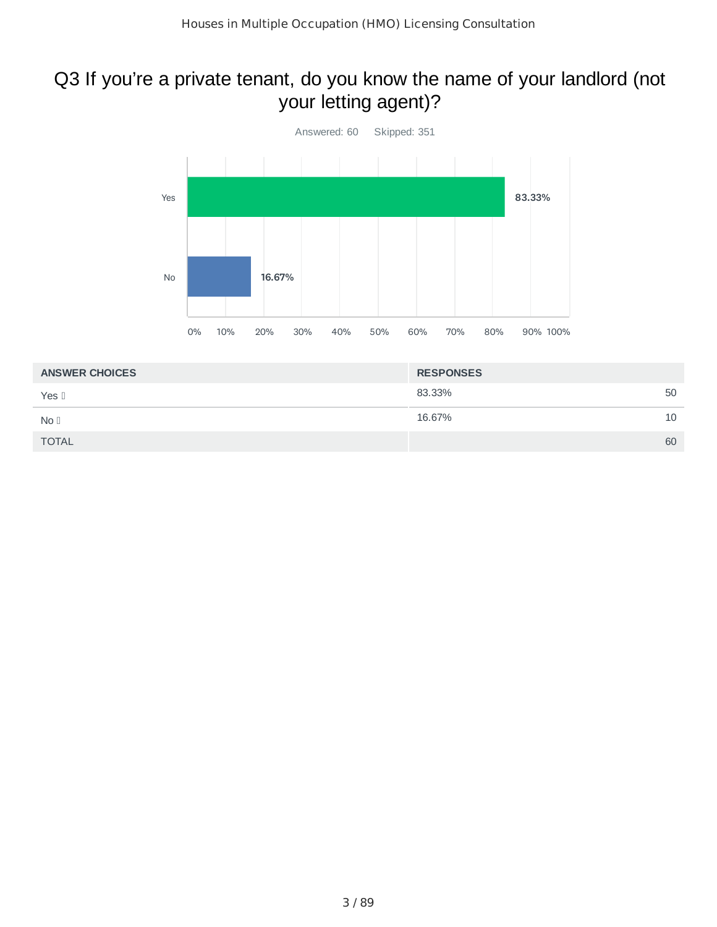## Q3 If you're a private tenant, do you know the name of your landlord (not your letting agent)?



| <b>ANSWER CHOICES</b> | <b>RESPONSES</b> |    |
|-----------------------|------------------|----|
| Yes II                | 83.33%           | 50 |
| No <sub>1</sub>       | 16.67%           | 10 |
| <b>TOTAL</b>          |                  | 60 |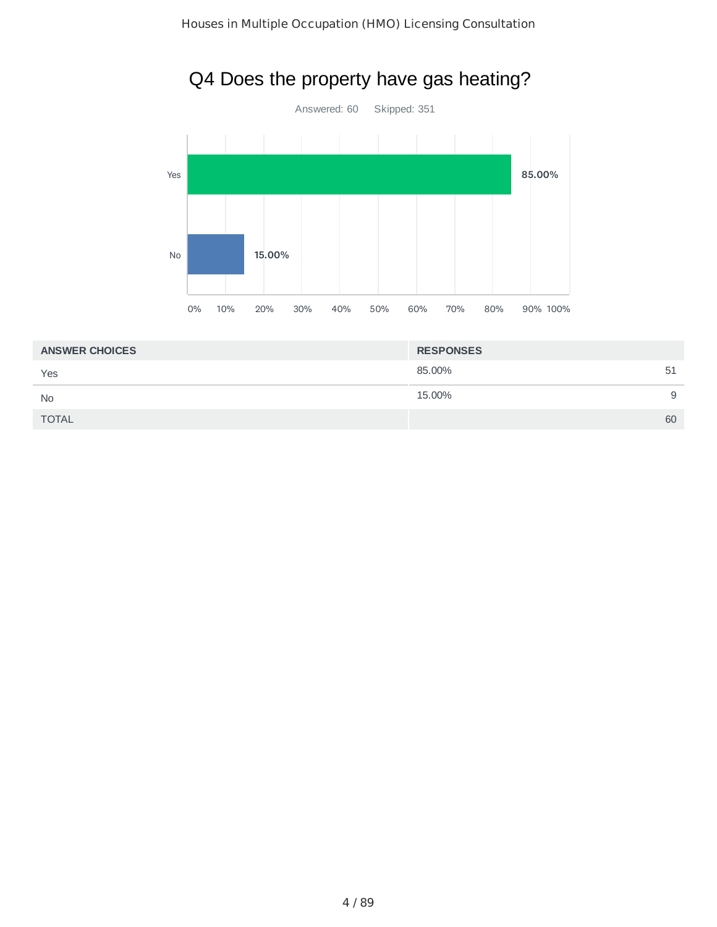

## Q4 Does the property have gas heating?

| <b>ANSWER CHOICES</b> | <b>RESPONSES</b> |    |
|-----------------------|------------------|----|
| Yes                   | 85.00%           | 51 |
| <b>No</b>             | 15.00%           | 9  |
| <b>TOTAL</b>          |                  | 60 |
|                       |                  |    |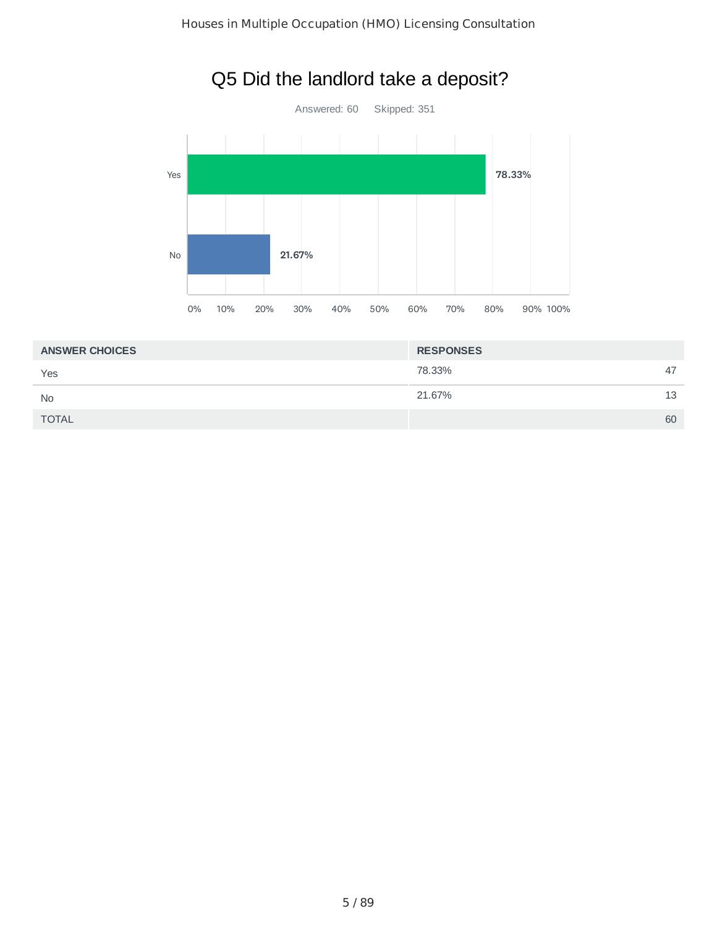

## Q5 Did the landlord take a deposit?

| <b>ANSWER CHOICES</b> | <b>RESPONSES</b> |    |
|-----------------------|------------------|----|
| Yes                   | 78.33%           | 47 |
| <b>No</b>             | 21.67%           | 13 |
| <b>TOTAL</b>          |                  | 60 |
|                       |                  |    |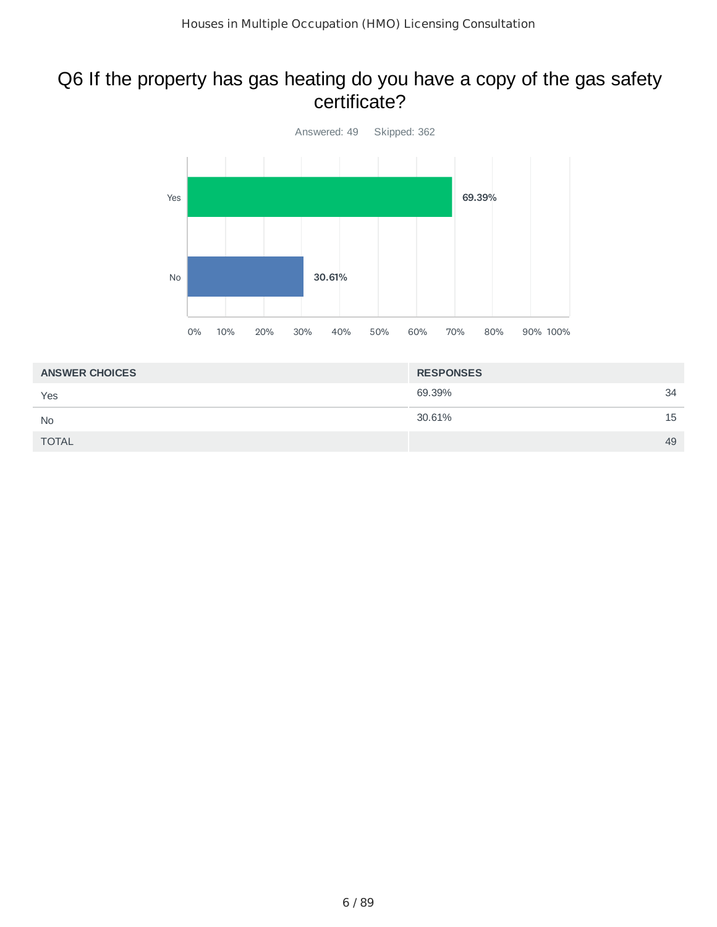### Q6 If the property has gas heating do you have a copy of the gas safety certificate?



| <b>ANSWER CHOICES</b> | <b>RESPONSES</b> |    |
|-----------------------|------------------|----|
| Yes                   | 69.39%           | 34 |
| <b>No</b>             | 30.61%           | 15 |
| <b>TOTAL</b>          |                  | 49 |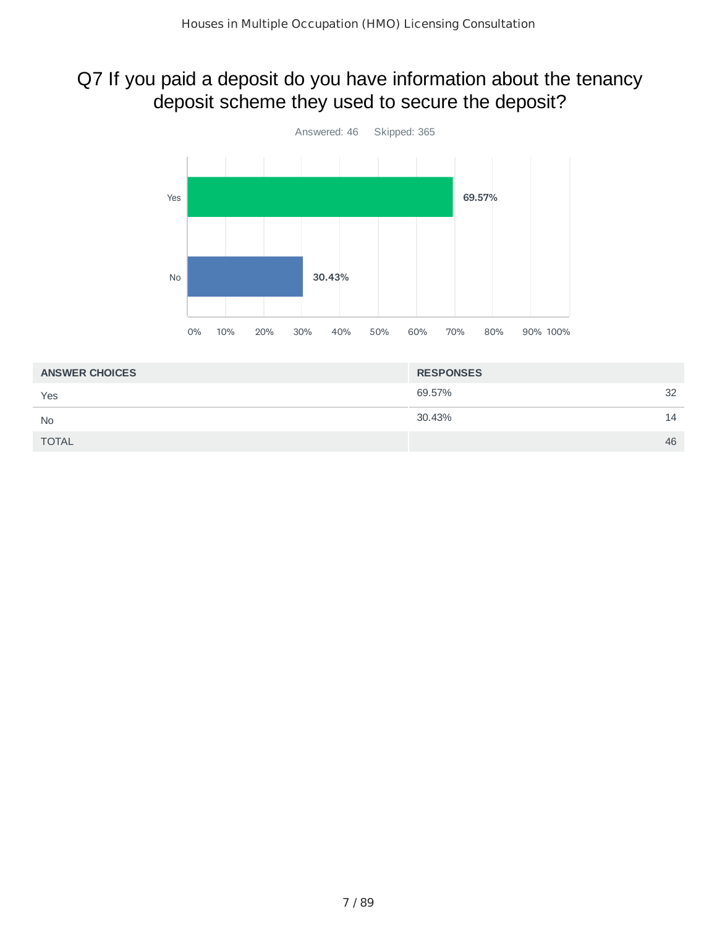## Q7 If you paid a deposit do you have information about the tenancy deposit scheme they used to secure the deposit?



| <b>ANSWER CHOICES</b> | <b>RESPONSES</b> |    |
|-----------------------|------------------|----|
| Yes                   | 69.57%           | 32 |
| <b>No</b>             | 30.43%           | 14 |
| <b>TOTAL</b>          |                  | 46 |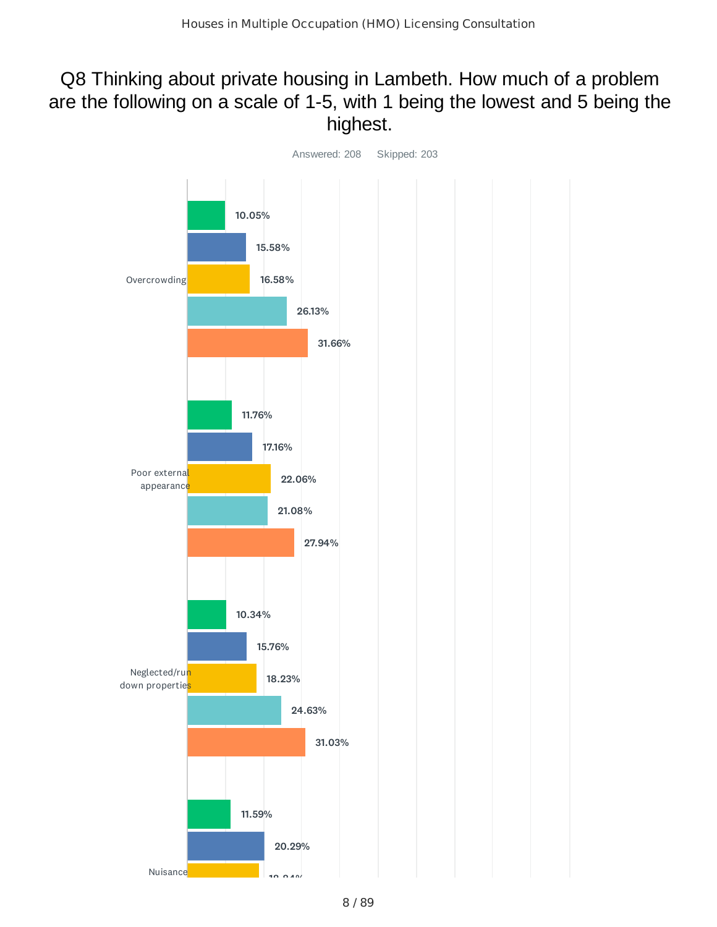## Q8 Thinking about private housing in Lambeth. How much of a problem are the following on a scale of 1-5, with 1 being the lowest and 5 being the highest.

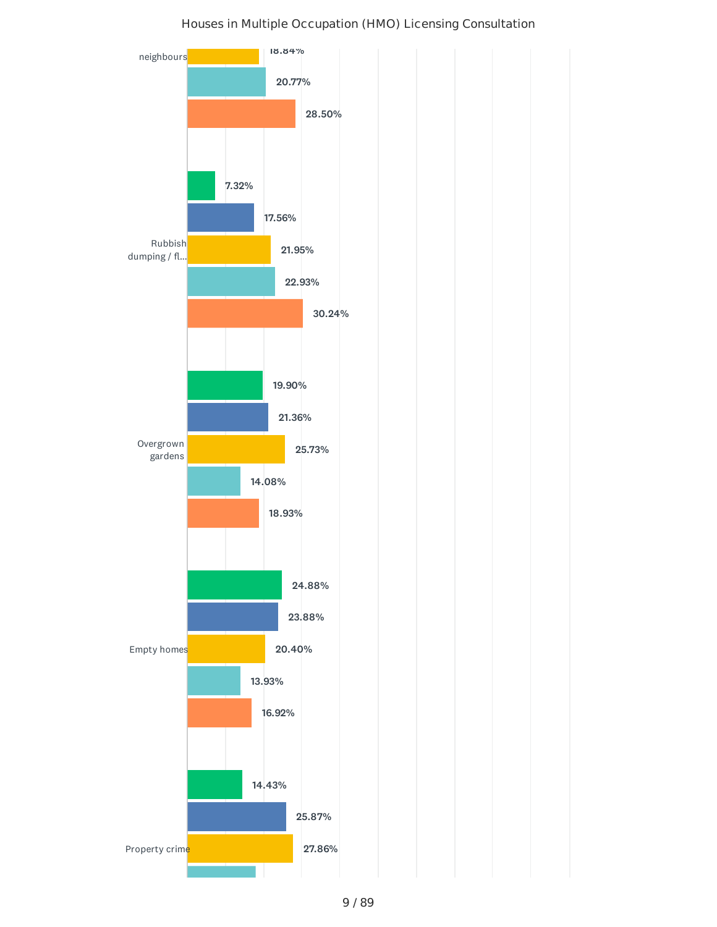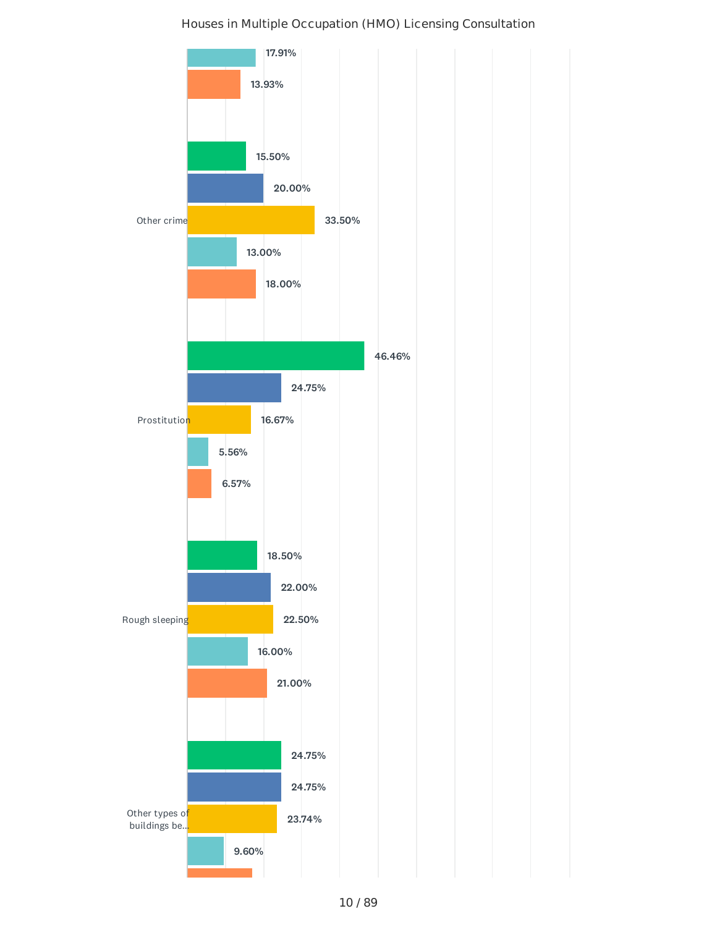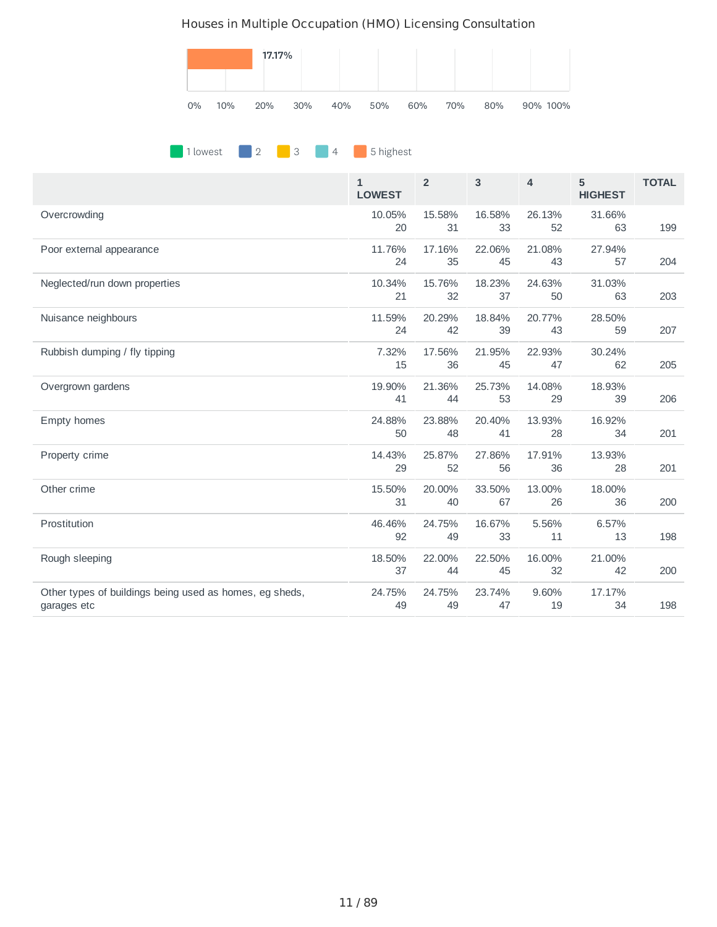

#### **1** lowest 2 3 4 5 highest

|                                                                        | $\mathbf{1}$<br><b>LOWEST</b> | $\overline{2}$ | 3            | 4            | 5<br><b>HIGHEST</b> | <b>TOTAL</b> |
|------------------------------------------------------------------------|-------------------------------|----------------|--------------|--------------|---------------------|--------------|
| Overcrowding                                                           | 10.05%<br>20                  | 15.58%<br>31   | 16.58%<br>33 | 26.13%<br>52 | 31.66%<br>63        | 199          |
| Poor external appearance                                               | 11.76%<br>24                  | 17.16%<br>35   | 22.06%<br>45 | 21.08%<br>43 | 27.94%<br>57        | 204          |
| Neglected/run down properties                                          | 10.34%<br>21                  | 15.76%<br>32   | 18.23%<br>37 | 24.63%<br>50 | 31.03%<br>63        | 203          |
| Nuisance neighbours                                                    | 11.59%<br>24                  | 20.29%<br>42   | 18.84%<br>39 | 20.77%<br>43 | 28.50%<br>59        | 207          |
| Rubbish dumping / fly tipping                                          | 7.32%<br>15                   | 17.56%<br>36   | 21.95%<br>45 | 22.93%<br>47 | 30.24%<br>62        | 205          |
| Overgrown gardens                                                      | 19.90%<br>41                  | 21.36%<br>44   | 25.73%<br>53 | 14.08%<br>29 | 18.93%<br>39        | 206          |
| Empty homes                                                            | 24.88%<br>50                  | 23.88%<br>48   | 20.40%<br>41 | 13.93%<br>28 | 16.92%<br>34        | 201          |
| Property crime                                                         | 14.43%<br>29                  | 25.87%<br>52   | 27.86%<br>56 | 17.91%<br>36 | 13.93%<br>28        | 201          |
| Other crime                                                            | 15.50%<br>31                  | 20.00%<br>40   | 33.50%<br>67 | 13.00%<br>26 | 18.00%<br>36        | 200          |
| Prostitution                                                           | 46.46%<br>92                  | 24.75%<br>49   | 16.67%<br>33 | 5.56%<br>11  | 6.57%<br>13         | 198          |
| Rough sleeping                                                         | 18.50%<br>37                  | 22.00%<br>44   | 22.50%<br>45 | 16.00%<br>32 | 21.00%<br>42        | 200          |
| Other types of buildings being used as homes, eg sheds,<br>garages etc | 24.75%<br>49                  | 24.75%<br>49   | 23.74%<br>47 | 9.60%<br>19  | 17.17%<br>34        | 198          |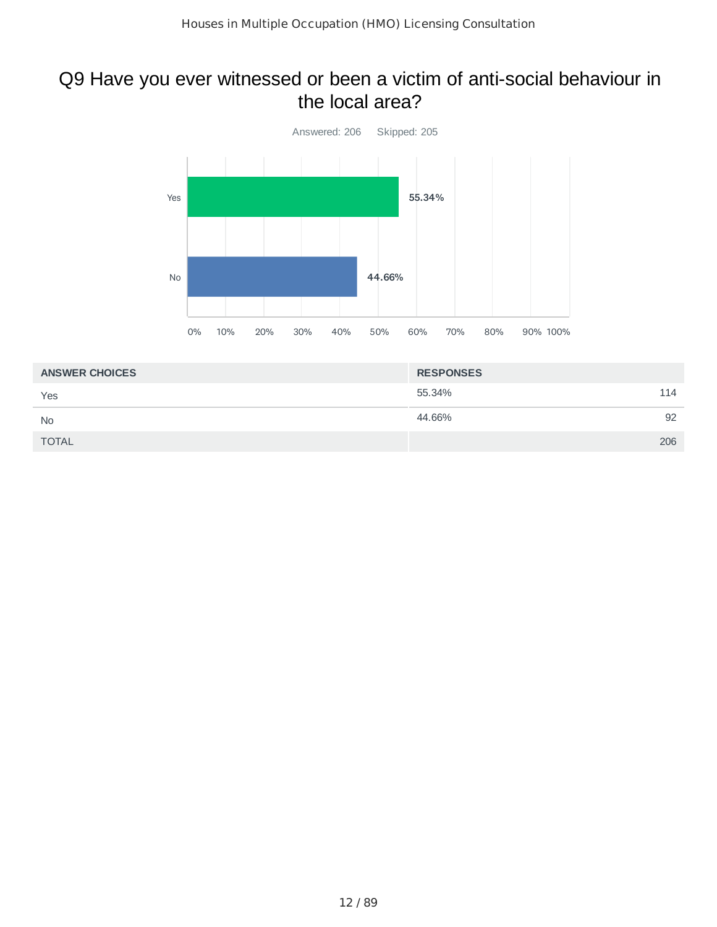### Q9 Have you ever witnessed or been a victim of anti-social behaviour in the local area?



| <b>ANSWER CHOICES</b> | <b>RESPONSES</b> |     |
|-----------------------|------------------|-----|
| Yes                   | 55.34%           | 114 |
| <b>No</b>             | 44.66%           | 92  |
| <b>TOTAL</b>          |                  | 206 |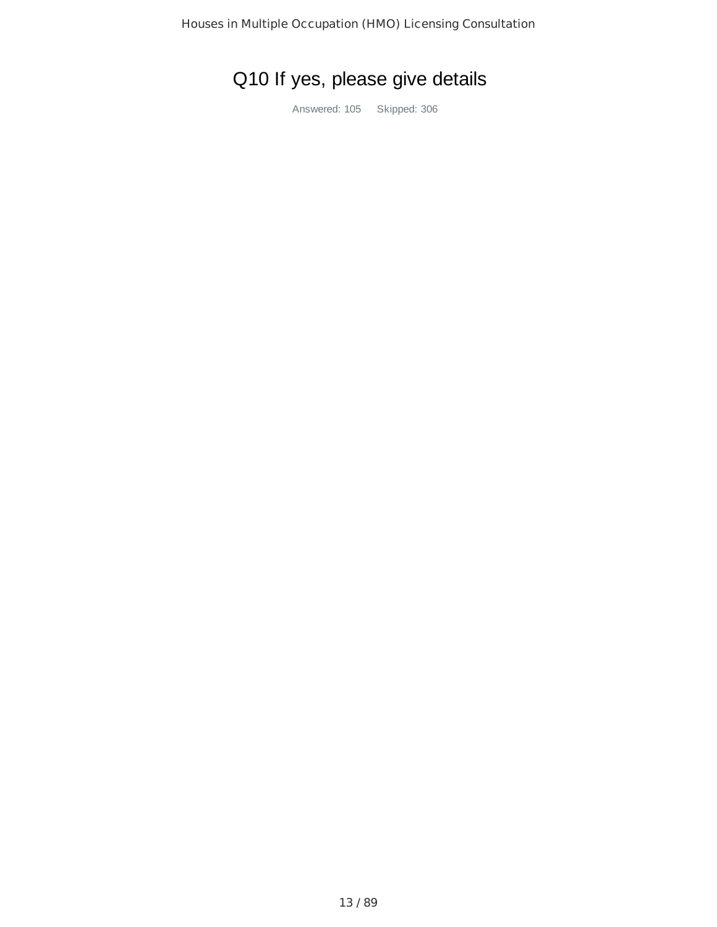# Q10 If yes, please give details

Answered: 105 Skipped: 306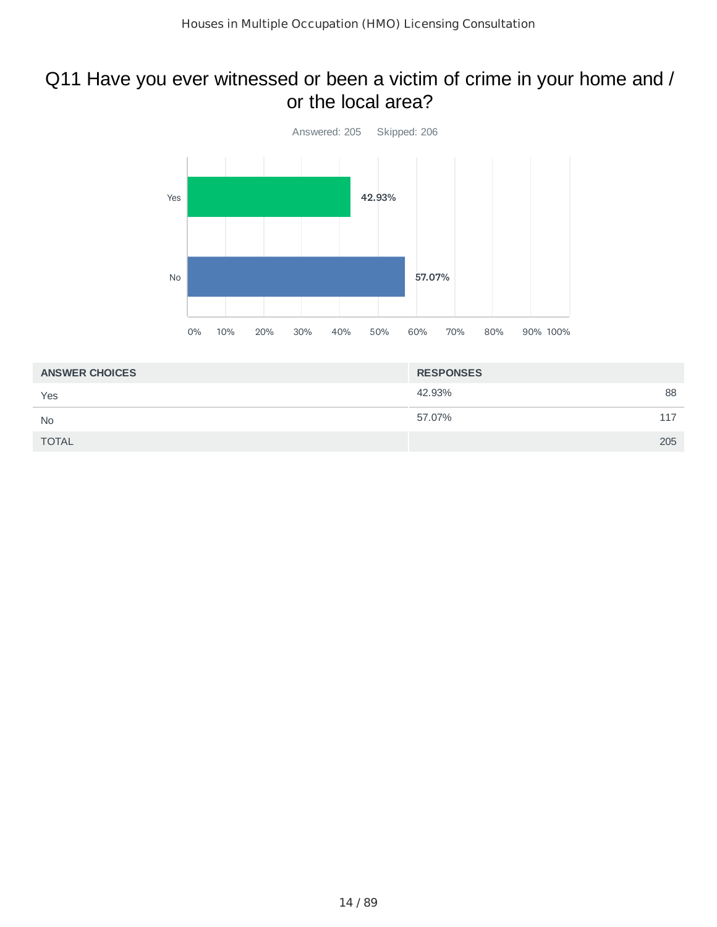### Q11 Have you ever witnessed or been a victim of crime in your home and / or the local area?



| <b>ANSWER CHOICES</b> | <b>RESPONSES</b> |     |
|-----------------------|------------------|-----|
| Yes                   | 42.93%           | 88  |
| <b>No</b>             | 57.07%           | 117 |
| <b>TOTAL</b>          |                  | 205 |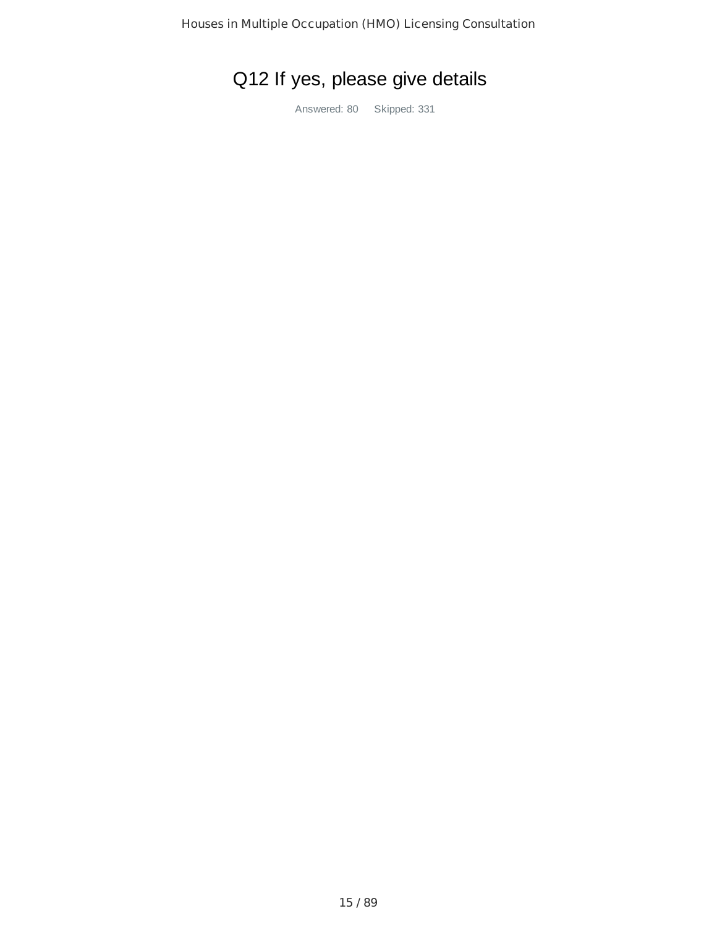# Q12 If yes, please give details

Answered: 80 Skipped: 331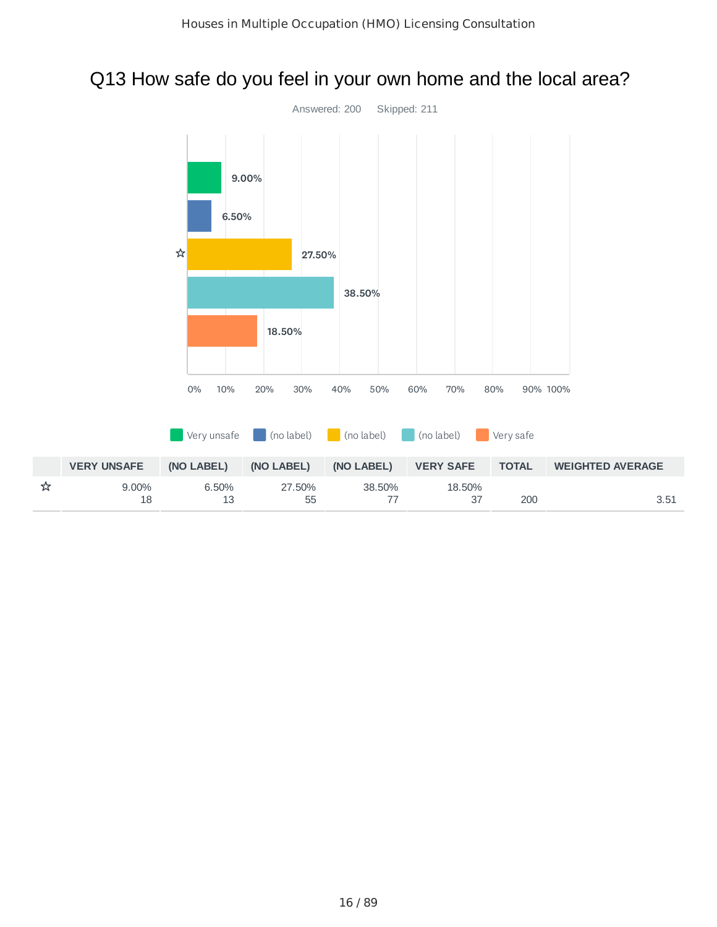## Q13 How safe do you feel in your own home and the local area?

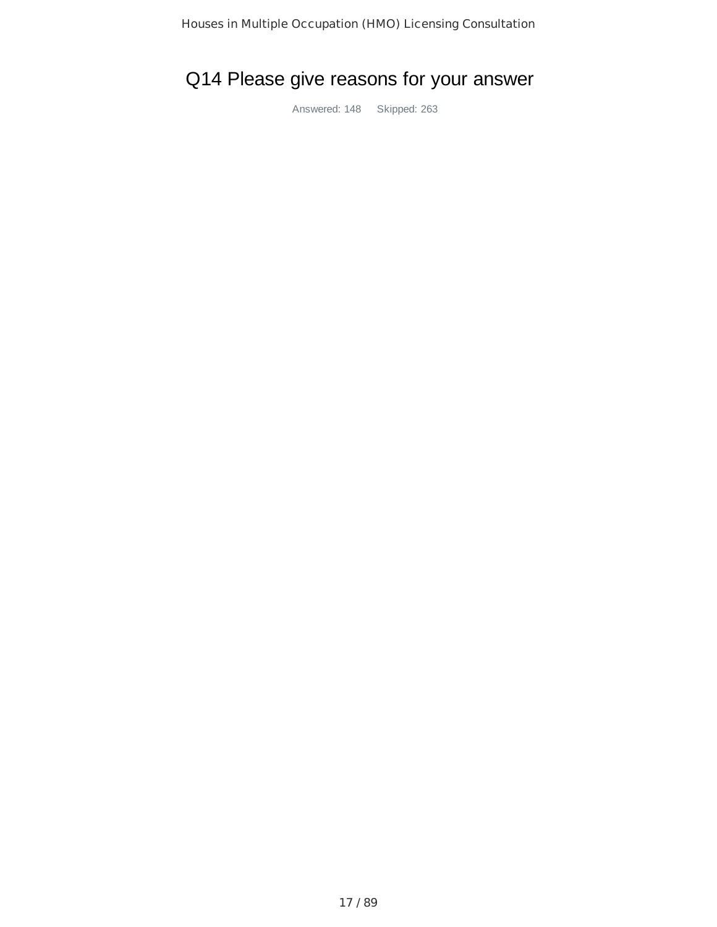## Q14 Please give reasons for your answer

Answered: 148 Skipped: 263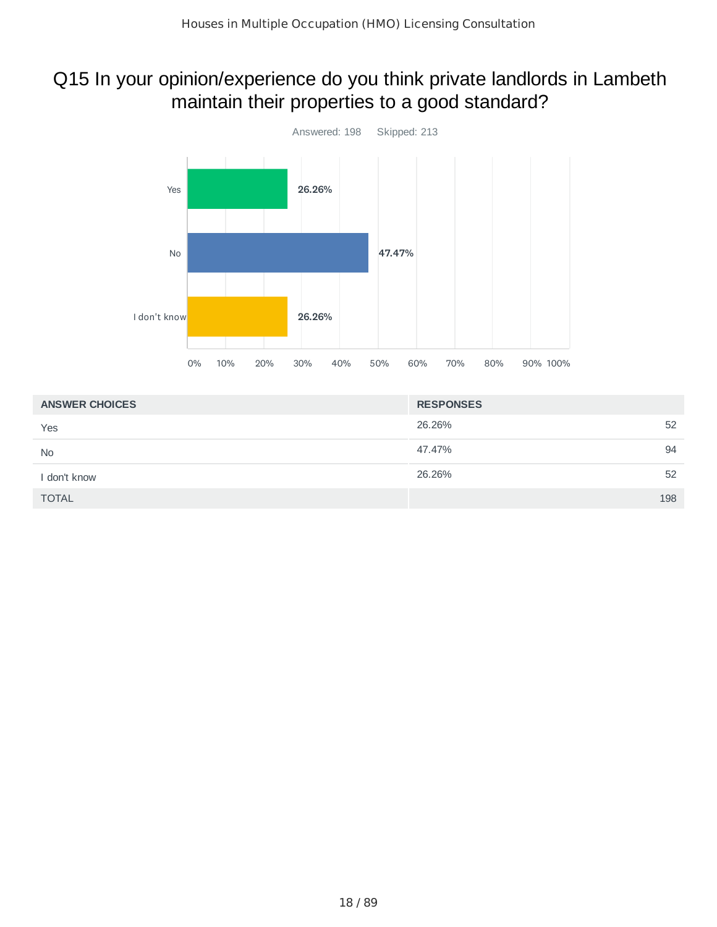## Q15 In your opinion/experience do you think private landlords in Lambeth maintain their properties to a good standard?



| <b>ANSWER CHOICES</b> | <b>RESPONSES</b> |
|-----------------------|------------------|
| Yes                   | 26.26%<br>52     |
| <b>No</b>             | 94<br>47.47%     |
| I don't know          | 26.26%<br>52     |
| <b>TOTAL</b>          | 198              |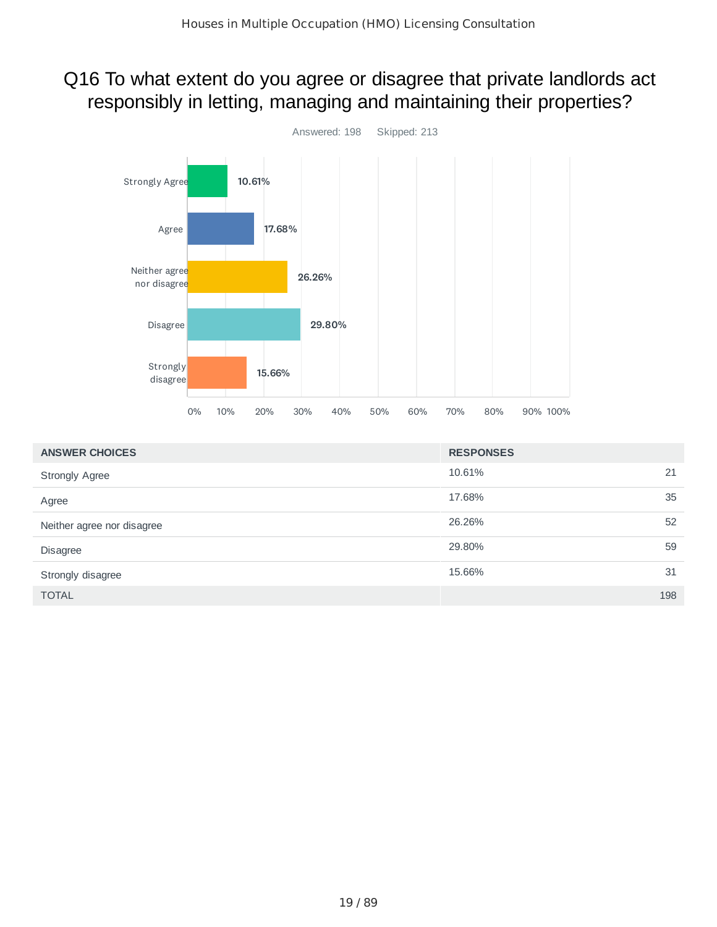## Q16 To what extent do you agree or disagree that private landlords act responsibly in letting, managing and maintaining their properties?



| <b>ANSWER CHOICES</b>      | <b>RESPONSES</b> |     |
|----------------------------|------------------|-----|
| <b>Strongly Agree</b>      | 10.61%           | 21  |
| Agree                      | 17.68%           | 35  |
| Neither agree nor disagree | 26.26%           | 52  |
| <b>Disagree</b>            | 29.80%           | 59  |
| Strongly disagree          | 15.66%           | 31  |
| <b>TOTAL</b>               |                  | 198 |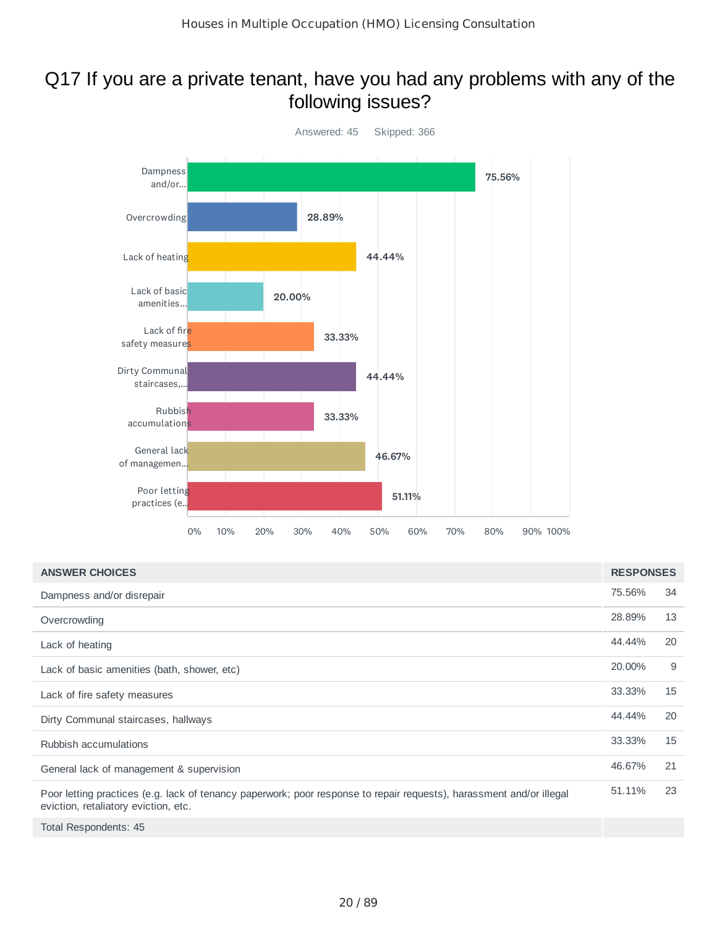### Q17 If you are a private tenant, have you had any problems with any of the following issues?



| <b>ANSWER CHOICES</b>                                                                                                                                        | <b>RESPONSES</b> |    |
|--------------------------------------------------------------------------------------------------------------------------------------------------------------|------------------|----|
| Dampness and/or disrepair                                                                                                                                    | 75.56%           | 34 |
| Overcrowding                                                                                                                                                 | 28.89%           | 13 |
| Lack of heating                                                                                                                                              | 44.44%           | 20 |
| Lack of basic amenities (bath, shower, etc)                                                                                                                  | 20,00%           | 9  |
| Lack of fire safety measures                                                                                                                                 | 33.33%           | 15 |
| Dirty Communal staircases, hallways                                                                                                                          | 44.44%           | 20 |
| Rubbish accumulations                                                                                                                                        | 33.33%           | 15 |
| General lack of management & supervision                                                                                                                     | 46.67%           | 21 |
| Poor letting practices (e.g. lack of tenancy paperwork; poor response to repair requests), harassment and/or illegal<br>eviction, retaliatory eviction, etc. | 51.11%           | 23 |
| Total Respondents: 45                                                                                                                                        |                  |    |

20 / 89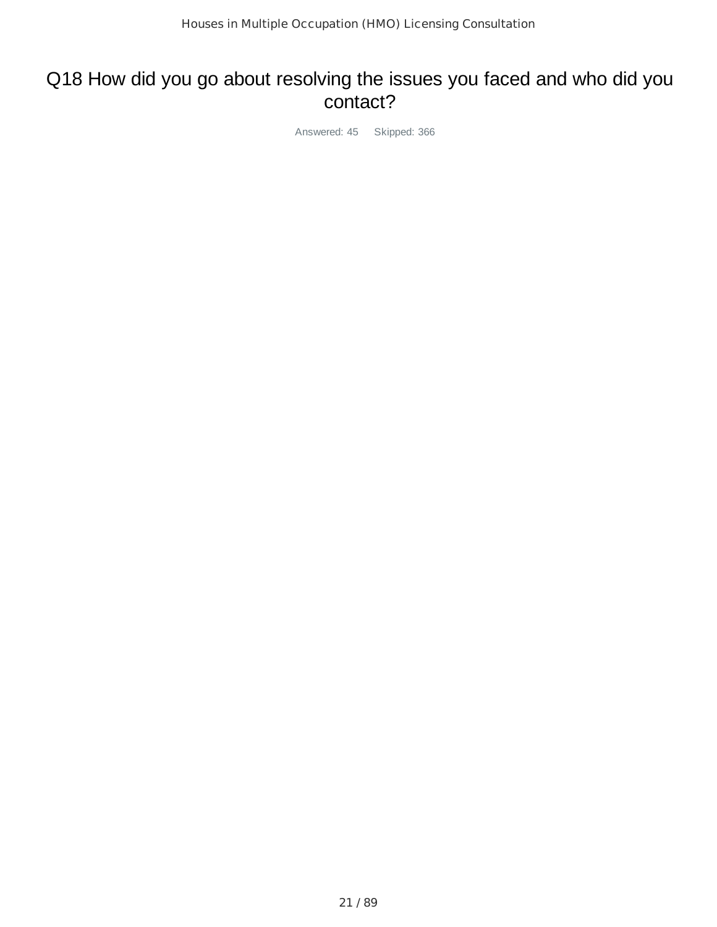### Q18 How did you go about resolving the issues you faced and who did you contact?

Answered: 45 Skipped: 366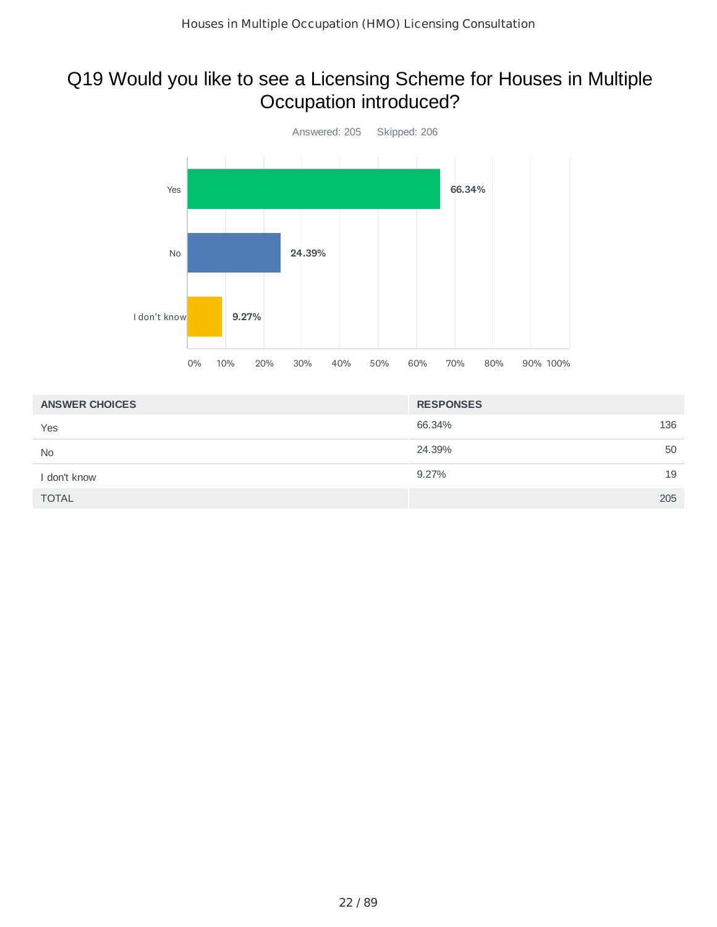## Q19 Would you like to see a Licensing Scheme for Houses in Multiple Occupation introduced?



| <b>ANSWER CHOICES</b> | <b>RESPONSES</b> |
|-----------------------|------------------|
| Yes                   | 136<br>66.34%    |
| <b>No</b>             | 50<br>24.39%     |
| I don't know          | 19<br>9.27%      |
| <b>TOTAL</b>          | 205              |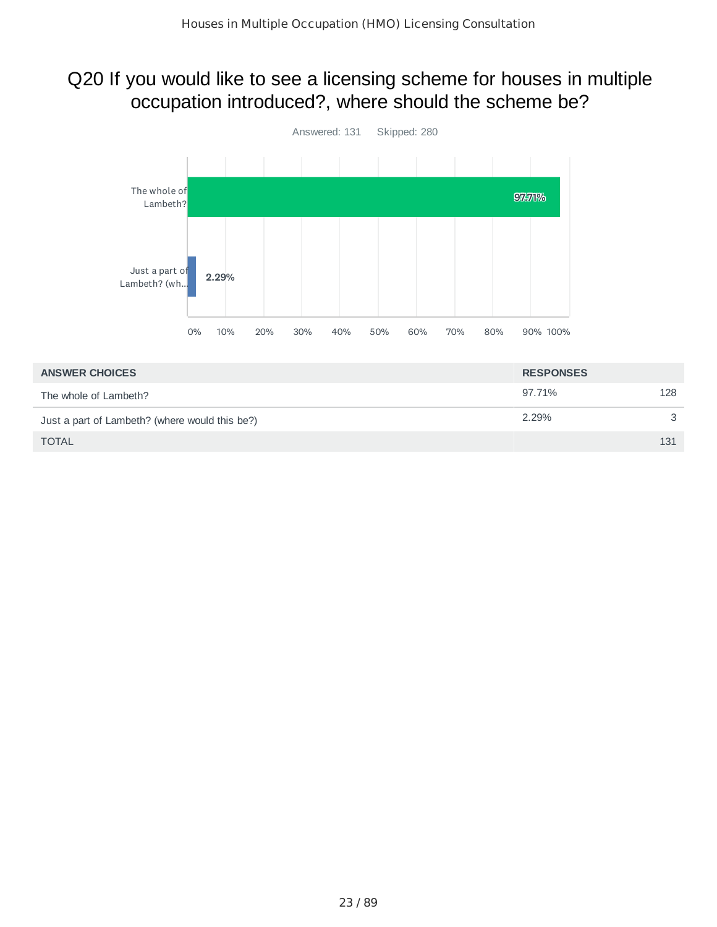## Q20 If you would like to see a licensing scheme for houses in multiple occupation introduced?, where should the scheme be?



| <b>ANSWER CHOICES</b>                          | <b>RESPONSES</b> |     |
|------------------------------------------------|------------------|-----|
| The whole of Lambeth?                          | 97.71%           | 128 |
| Just a part of Lambeth? (where would this be?) | 2.29%            | 3   |
| <b>TOTAL</b>                                   |                  | 131 |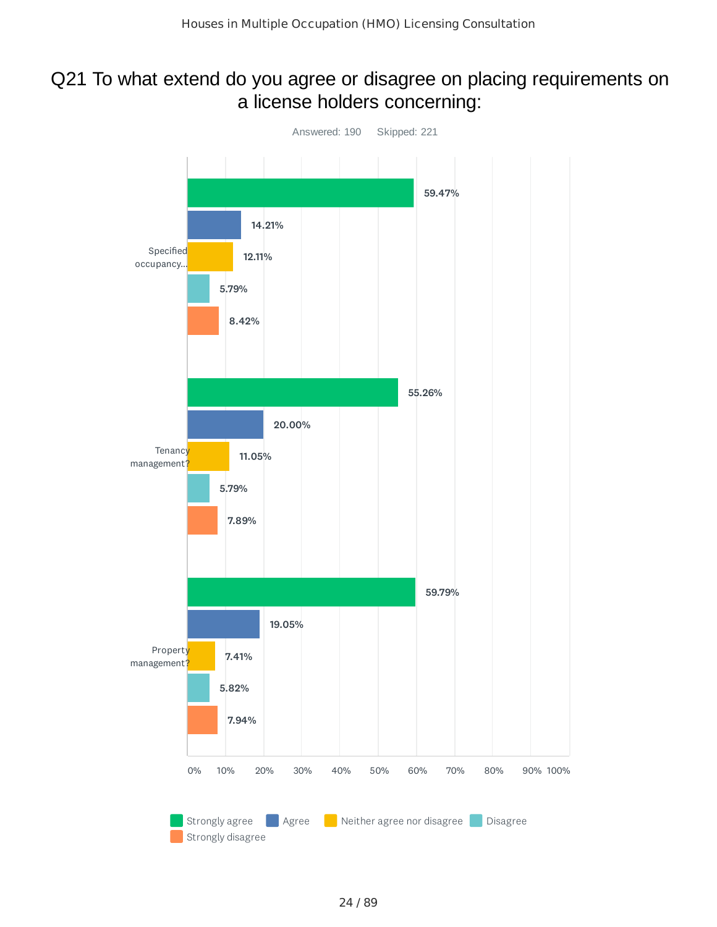### Q21 To what extend do you agree or disagree on placing requirements on a license holders concerning:

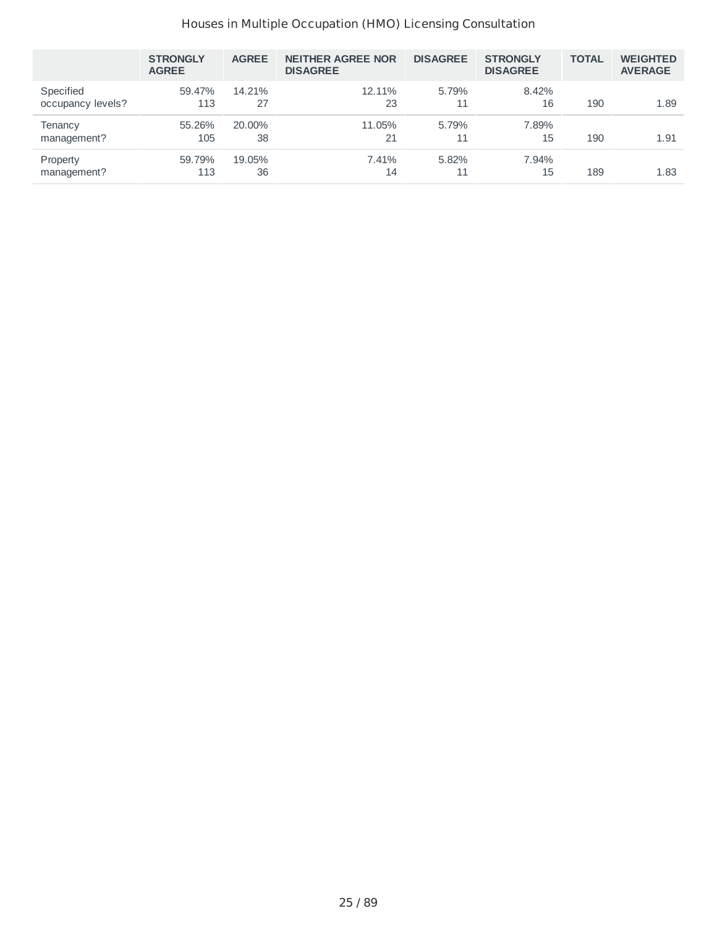|                                | <b>STRONGLY</b><br><b>AGREE</b> | <b>AGREE</b> | <b>NEITHER AGREE NOR</b><br><b>DISAGREE</b> | <b>DISAGREE</b> | <b>STRONGLY</b><br><b>DISAGREE</b> | <b>TOTAL</b> | <b>WEIGHTED</b><br><b>AVERAGE</b> |
|--------------------------------|---------------------------------|--------------|---------------------------------------------|-----------------|------------------------------------|--------------|-----------------------------------|
| Specified<br>occupancy levels? | 59.47%<br>113                   | 14.21%<br>27 | 12.11%<br>23                                | 5.79%<br>11     | 8.42%<br>16                        | 190          | 1.89                              |
| Tenancy<br>management?         | 55.26%<br>105                   | 20.00%<br>38 | 11.05%<br>21                                | 5.79%           | 7.89%<br>15                        | 190          | 1.91                              |
| Property<br>management?        | 59.79%<br>113                   | 19.05%<br>36 | 7.41%<br>14                                 | 5.82%<br>11     | 7.94%<br>15                        | 189          | 1.83                              |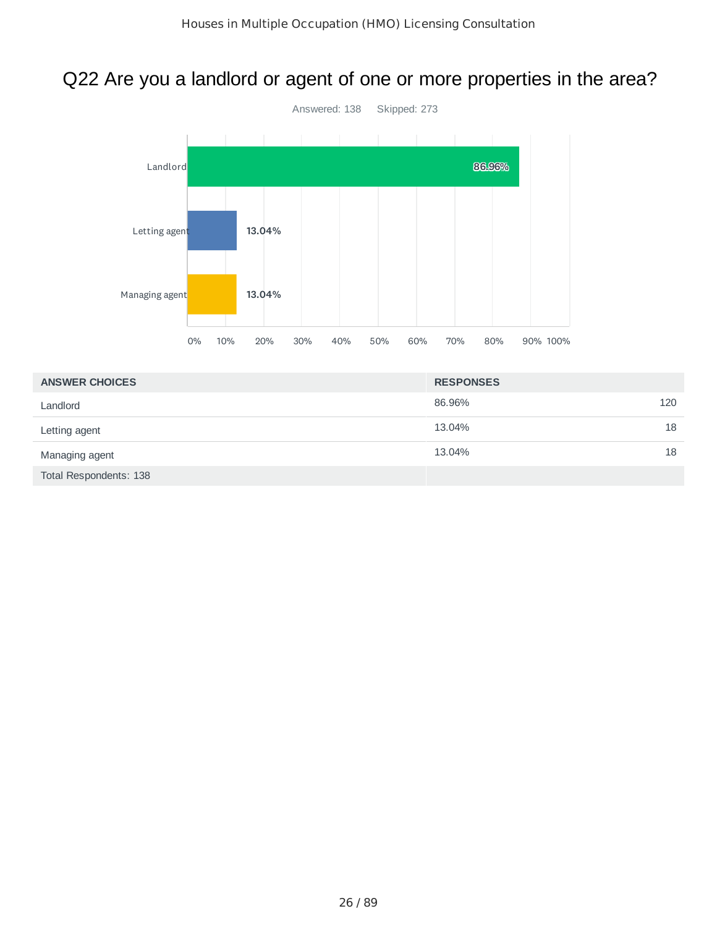## Q22 Are you a landlord or agent of one or more properties in the area?



| <b>ANSWER CHOICES</b>  | <b>RESPONSES</b> |
|------------------------|------------------|
| Landlord               | 86.96%<br>120    |
| Letting agent          | 18<br>13.04%     |
| Managing agent         | 13.04%<br>18     |
| Total Respondents: 138 |                  |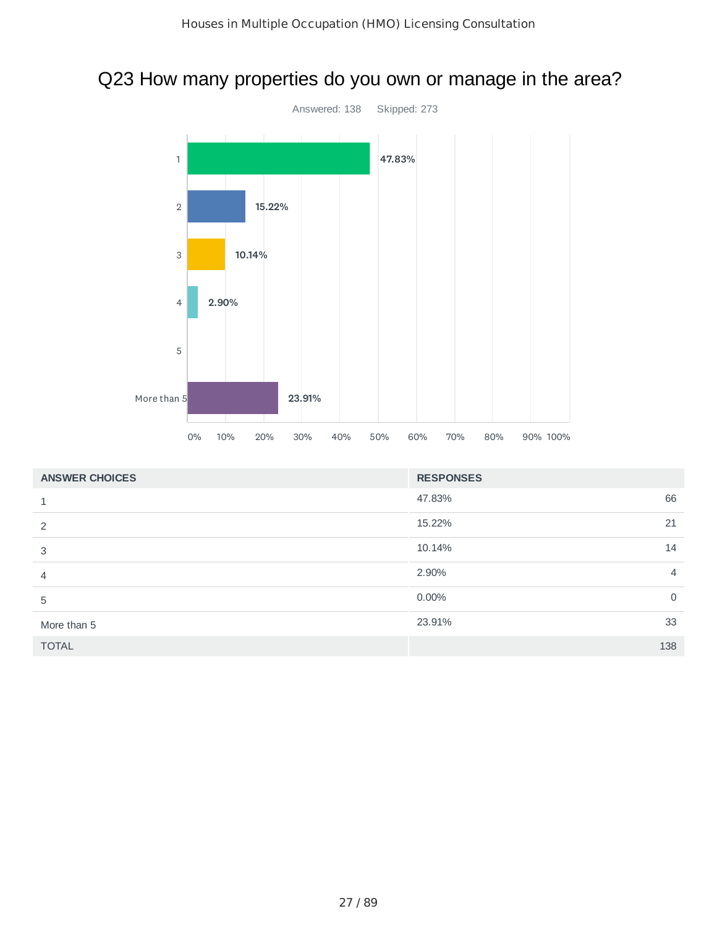## Q23 How many properties do you own or manage in the area?



| <b>ANSWER CHOICES</b> | <b>RESPONSES</b> |                |
|-----------------------|------------------|----------------|
|                       | 66<br>47.83%     |                |
| 2                     | 21<br>15.22%     |                |
| 3                     | 14<br>10.14%     |                |
| $\overline{4}$        | 2.90%            | $\overline{4}$ |
| 5                     | $0.00\%$         | $\mathbf 0$    |
| More than 5           | 33<br>23.91%     |                |
| <b>TOTAL</b>          | 138              |                |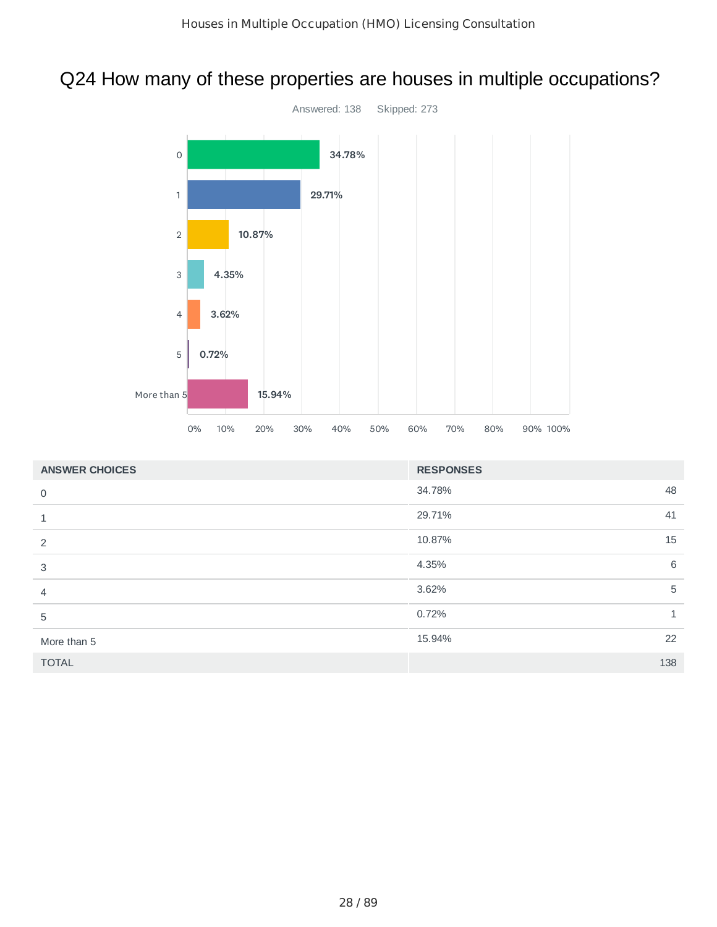## Q24 How many of these properties are houses in multiple occupations?



| <b>ANSWER CHOICES</b> | <b>RESPONSES</b> |     |
|-----------------------|------------------|-----|
| $\mathbf 0$           | 34.78%           | 48  |
| 1                     | 29.71%           | 41  |
| 2                     | 10.87%           | 15  |
| 3                     | 4.35%            | 6   |
| 4                     | 3.62%            | 5   |
| 5                     | 0.72%            | 1   |
| More than 5           | 15.94%           | 22  |
| <b>TOTAL</b>          |                  | 138 |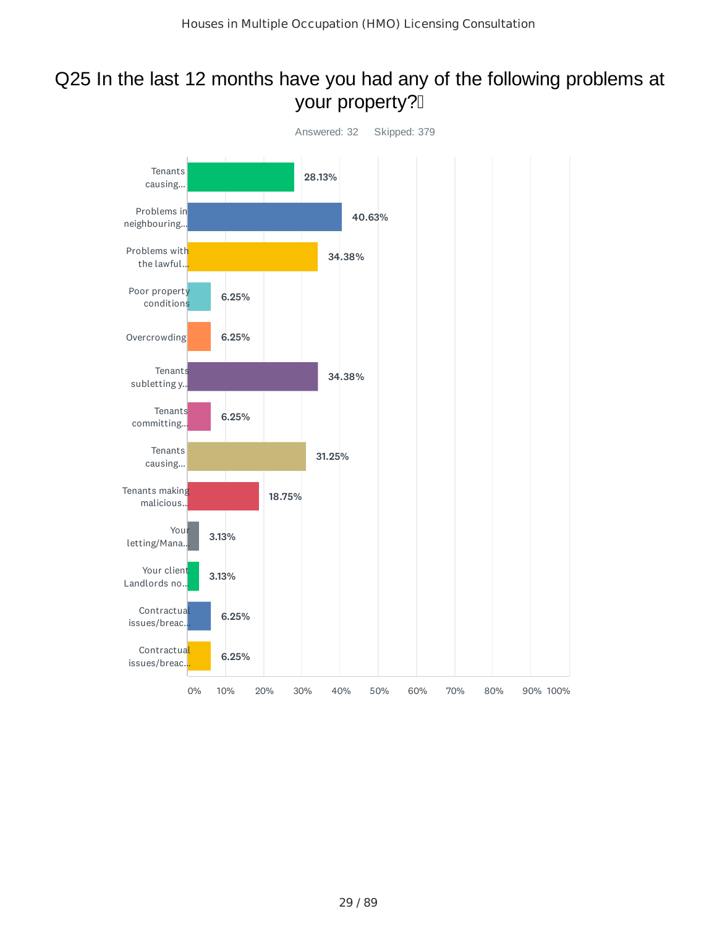## Q25 In the last 12 months have you had any of the following problems at your property?

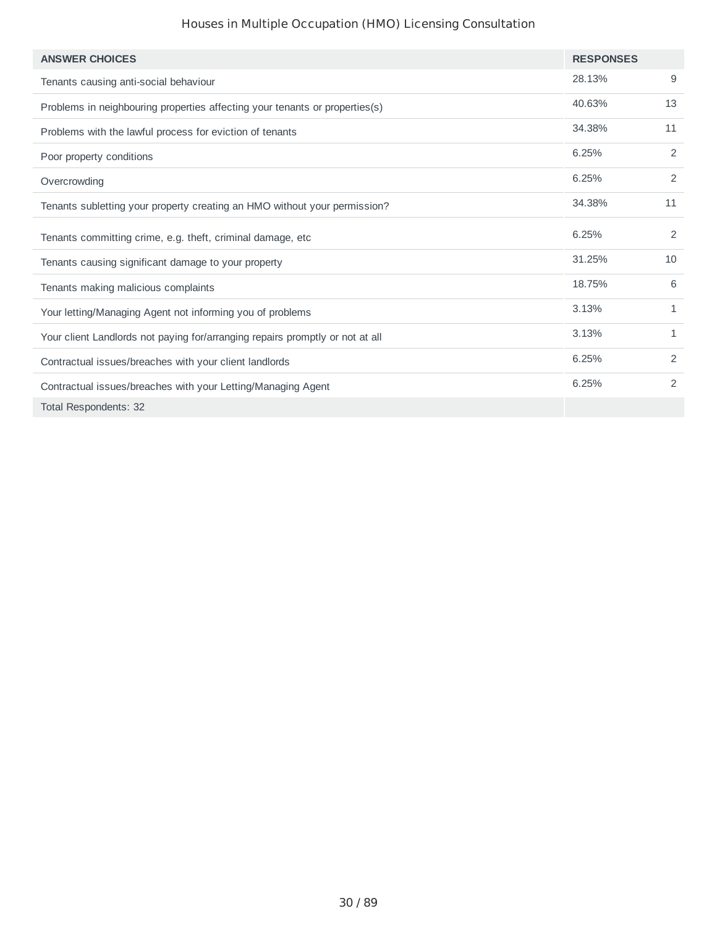| <b>ANSWER CHOICES</b>                                                         | <b>RESPONSES</b> |                |
|-------------------------------------------------------------------------------|------------------|----------------|
| Tenants causing anti-social behaviour                                         | 28.13%           | 9              |
| Problems in neighbouring properties affecting your tenants or properties(s)   | 40.63%           | 13             |
| Problems with the lawful process for eviction of tenants                      | 34.38%           | 11             |
| Poor property conditions                                                      | 6.25%            | $\overline{c}$ |
| Overcrowding                                                                  | 6.25%            | $\overline{2}$ |
| Tenants subletting your property creating an HMO without your permission?     | 34.38%           | 11             |
| Tenants committing crime, e.g. theft, criminal damage, etc                    | 6.25%            | $\overline{c}$ |
| Tenants causing significant damage to your property                           | 31.25%           | 10             |
| Tenants making malicious complaints                                           | 18.75%           | 6              |
| Your letting/Managing Agent not informing you of problems                     | 3.13%            | $\mathbf{1}$   |
| Your client Landlords not paying for/arranging repairs promptly or not at all | 3.13%            | $\mathbf{1}$   |
| Contractual issues/breaches with your client landlords                        | 6.25%            | $\overline{c}$ |
| Contractual issues/breaches with your Letting/Managing Agent                  | 6.25%            | 2              |
| Total Respondents: 32                                                         |                  |                |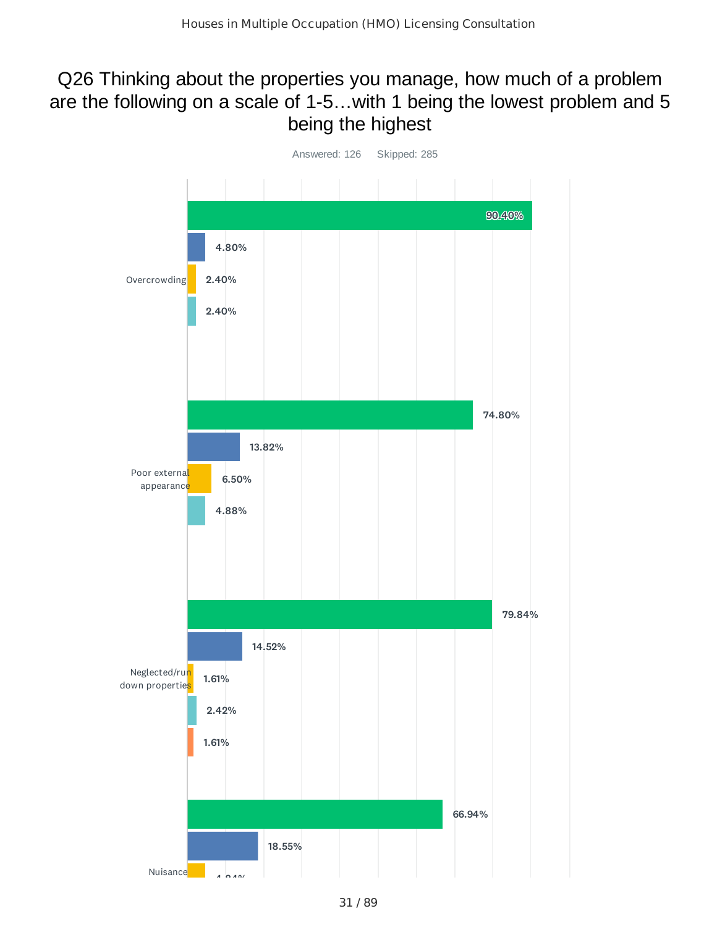## Q26 Thinking about the properties you manage, how much of a problem are the following on a scale of 1-5…with 1 being the lowest problem and 5 being the highest

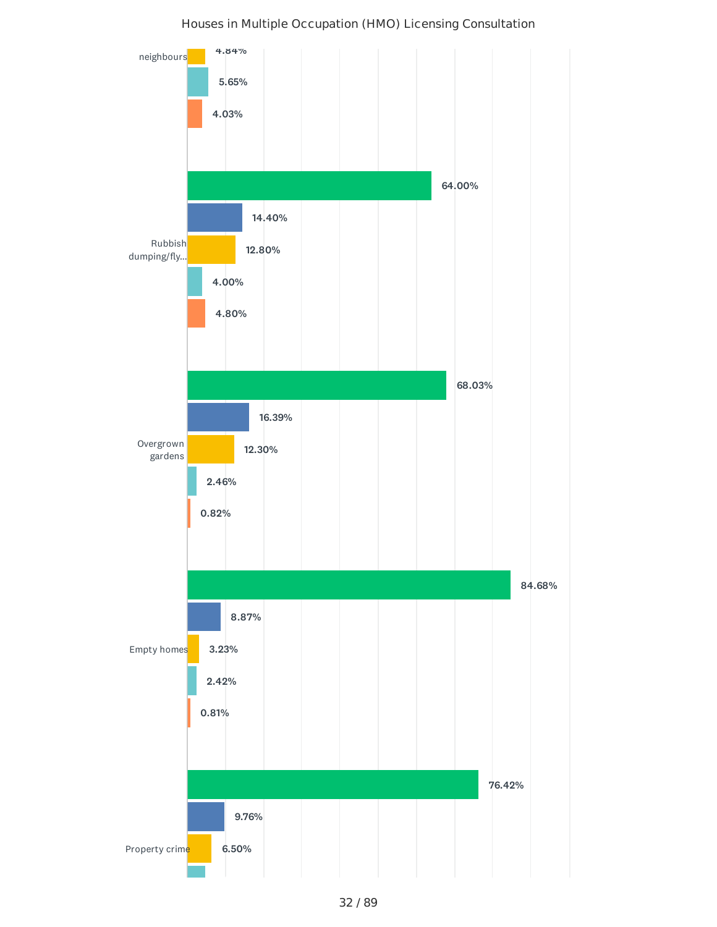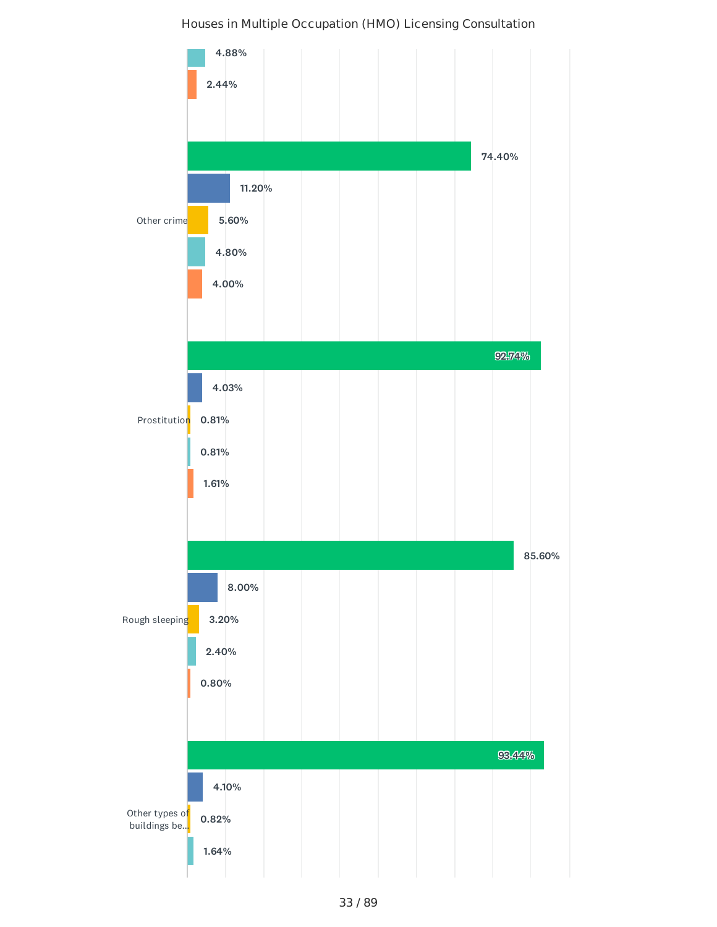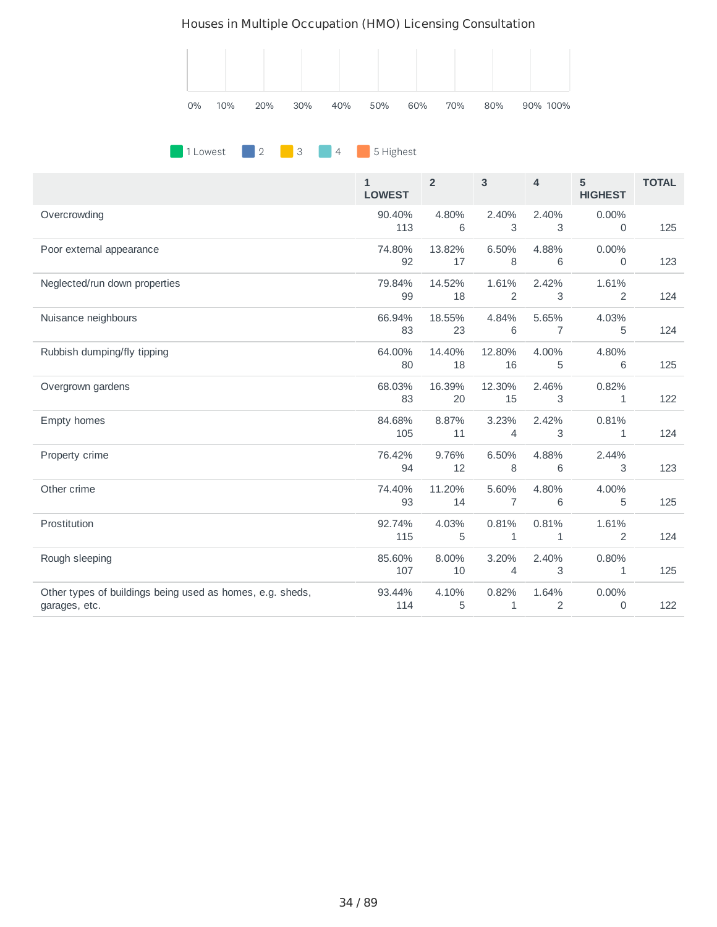

#### **1 Lowest** 2 3 4 5 Highest

|                                                                            | $\mathbf{1}$<br><b>LOWEST</b> | $\overline{2}$ | 3                       | 4                     | 5<br><b>HIGHEST</b> | <b>TOTAL</b> |
|----------------------------------------------------------------------------|-------------------------------|----------------|-------------------------|-----------------------|---------------------|--------------|
| Overcrowding                                                               | 90.40%<br>113                 | 4.80%<br>6     | 2.40%<br>3              | 2.40%<br>3            | 0.00%<br>0          | 125          |
| Poor external appearance                                                   | 74.80%<br>92                  | 13.82%<br>17   | 6.50%<br>8              | 4.88%<br>6            | 0.00%<br>0          | 123          |
| Neglected/run down properties                                              | 79.84%<br>99                  | 14.52%<br>18   | 1.61%<br>2              | 2.42%<br>3            | 1.61%<br>2          | 124          |
| Nuisance neighbours                                                        | 66.94%<br>83                  | 18.55%<br>23   | 4.84%<br>6              | 5.65%<br>7            | 4.03%<br>5          | 124          |
| Rubbish dumping/fly tipping                                                | 64.00%<br>80                  | 14.40%<br>18   | 12.80%<br>16            | 4.00%<br>5            | 4.80%<br>6          | 125          |
| Overgrown gardens                                                          | 68.03%<br>83                  | 16.39%<br>20   | 12.30%<br>15            | 2.46%<br>3            | 0.82%<br>1          | 122          |
| Empty homes                                                                | 84.68%<br>105                 | 8.87%<br>11    | 3.23%<br>4              | 2.42%<br>3            | 0.81%<br>1          | 124          |
| Property crime                                                             | 76.42%<br>94                  | 9.76%<br>12    | 6.50%<br>8              | 4.88%<br>6            | 2.44%<br>3          | 123          |
| Other crime                                                                | 74.40%<br>93                  | 11.20%<br>14   | 5.60%<br>$\overline{7}$ | 4.80%<br>6            | 4.00%<br>5          | 125          |
| Prostitution                                                               | 92.74%<br>115                 | 4.03%<br>5     | 0.81%<br>$\mathbf{1}$   | 0.81%<br>$\mathbf{1}$ | 1.61%<br>2          | 124          |
| Rough sleeping                                                             | 85.60%<br>107                 | 8.00%<br>10    | 3.20%<br>4              | 2.40%<br>3            | 0.80%<br>1          | 125          |
| Other types of buildings being used as homes, e.g. sheds,<br>garages, etc. | 93.44%<br>114                 | 4.10%<br>5     | 0.82%<br>1              | 1.64%<br>2            | 0.00%<br>0          | 122          |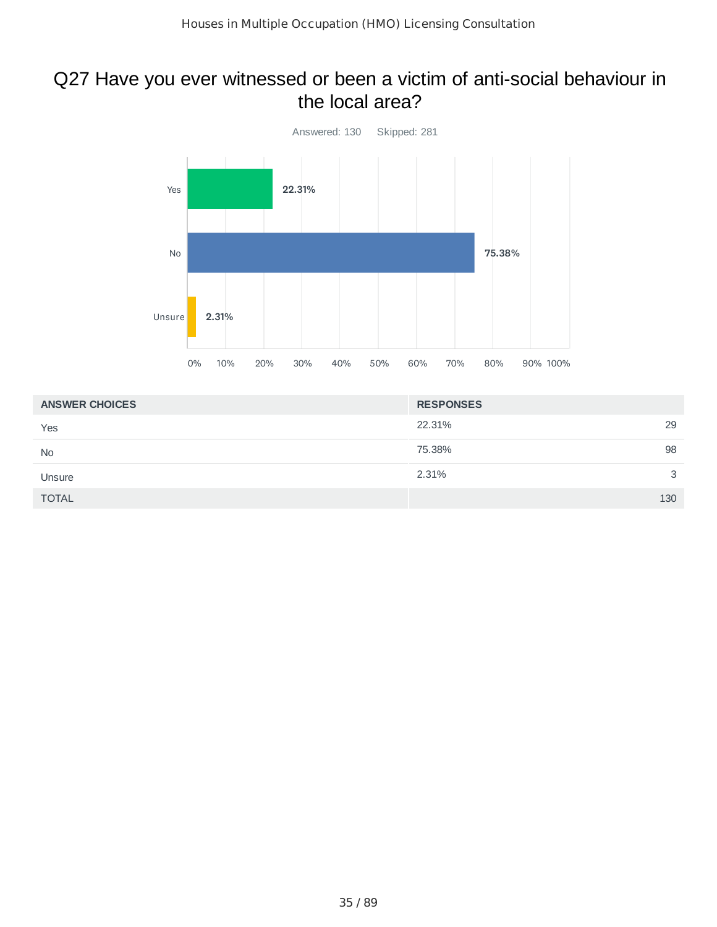### Q27 Have you ever witnessed or been a victim of anti-social behaviour in the local area?



| <b>ANSWER CHOICES</b> | <b>RESPONSES</b> |
|-----------------------|------------------|
| Yes                   | 29<br>22.31%     |
| <b>No</b>             | 98<br>75.38%     |
| Unsure                | 2.31%<br>3       |
| <b>TOTAL</b>          | 130              |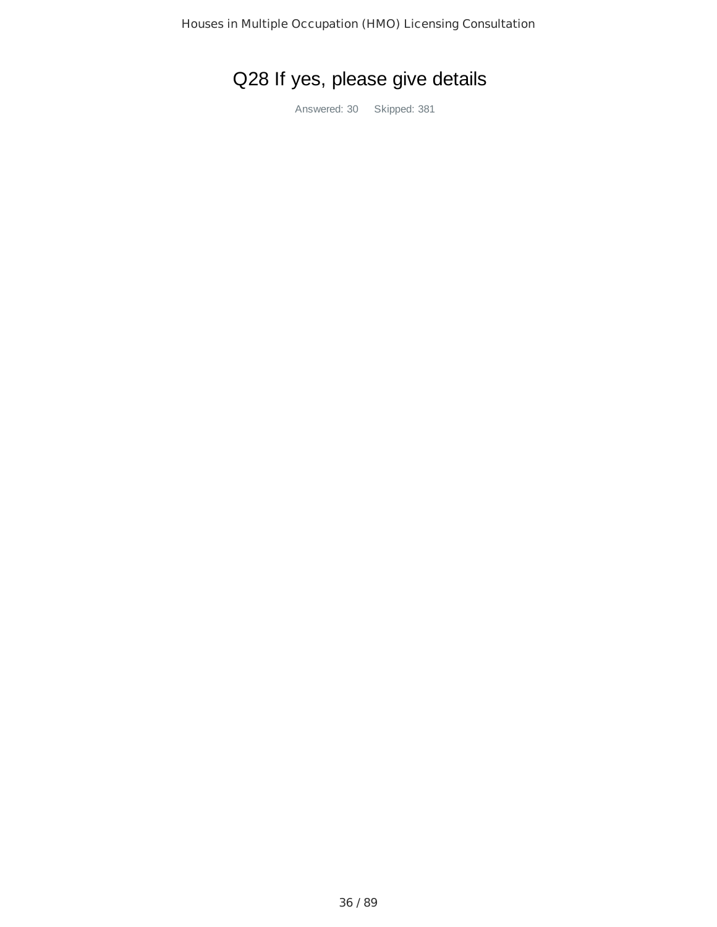# Q28 If yes, please give details

Answered: 30 Skipped: 381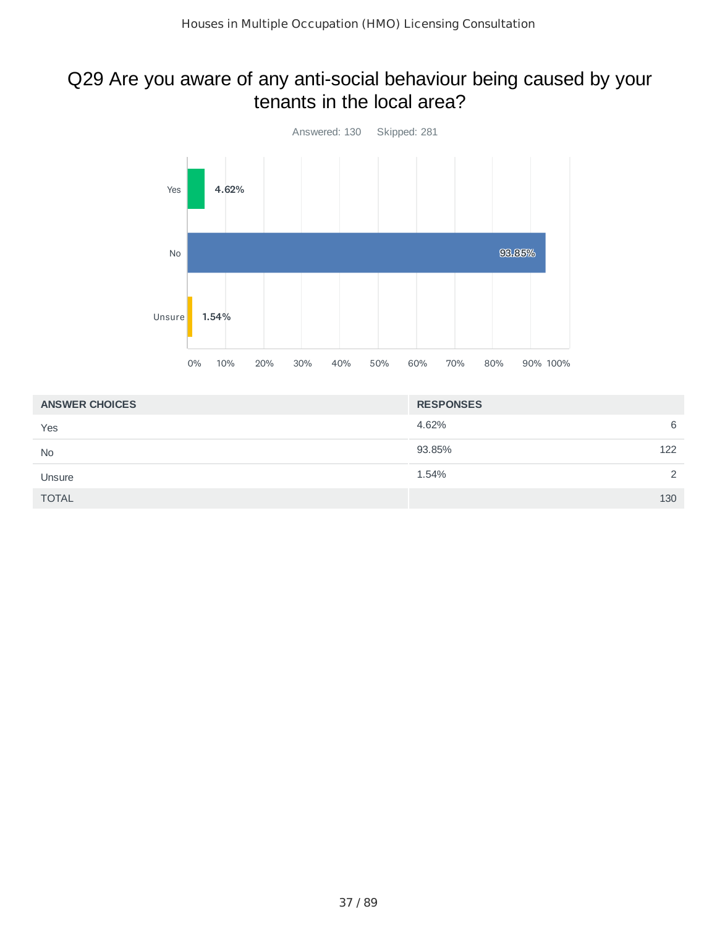#### Q29 Are you aware of any anti-social behaviour being caused by your tenants in the local area?



| <b>ANSWER CHOICES</b> | <b>RESPONSES</b> |
|-----------------------|------------------|
| Yes                   | 4.62%<br>6       |
| <b>No</b>             | 93.85%<br>122    |
| Unsure                | 1.54%<br>2       |
| <b>TOTAL</b>          | 130              |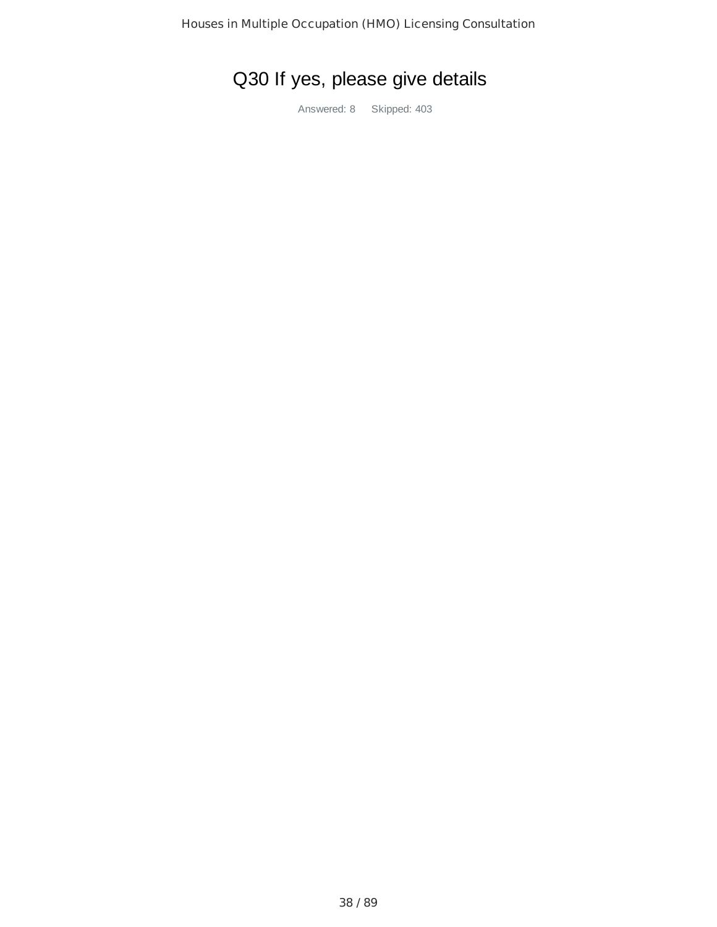# Q30 If yes, please give details

Answered: 8 Skipped: 403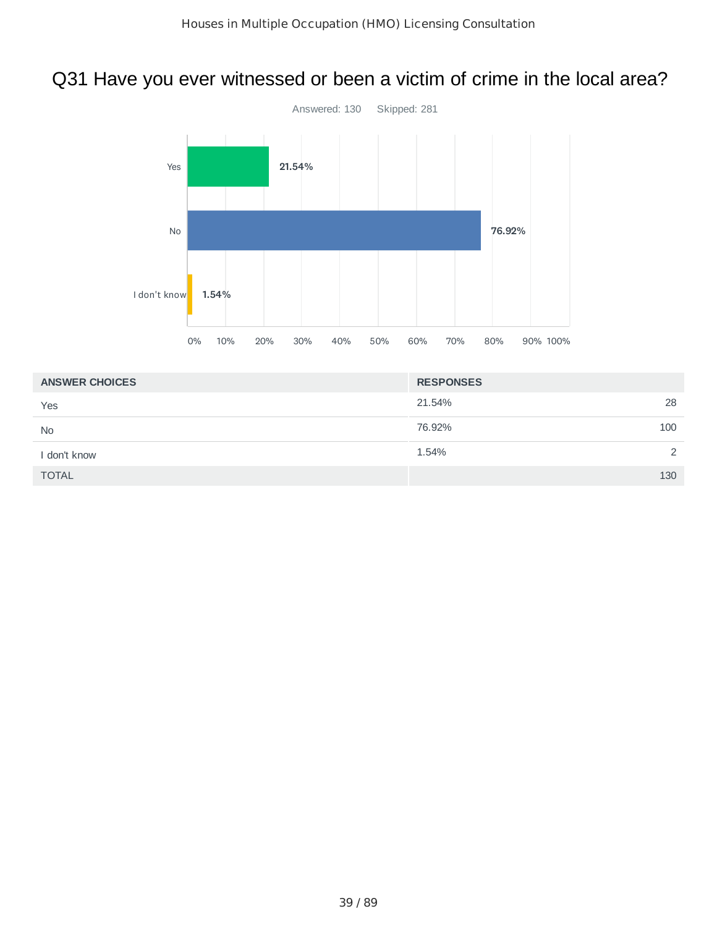# Q31 Have you ever witnessed or been a victim of crime in the local area?



| <b>ANSWER CHOICES</b> | <b>RESPONSES</b>      |
|-----------------------|-----------------------|
| Yes                   | 28<br>21.54%          |
| <b>No</b>             | 76.92%<br>100         |
| i don't know          | 1.54%<br>$\mathbf{2}$ |
| <b>TOTAL</b>          | 130                   |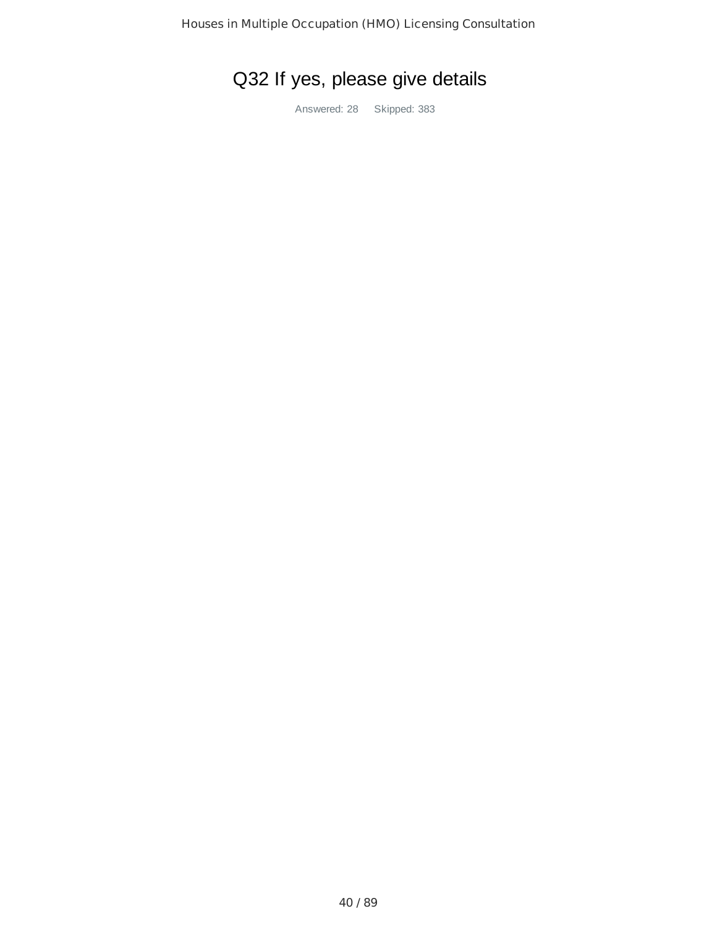# Q32 If yes, please give details

Answered: 28 Skipped: 383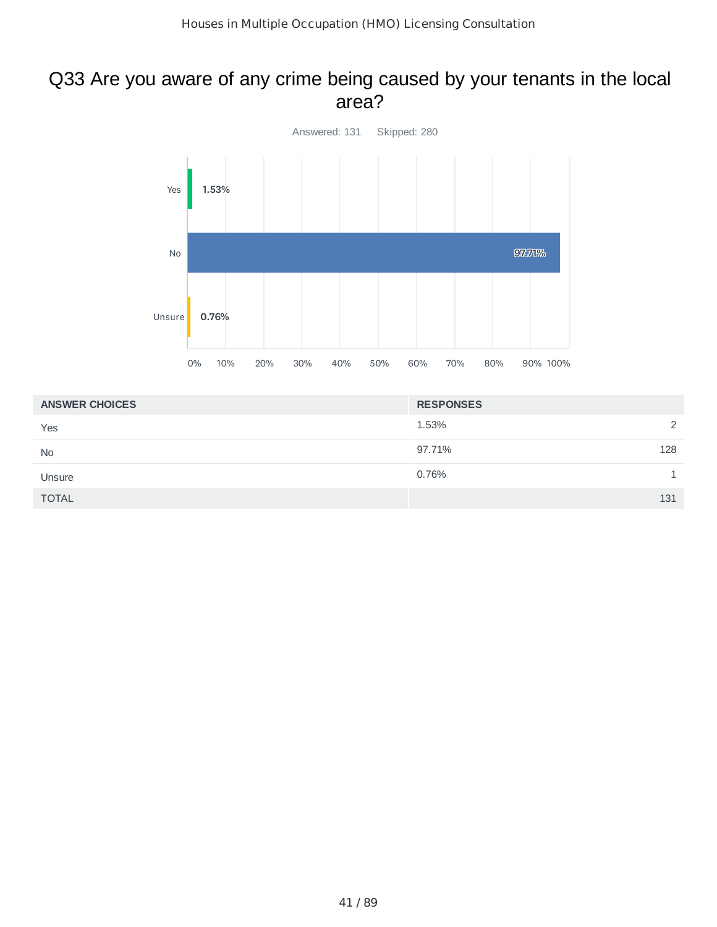#### Q33 Are you aware of any crime being caused by your tenants in the local area?



| <b>ANSWER CHOICES</b> | <b>RESPONSES</b> |
|-----------------------|------------------|
| Yes                   | 1.53%<br>2       |
| <b>No</b>             | 97.71%<br>128    |
| Unsure                | 0.76%            |
| <b>TOTAL</b>          | 131              |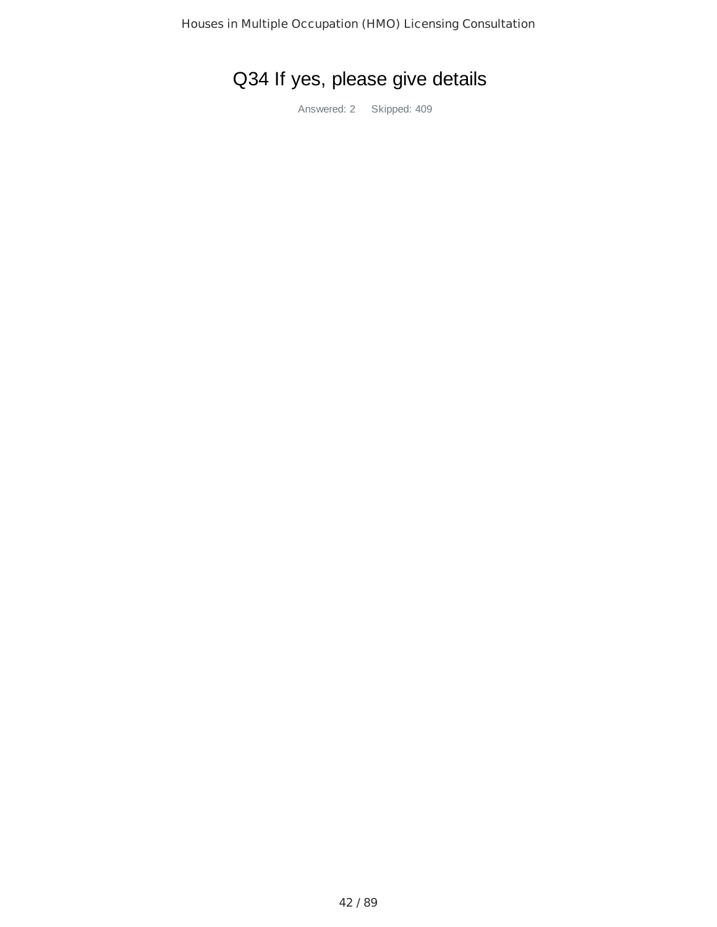# Q34 If yes, please give details

Answered: 2 Skipped: 409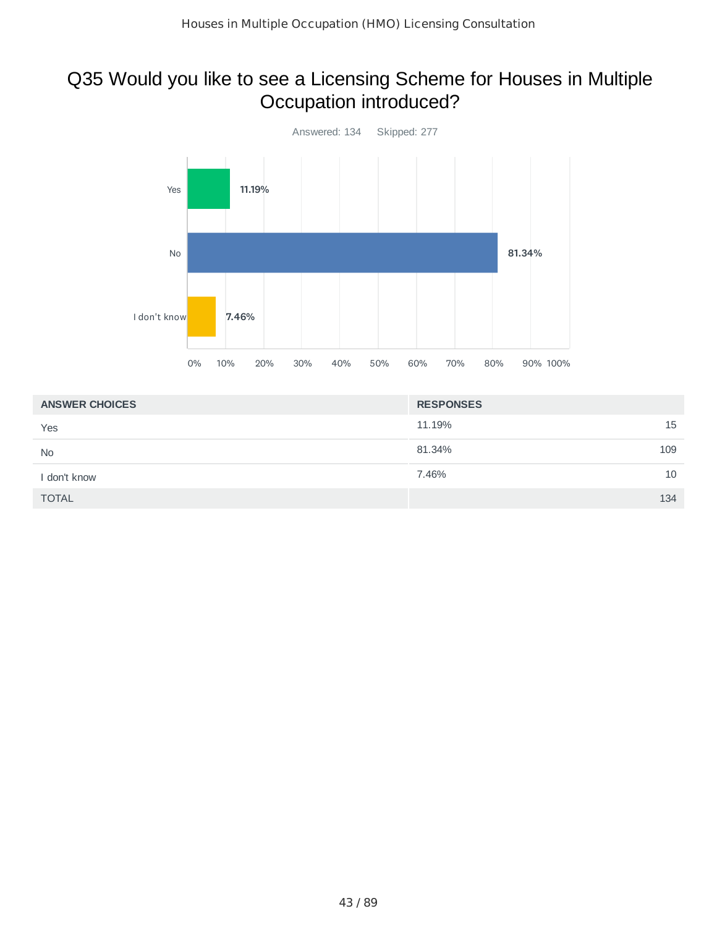## Q35 Would you like to see a Licensing Scheme for Houses in Multiple Occupation introduced?



| <b>ANSWER CHOICES</b> | <b>RESPONSES</b> |
|-----------------------|------------------|
| Yes                   | 11.19%<br>15     |
| <b>No</b>             | 109<br>81.34%    |
| I don't know          | 10<br>7.46%      |
| <b>TOTAL</b>          | 134              |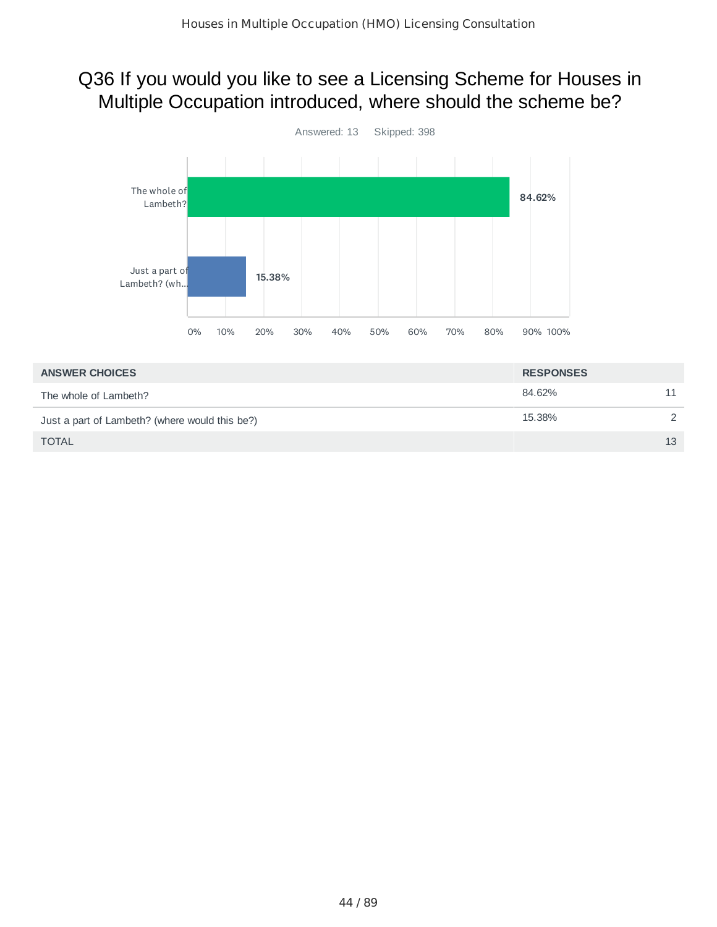#### Q36 If you would you like to see a Licensing Scheme for Houses in Multiple Occupation introduced, where should the scheme be?



| 84.62%                                                   |    |
|----------------------------------------------------------|----|
| The whole of Lambeth?                                    |    |
| 15.38%<br>Just a part of Lambeth? (where would this be?) |    |
| <b>TOTAL</b>                                             | 13 |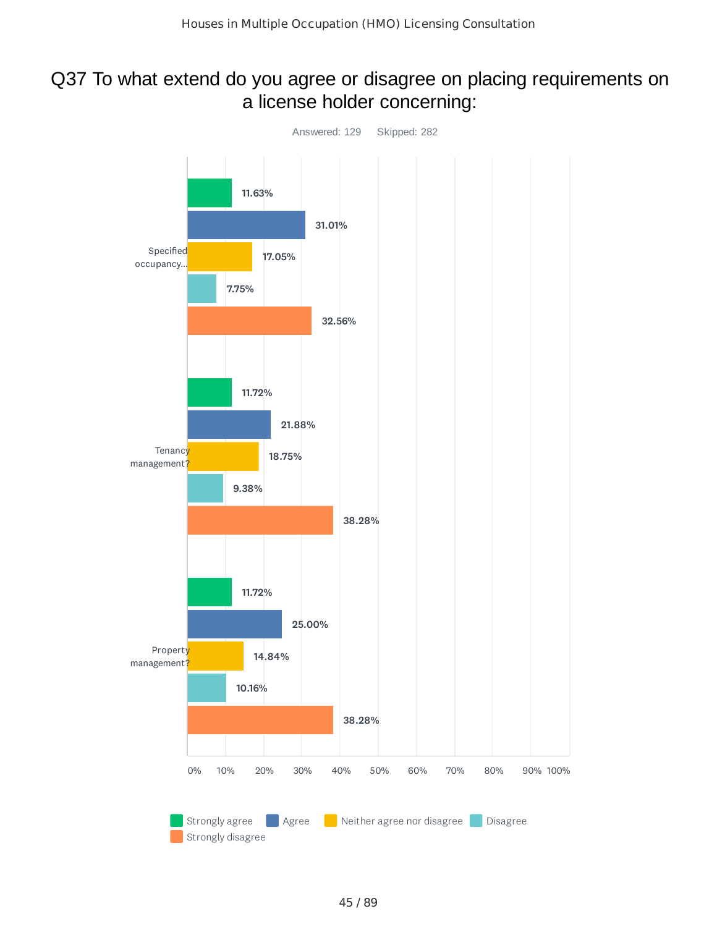#### Q37 To what extend do you agree or disagree on placing requirements on a license holder concerning:

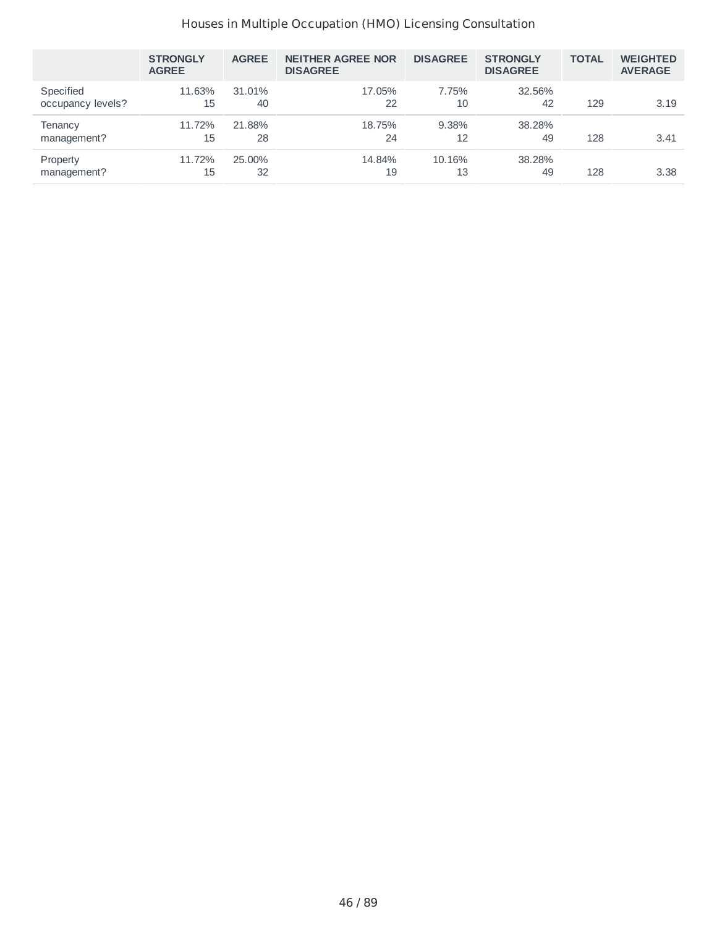#### Houses in Multiple Occupation (HMO) Licensing Consultation

|                                | <b>STRONGLY</b><br><b>AGREE</b> | <b>AGREE</b> | <b>NEITHER AGREE NOR</b><br><b>DISAGREE</b> | <b>DISAGREE</b> | <b>STRONGLY</b><br><b>DISAGREE</b> | <b>TOTAL</b> | <b>WEIGHTED</b><br><b>AVERAGE</b> |
|--------------------------------|---------------------------------|--------------|---------------------------------------------|-----------------|------------------------------------|--------------|-----------------------------------|
| Specified<br>occupancy levels? | 11.63%<br>15                    | 31.01%<br>40 | 17.05%<br>22                                | 7.75%<br>10     | 32.56%<br>42                       | 129          | 3.19                              |
| Tenancy<br>management?         | 11.72%<br>15                    | 21.88%<br>28 | 18.75%<br>24                                | 9.38%<br>12     | 38.28%<br>49                       | 128          | 3.41                              |
| Property<br>management?        | 11.72%<br>15                    | 25.00%<br>32 | 14.84%<br>19                                | 10.16%<br>13    | 38.28%<br>49                       | 128          | 3.38                              |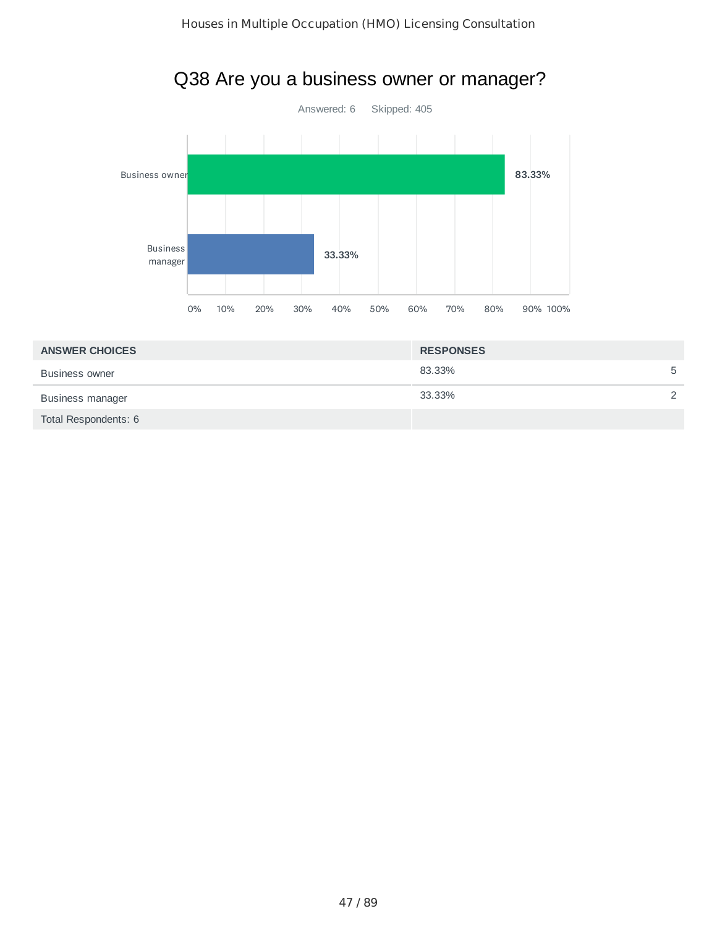

# Q38 Are you a business owner or manager?

| <b>ANSWER CHOICES</b> | <b>RESPONSES</b> |               |
|-----------------------|------------------|---------------|
| <b>Business owner</b> | 83.33%           | 5             |
| Business manager      | 33.33%           | $\mathcal{P}$ |
| Total Respondents: 6  |                  |               |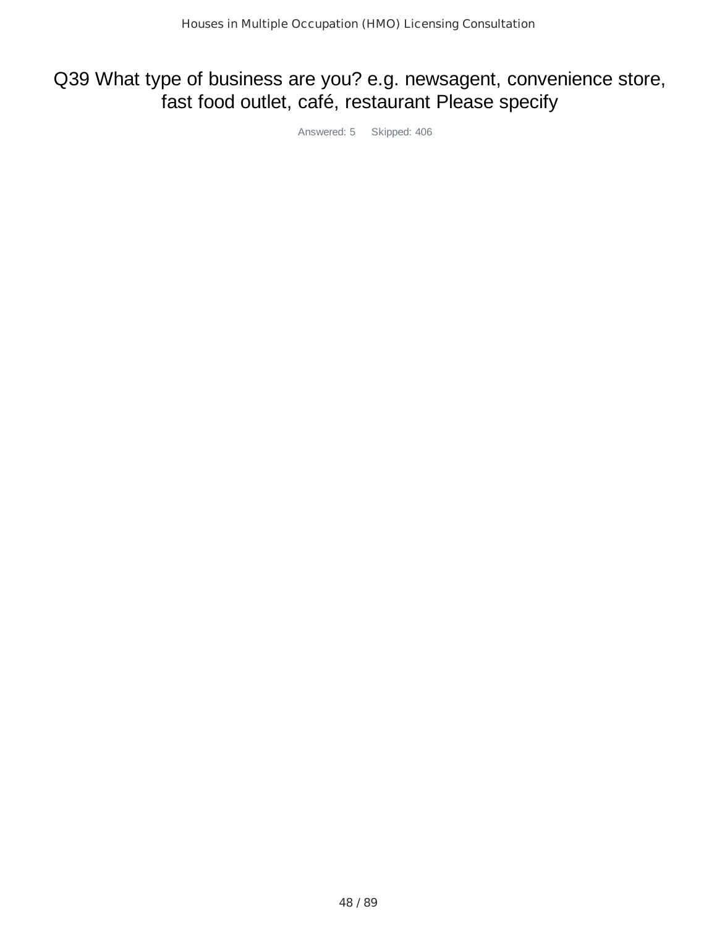#### Q39 What type of business are you? e.g. newsagent, convenience store, fast food outlet, café, restaurant Please specify

Answered: 5 Skipped: 406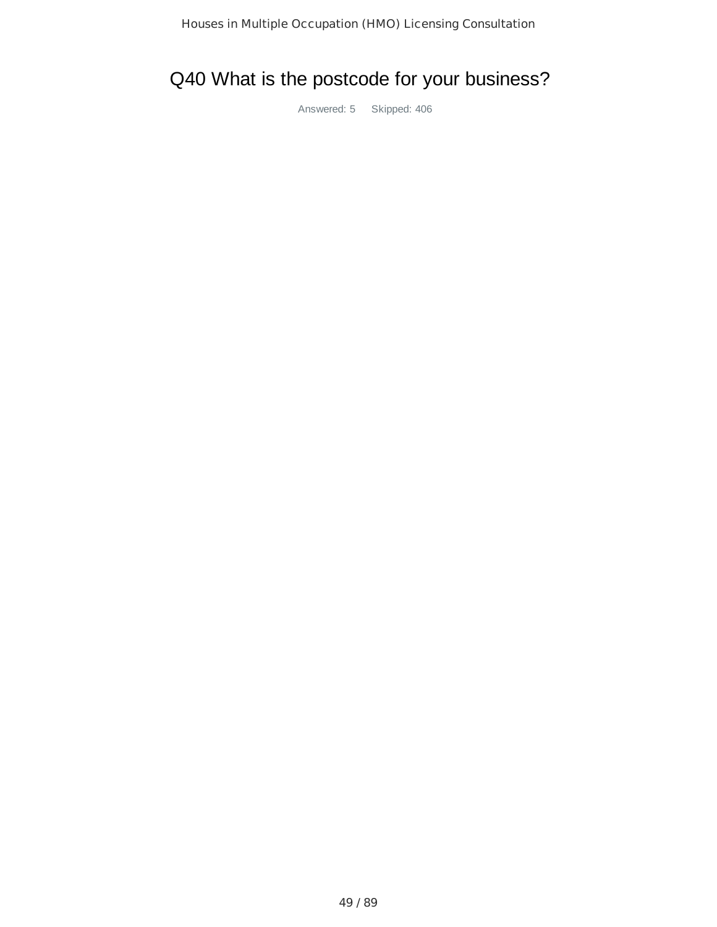## Q40 What is the postcode for your business?

Answered: 5 Skipped: 406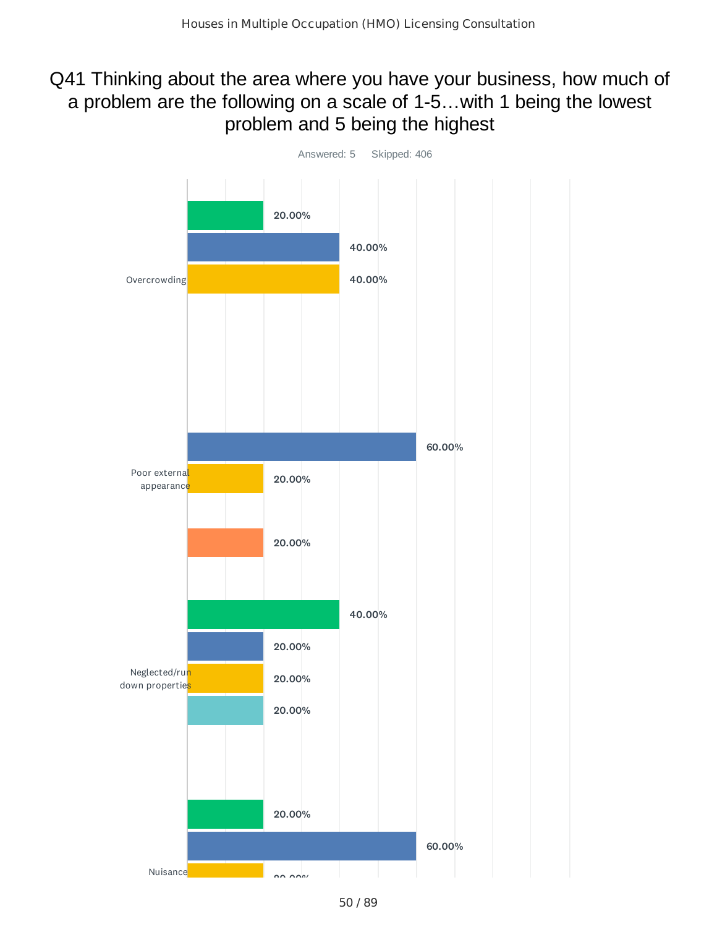#### Q41 Thinking about the area where you have your business, how much of a problem are the following on a scale of 1-5…with 1 being the lowest problem and 5 being the highest

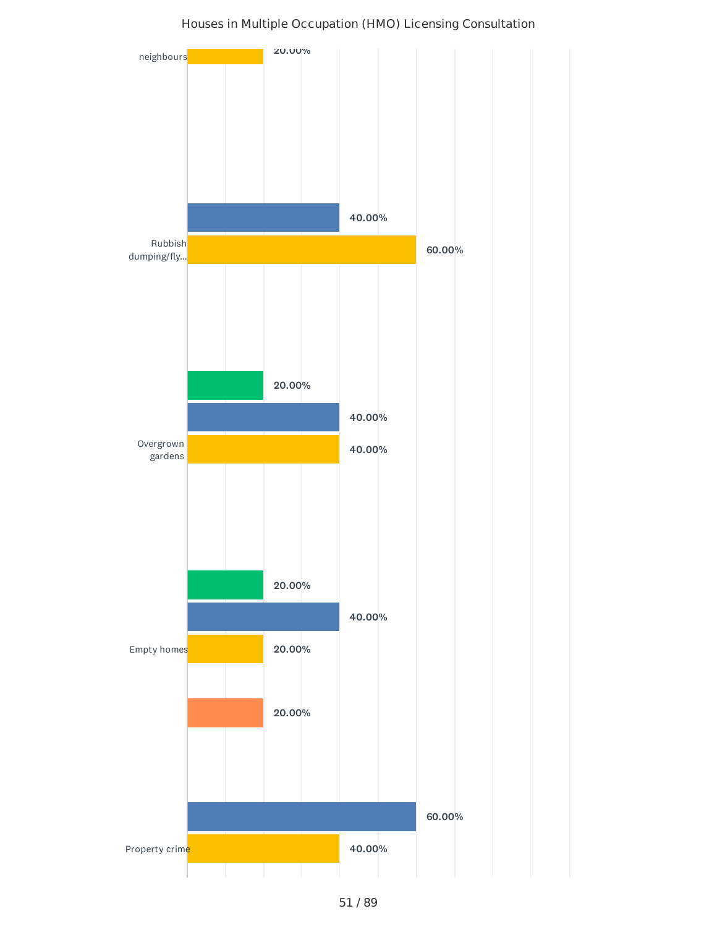

#### Houses in Multiple Occupation (HMO) Licensing Consultation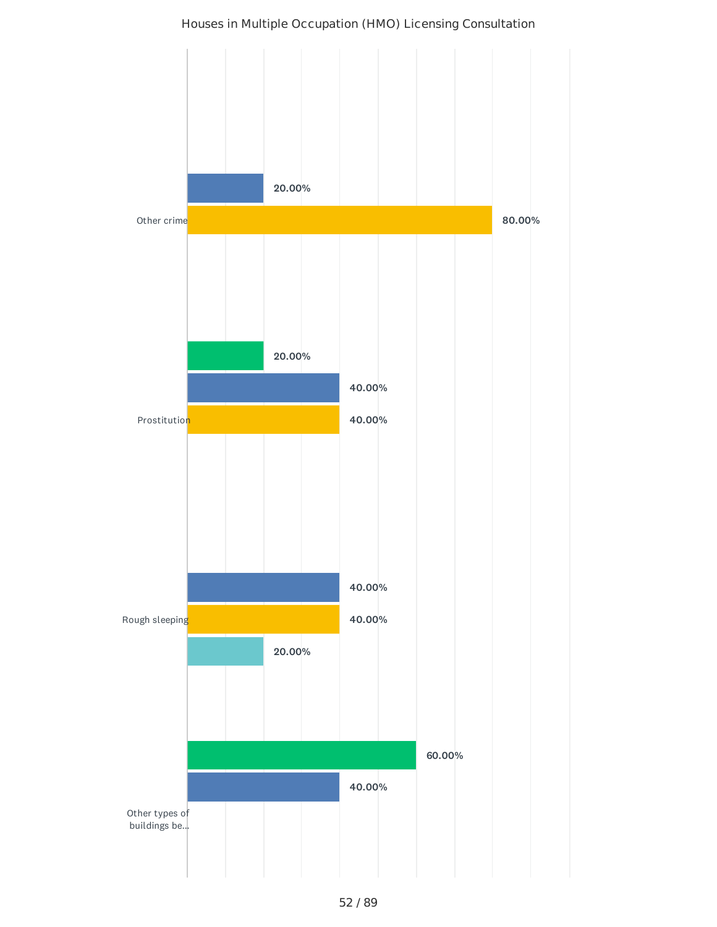# Other crime **Prostitution** Rough sleeping 20.00% 80.00% 40.00% 40.00% 20.00% 40.00% 40.00% 20.00% 60.00%

#### Houses in Multiple Occupation (HMO) Licensing Consultation

40.00%

Other types of buildings be...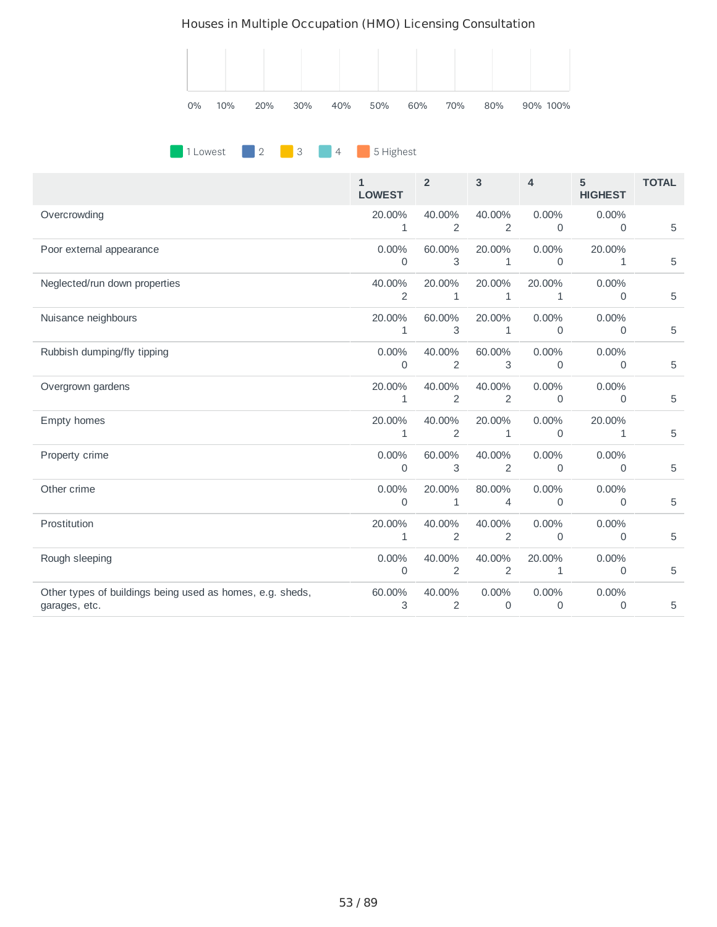#### Houses in Multiple Occupation (HMO) Licensing Consultation



#### **1 Lowest** 2 3 4 5 Highest

|                                                                            | $\mathbf{1}$<br><b>LOWEST</b> | $\overline{2}$         | $\mathbf{3}$             | $\overline{4}$           | 5<br><b>HIGHEST</b> | <b>TOTAL</b> |
|----------------------------------------------------------------------------|-------------------------------|------------------------|--------------------------|--------------------------|---------------------|--------------|
| Overcrowding                                                               | 20.00%<br>$\mathbf 1$         | 40.00%<br>2            | 40.00%<br>2              | 0.00%<br>$\mathbf 0$     | 0.00%<br>0          | 5            |
| Poor external appearance                                                   | 0.00%<br>$\Omega$             | 60.00%<br>3            | 20.00%<br>$\mathbf{1}$   | 0.00%<br>$\mathbf{0}$    | 20.00%<br>1         | 5            |
| Neglected/run down properties                                              | 40.00%<br>2                   | 20.00%<br>$\mathbf{1}$ | 20.00%<br>$\mathbf{1}$   | 20.00%<br>1              | 0.00%<br>0          | 5            |
| Nuisance neighbours                                                        | 20.00%<br>$\mathbf{1}$        | 60.00%<br>3            | 20.00%<br>$\mathbf{1}$   | 0.00%<br>$\mathbf 0$     | 0.00%<br>0          | 5            |
| Rubbish dumping/fly tipping                                                | 0.00%<br>$\mathbf{0}$         | 40.00%<br>2            | 60.00%<br>3              | 0.00%<br>$\mathbf 0$     | $0.00\%$<br>0       | 5            |
| Overgrown gardens                                                          | 20.00%<br>1                   | 40.00%<br>2            | 40.00%<br>2              | 0.00%<br>$\mathbf 0$     | 0.00%<br>0          | 5            |
| Empty homes                                                                | 20.00%<br>$\mathbf{1}$        | 40.00%<br>2            | 20.00%<br>$\mathbf{1}$   | 0.00%<br>$\mathbf 0$     | 20.00%<br>1         | 5            |
| Property crime                                                             | $0.00\%$<br>$\Omega$          | 60.00%<br>3            | 40.00%<br>2              | $0.00\%$<br>$\mathbf{0}$ | 0.00%<br>$\Omega$   | 5            |
| Other crime                                                                | 0.00%<br>$\mathbf 0$          | 20.00%<br>1            | 80.00%<br>4              | 0.00%<br>$\mathbf 0$     | 0.00%<br>0          | 5            |
| Prostitution                                                               | 20.00%<br>$\mathbf{1}$        | 40.00%<br>2            | 40.00%<br>$\overline{2}$ | 0.00%<br>$\mathbf 0$     | $0.00\%$<br>0       | 5            |
| Rough sleeping                                                             | 0.00%<br>$\mathbf 0$          | 40.00%<br>2            | 40.00%<br>2              | 20.00%<br>$\mathbf{1}$   | 0.00%<br>0          | 5            |
| Other types of buildings being used as homes, e.g. sheds,<br>garages, etc. | 60.00%<br>3                   | 40.00%<br>2            | 0.00%<br>$\mathbf 0$     | 0.00%<br>$\mathbf 0$     | 0.00%<br>0          | 5            |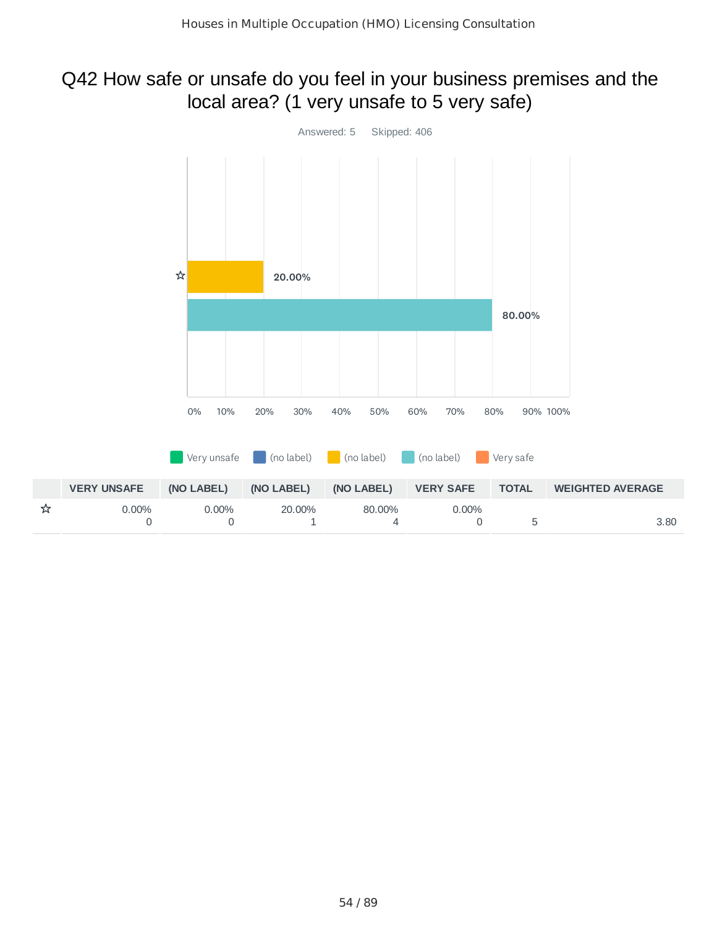## Q42 How safe or unsafe do you feel in your business premises and the local area? (1 very unsafe to 5 very safe)

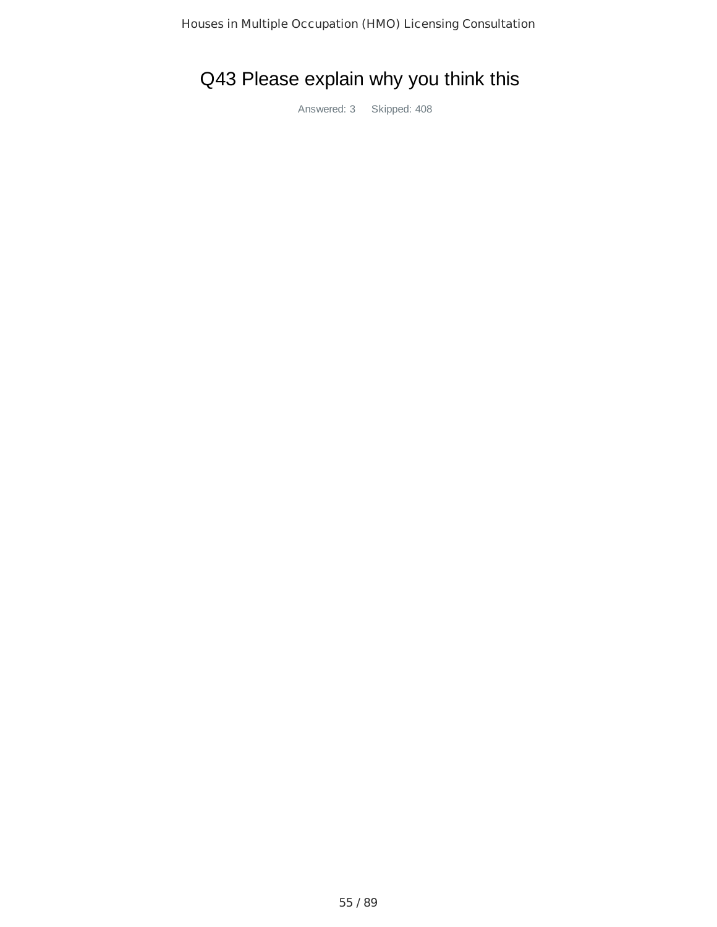# Q43 Please explain why you think this

Answered: 3 Skipped: 408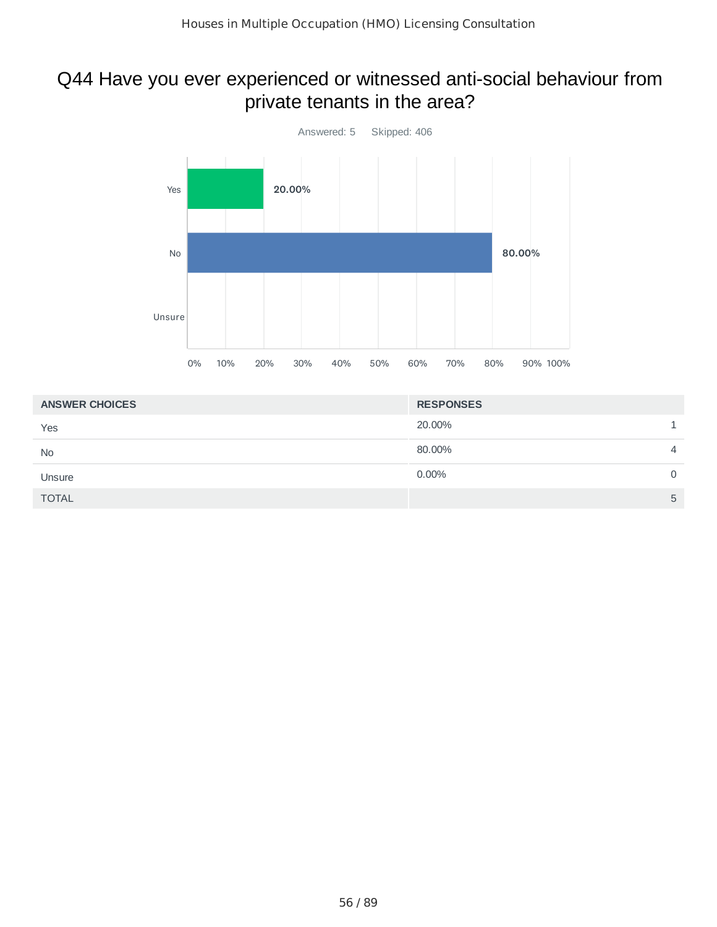#### Q44 Have you ever experienced or witnessed anti-social behaviour from private tenants in the area?



| <b>ANSWER CHOICES</b> | <b>RESPONSES</b> |   |
|-----------------------|------------------|---|
| Yes                   | 20.00%           |   |
| <b>No</b>             | 80.00%           | 4 |
| Unsure                | 0.00%            | 0 |
| <b>TOTAL</b>          |                  | 5 |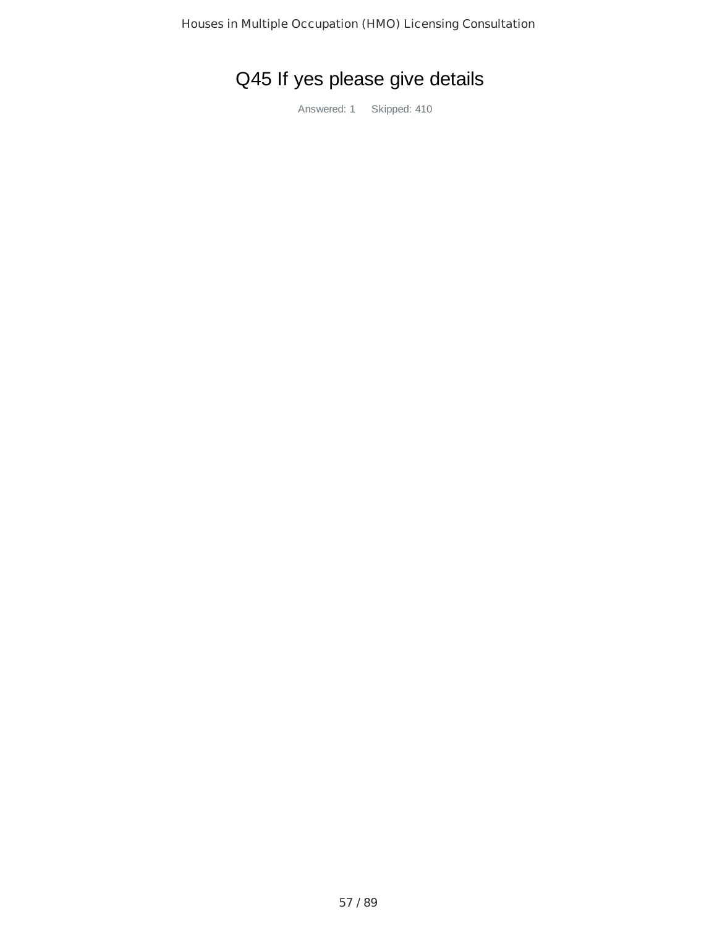# Q45 If yes please give details

Answered: 1 Skipped: 410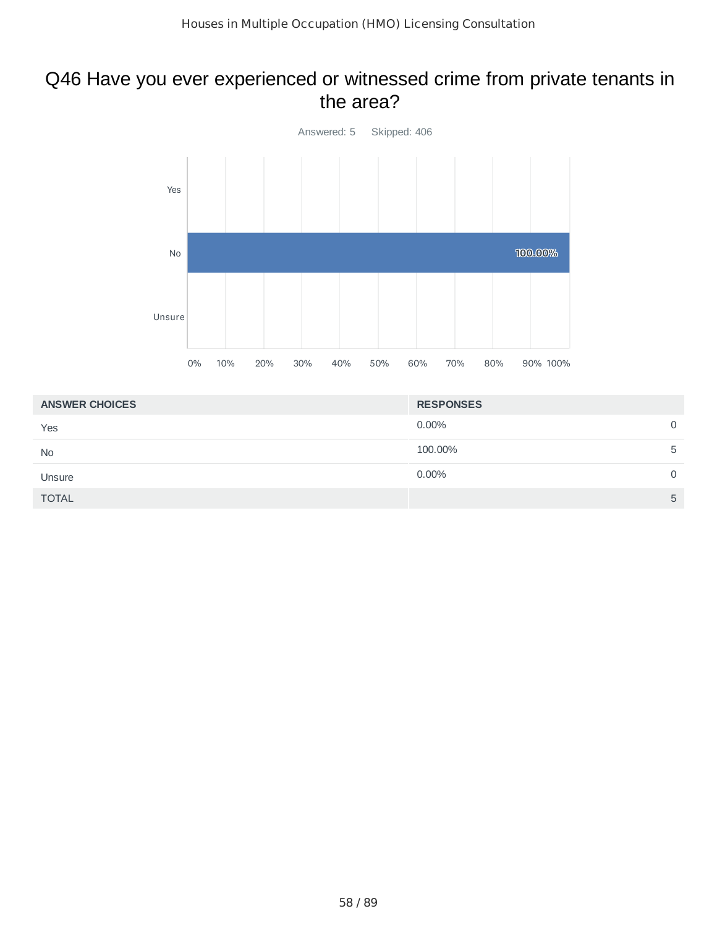#### Q46 Have you ever experienced or witnessed crime from private tenants in the area?



| <b>ANSWER CHOICES</b> | <b>RESPONSES</b> |                |
|-----------------------|------------------|----------------|
| Yes                   | $0.00\%$         | $\overline{0}$ |
| <b>No</b>             | 100.00%          | 5              |
| Unsure                | $0.00\%$         | $\Omega$       |
| <b>TOTAL</b>          |                  | 5              |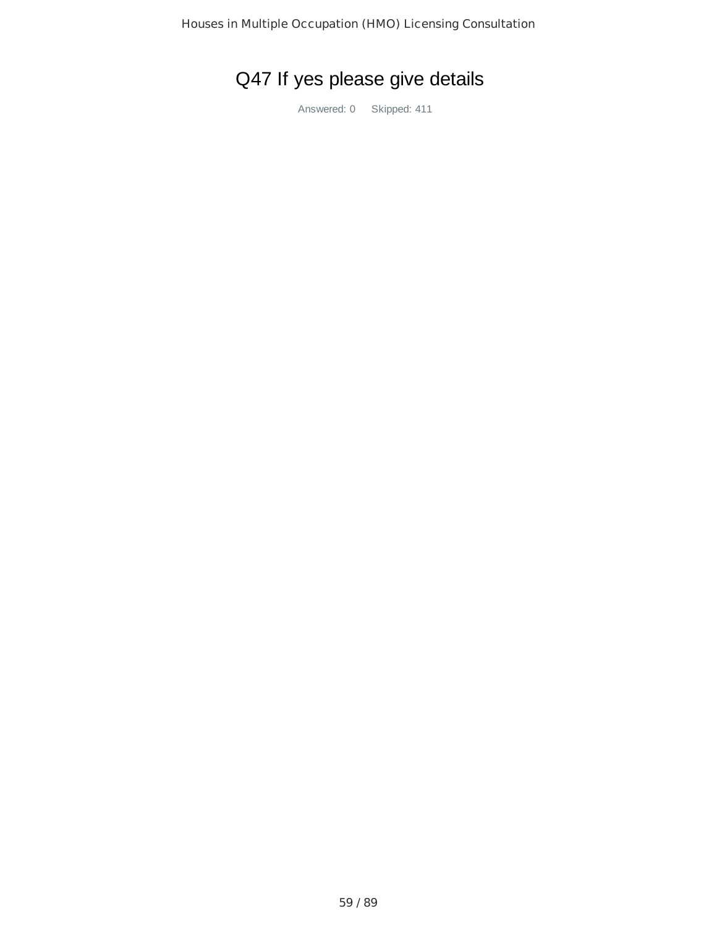# Q47 If yes please give details

Answered: 0 Skipped: 411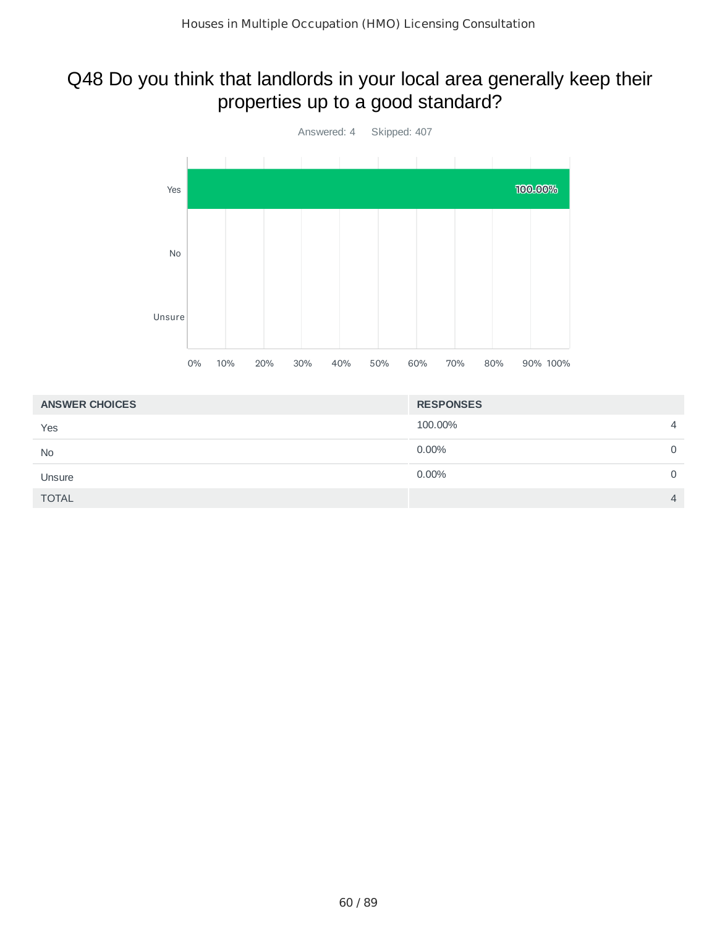#### Q48 Do you think that landlords in your local area generally keep their properties up to a good standard?



| <b>ANSWER CHOICES</b> | <b>RESPONSES</b> |                |
|-----------------------|------------------|----------------|
| Yes                   | 100.00%          | $\overline{4}$ |
| <b>No</b>             | 0.00%            | 0              |
| Unsure                | 0.00%            | 0              |
| <b>TOTAL</b>          |                  | $\overline{4}$ |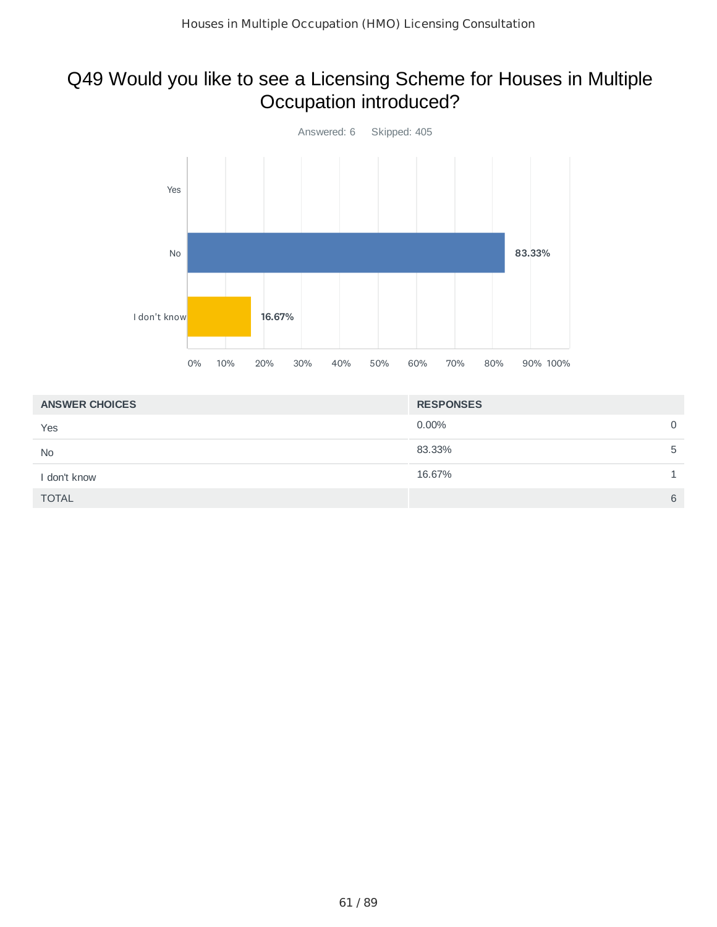## Q49 Would you like to see a Licensing Scheme for Houses in Multiple Occupation introduced?



| <b>ANSWER CHOICES</b> | <b>RESPONSES</b> |             |
|-----------------------|------------------|-------------|
| Yes                   | 0.00%            | $\mathbf 0$ |
| <b>No</b>             | 83.33%           | 5           |
| I don't know          | 16.67%           |             |
| <b>TOTAL</b>          |                  | 6           |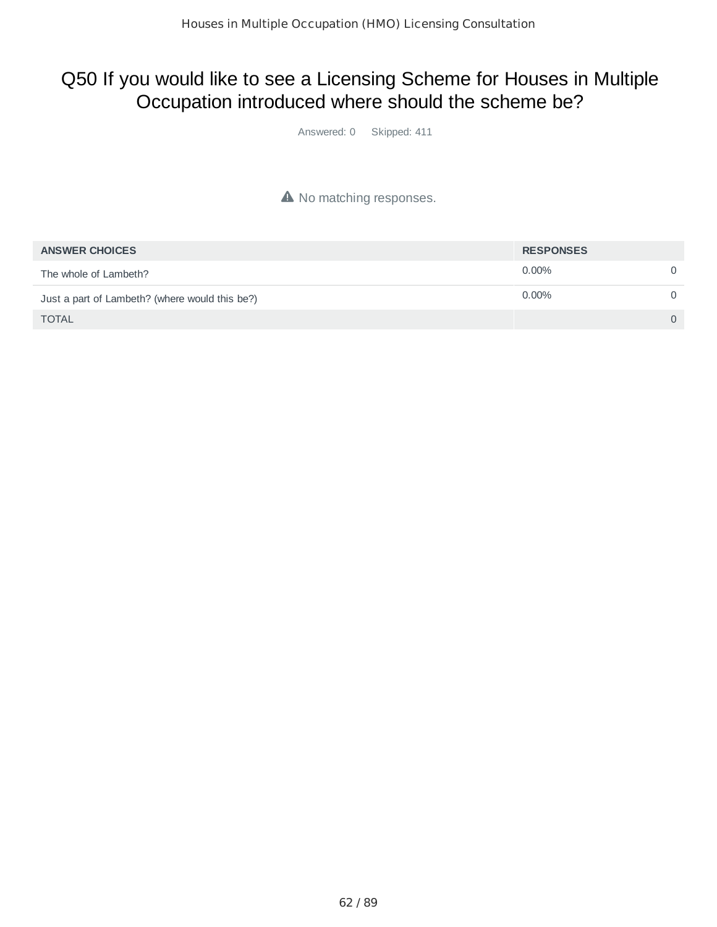## Q50 If you would like to see a Licensing Scheme for Houses in Multiple Occupation introduced where should the scheme be?

Answered: 0 Skipped: 411

#### A No matching responses.

| <b>ANSWER CHOICES</b>                          | <b>RESPONSES</b> |          |
|------------------------------------------------|------------------|----------|
| The whole of Lambeth?                          | $0.00\%$         |          |
| Just a part of Lambeth? (where would this be?) | $0.00\%$         |          |
| <b>TOTAL</b>                                   |                  | $\Omega$ |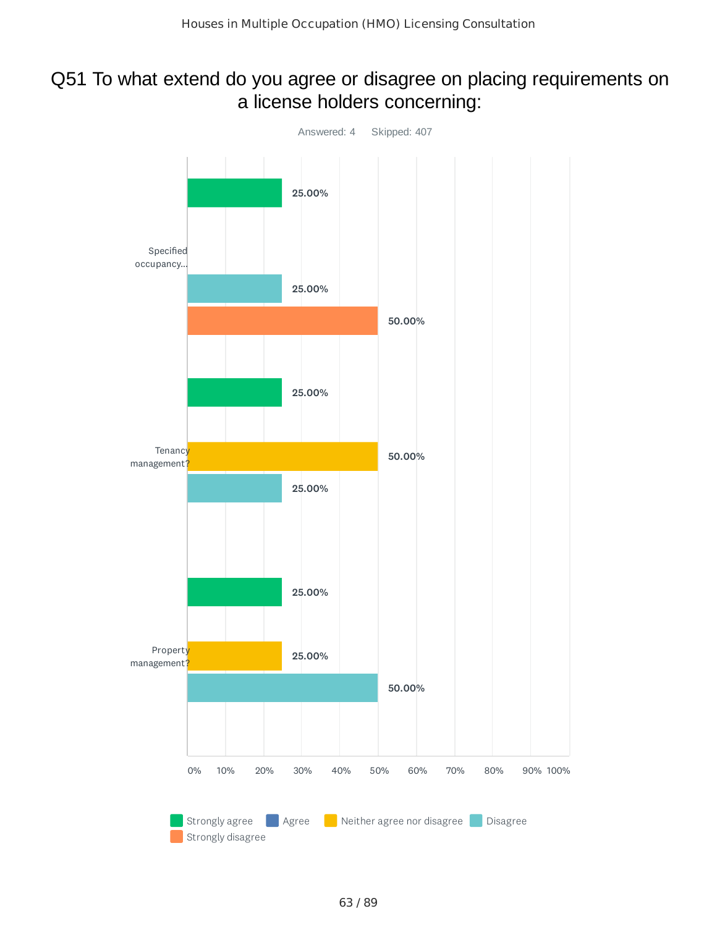## Q51 To what extend do you agree or disagree on placing requirements on a license holders concerning:

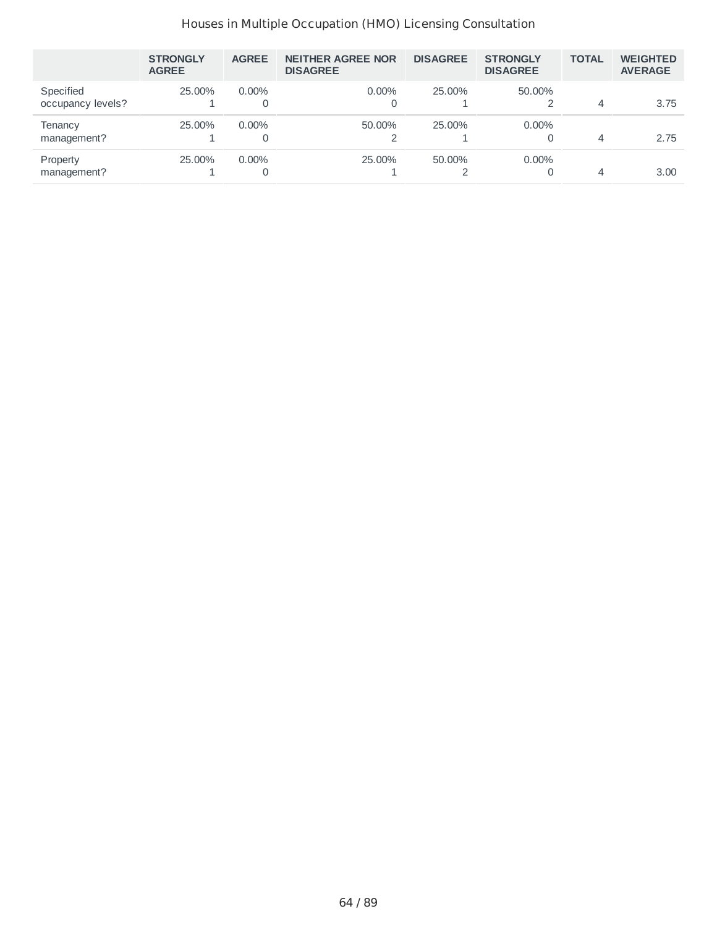#### Houses in Multiple Occupation (HMO) Licensing Consultation

|                                | <b>STRONGLY</b><br><b>AGREE</b> | <b>AGREE</b>  | <b>NEITHER AGREE NOR</b><br><b>DISAGREE</b> | <b>DISAGREE</b> | <b>STRONGLY</b><br><b>DISAGREE</b> | <b>TOTAL</b> | <b>WEIGHTED</b><br><b>AVERAGE</b> |
|--------------------------------|---------------------------------|---------------|---------------------------------------------|-----------------|------------------------------------|--------------|-----------------------------------|
| Specified<br>occupancy levels? | 25,00%                          | $0.00\%$<br>0 | $0.00\%$                                    | 25.00%          | 50.00%                             | 4            | 3.75                              |
| Tenancy<br>management?         | 25.00%                          | $0.00\%$<br>0 | 50.00%                                      | 25.00%          | $0.00\%$                           | 4            | 2.75                              |
| Property<br>management?        | 25.00%                          | $0.00\%$<br>0 | 25.00%                                      | 50.00%          | $0.00\%$                           | 4            | 3.00                              |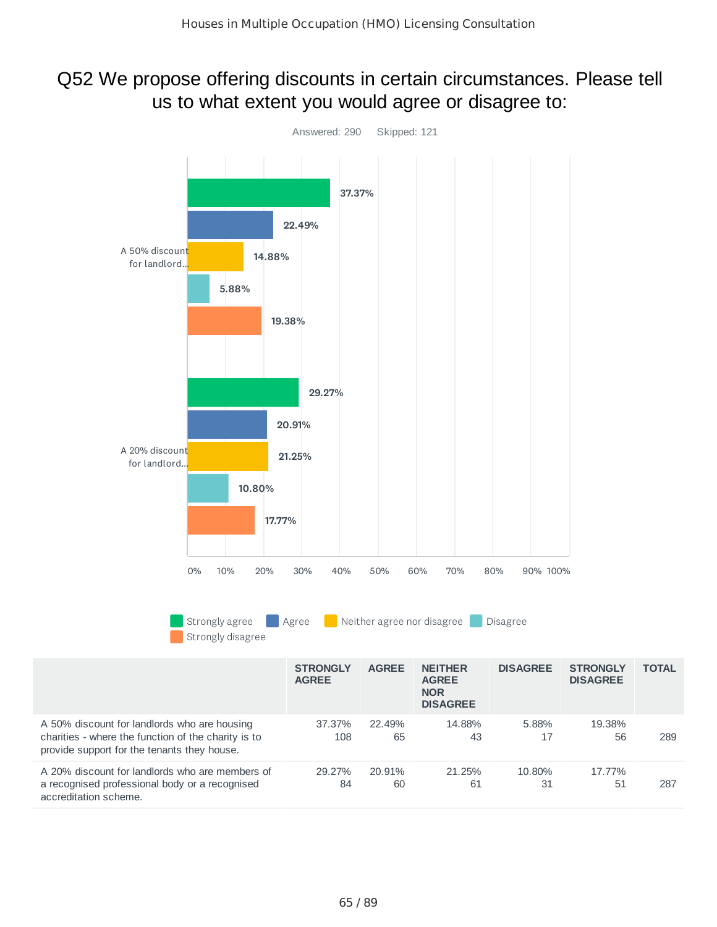#### Q52 We propose offering discounts in certain circumstances. Please tell us to what extent you would agree or disagree to:

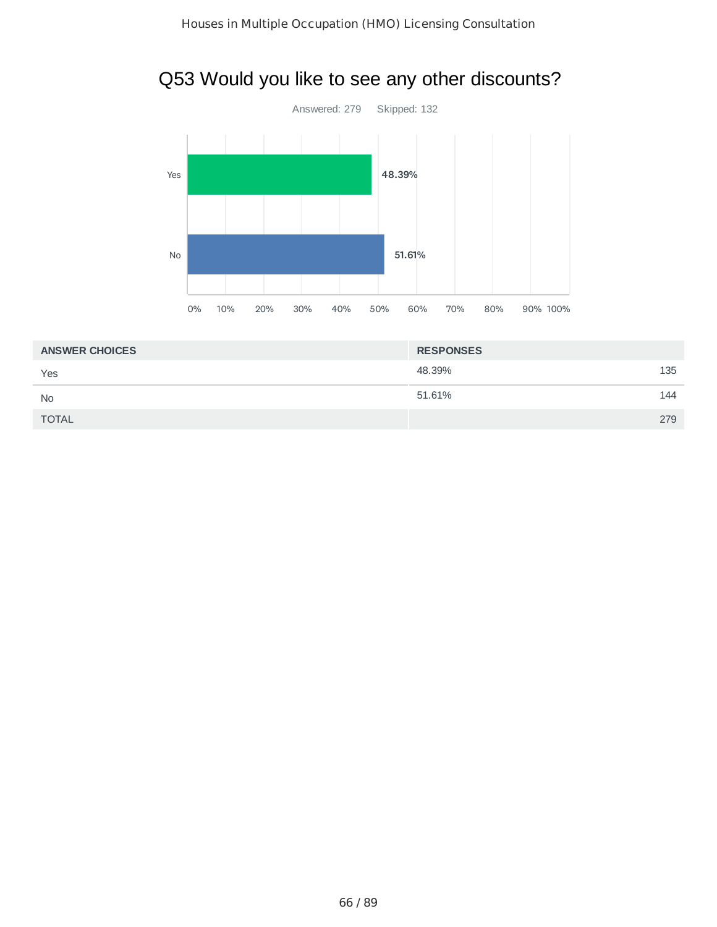## Q53 Would you like to see any other discounts?



| <b>ANSWER CHOICES</b> | <b>RESPONSES</b> |     |
|-----------------------|------------------|-----|
| Yes                   | 48.39%           | 135 |
| <b>No</b>             | 51.61%           | 144 |
| <b>TOTAL</b>          |                  | 279 |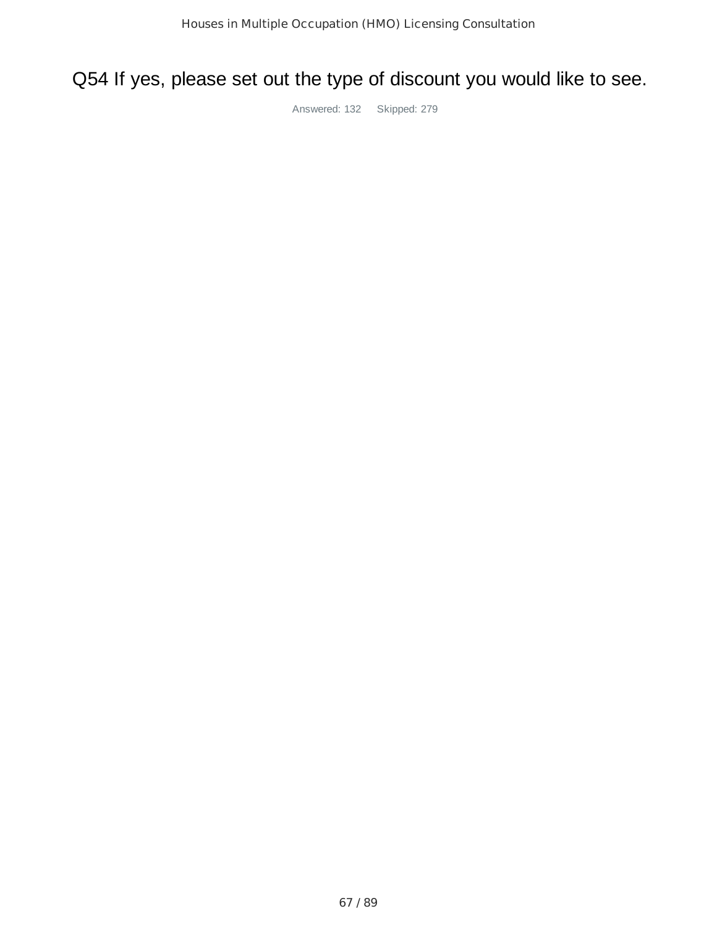## Q54 If yes, please set out the type of discount you would like to see.

Answered: 132 Skipped: 279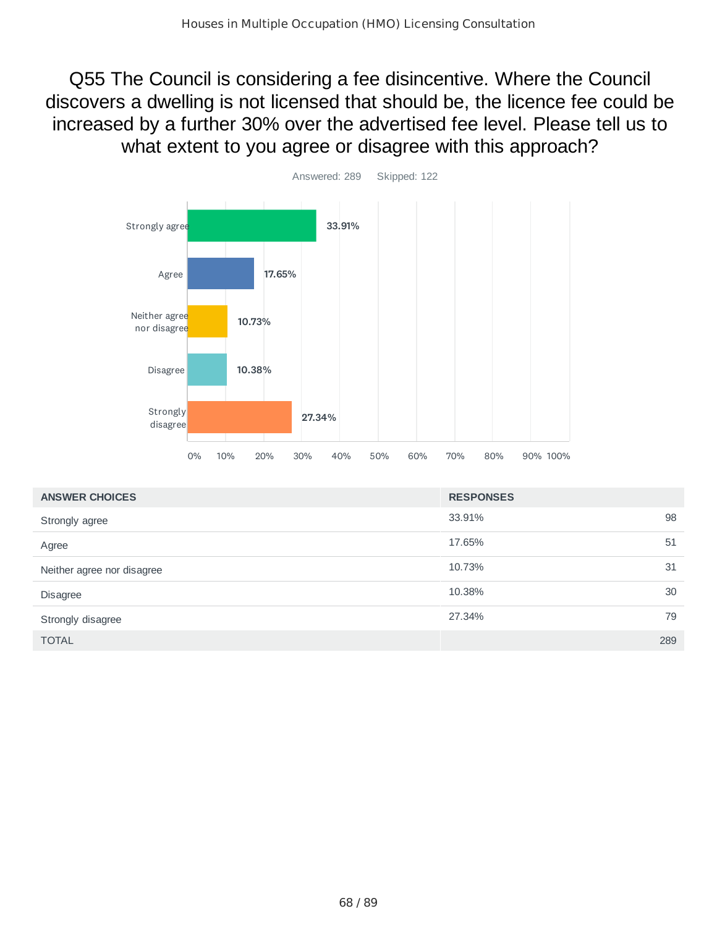Q55 The Council is considering a fee disincentive. Where the Council discovers a dwelling is not licensed that should be, the licence fee could be increased by a further 30% over the advertised fee level. Please tell us to what extent to you agree or disagree with this approach?



| <b>ANSWER CHOICES</b>      | <b>RESPONSES</b> |     |
|----------------------------|------------------|-----|
| Strongly agree             | 33.91%           | 98  |
| Agree                      | 17.65%           | 51  |
| Neither agree nor disagree | 10.73%           | 31  |
| <b>Disagree</b>            | 10.38%           | 30  |
| Strongly disagree          | 27.34%           | 79  |
| <b>TOTAL</b>               |                  | 289 |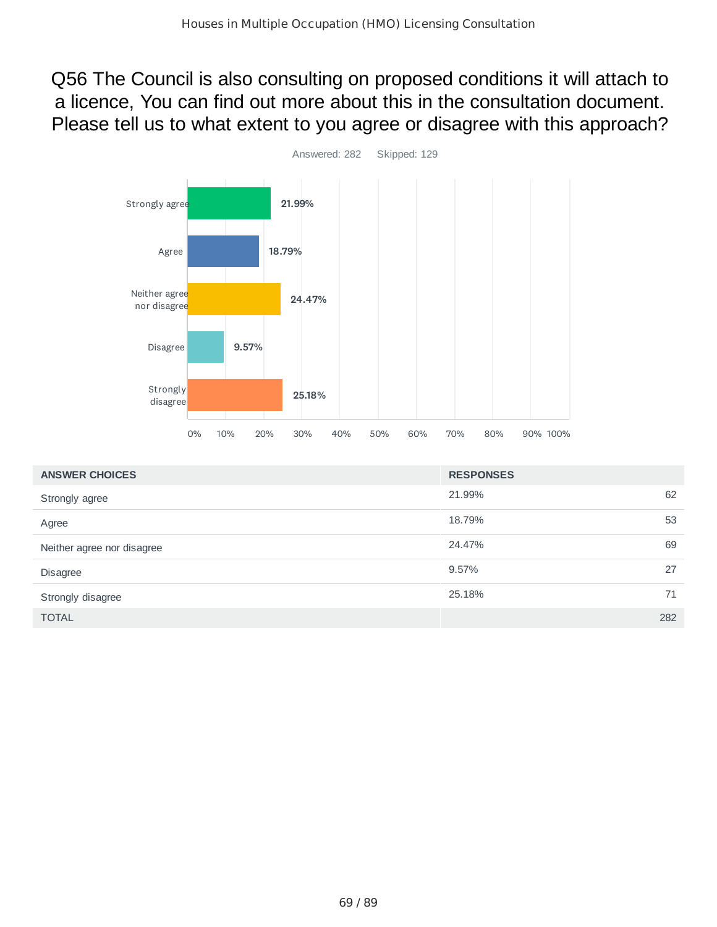Q56 The Council is also consulting on proposed conditions it will attach to a licence, You can find out more about this in the consultation document. Please tell us to what extent to you agree or disagree with this approach?



| <b>ANSWER CHOICES</b>      | <b>RESPONSES</b> |
|----------------------------|------------------|
| Strongly agree             | 62<br>21.99%     |
| Agree                      | 18.79%<br>53     |
| Neither agree nor disagree | 69<br>24.47%     |
| <b>Disagree</b>            | 27<br>9.57%      |
| Strongly disagree          | 71<br>25.18%     |
| <b>TOTAL</b>               | 282              |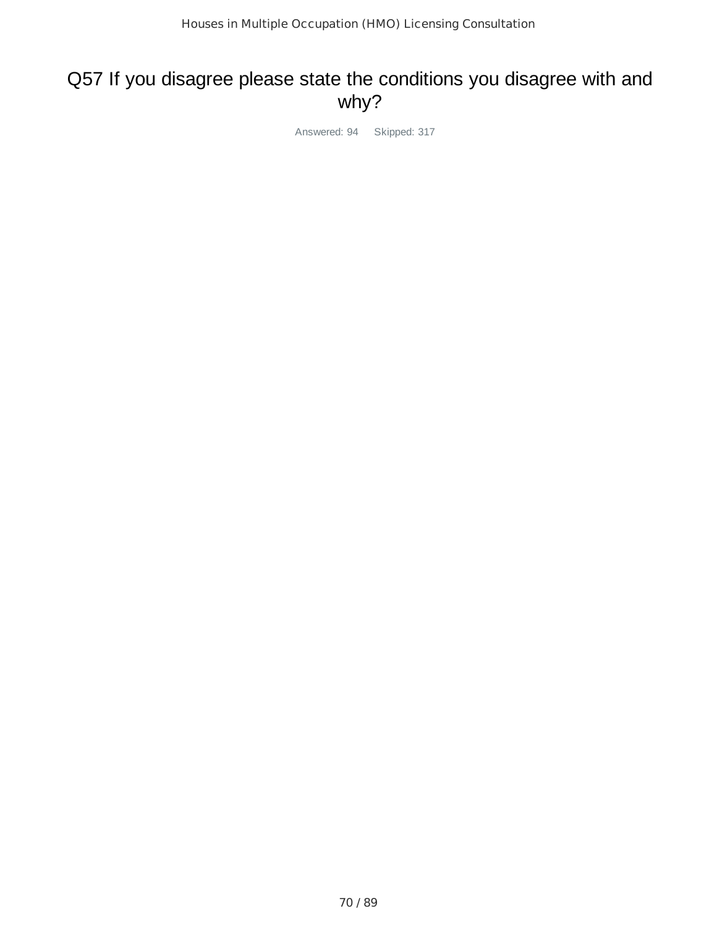#### Q57 If you disagree please state the conditions you disagree with and why?

Answered: 94 Skipped: 317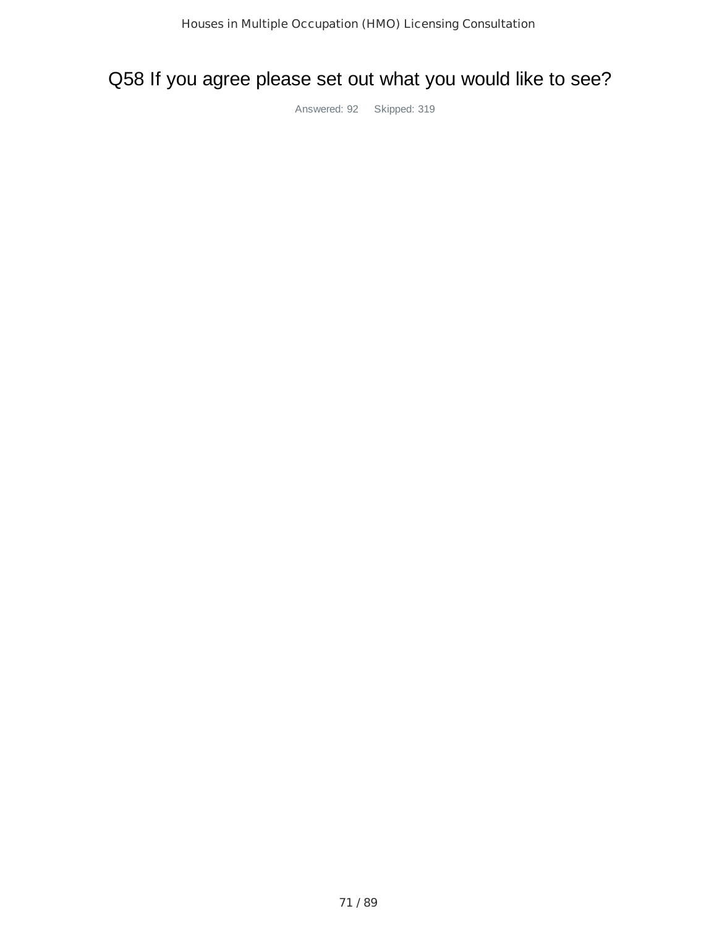## Q58 If you agree please set out what you would like to see?

Answered: 92 Skipped: 319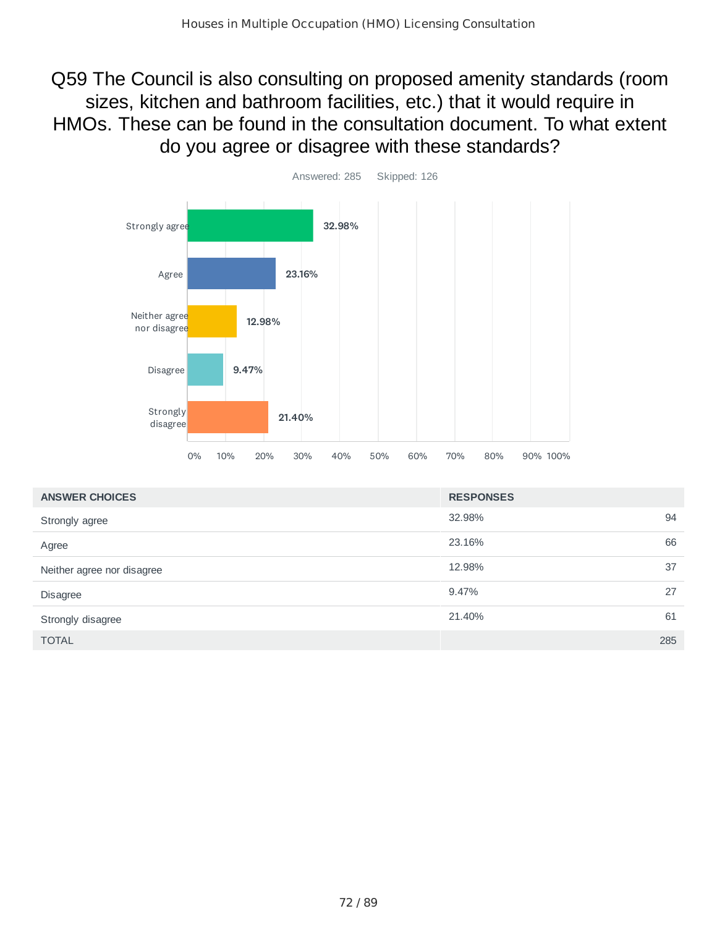Q59 The Council is also consulting on proposed amenity standards (room sizes, kitchen and bathroom facilities, etc.) that it would require in HMOs. These can be found in the consultation document. To what extent do you agree or disagree with these standards?



| <b>ANSWER CHOICES</b>      | <b>RESPONSES</b> |     |
|----------------------------|------------------|-----|
| Strongly agree             | 32.98%           | 94  |
| Agree                      | 23.16%           | 66  |
| Neither agree nor disagree | 12.98%           | 37  |
| <b>Disagree</b>            | 9.47%            | 27  |
| Strongly disagree          | 21.40%           | 61  |
| <b>TOTAL</b>               |                  | 285 |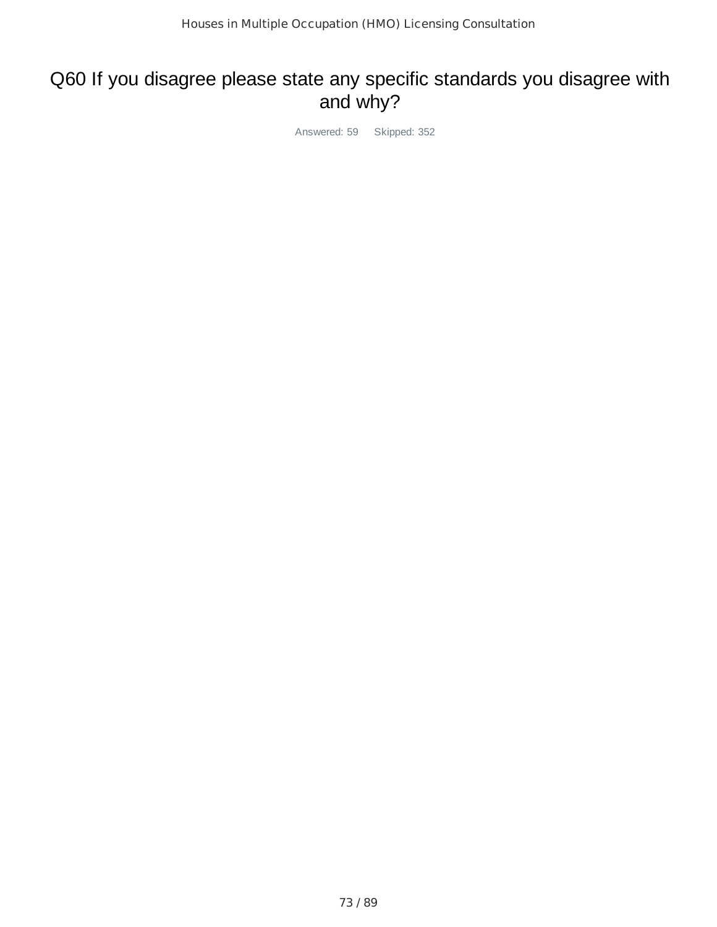## Q60 If you disagree please state any specific standards you disagree with and why?

Answered: 59 Skipped: 352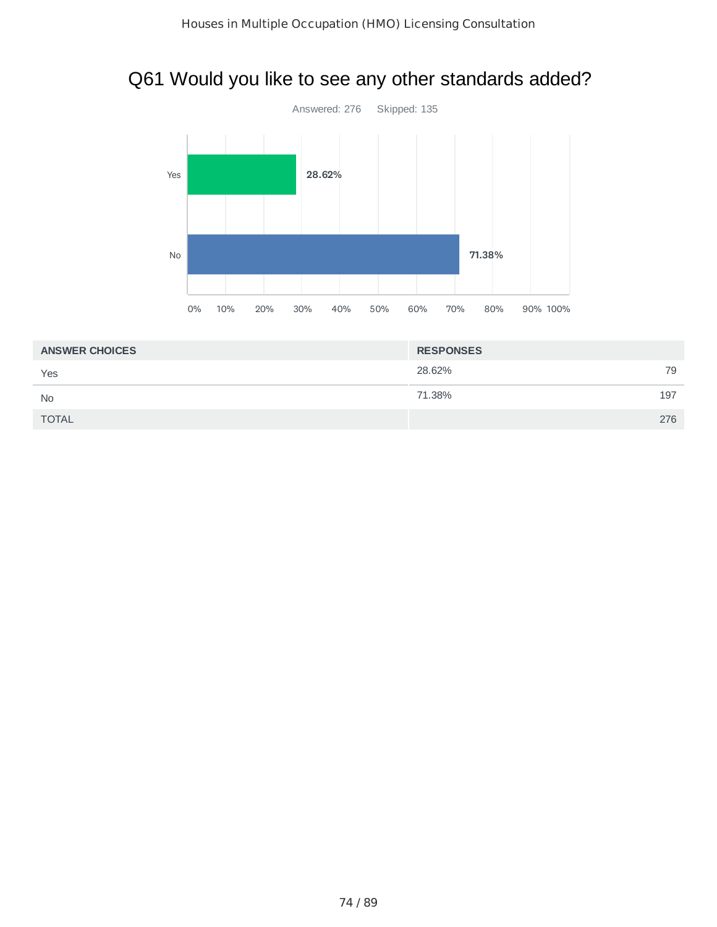## Q61 Would you like to see any other standards added?



| <b>ANSWER CHOICES</b> | <b>RESPONSES</b> |     |
|-----------------------|------------------|-----|
| Yes                   | 28.62%           | 79  |
| <b>No</b>             | 71.38%           | 197 |
| <b>TOTAL</b>          |                  | 276 |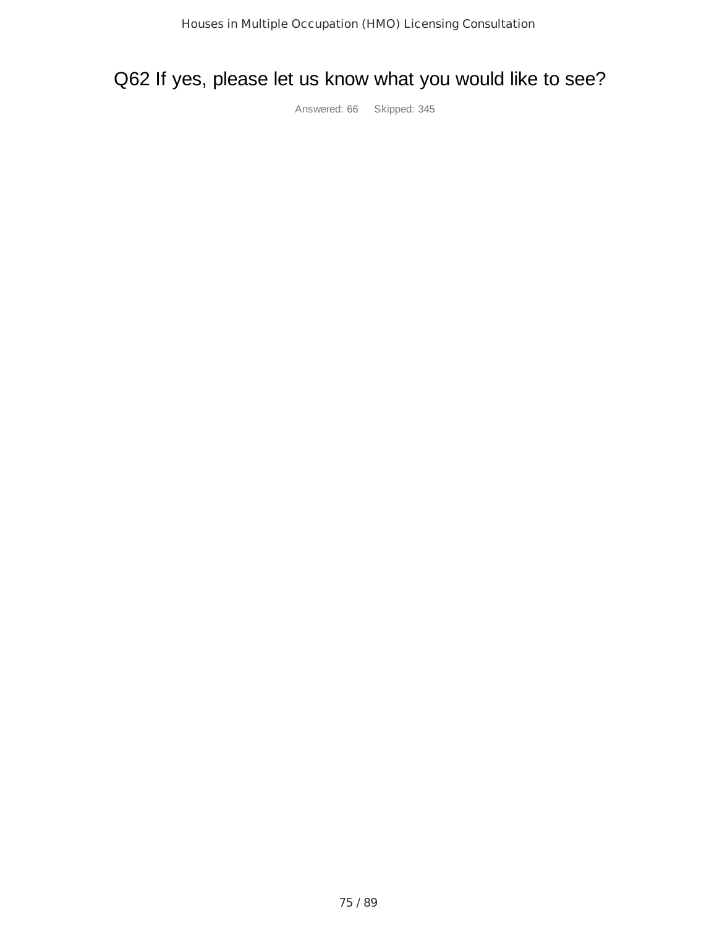## Q62 If yes, please let us know what you would like to see?

Answered: 66 Skipped: 345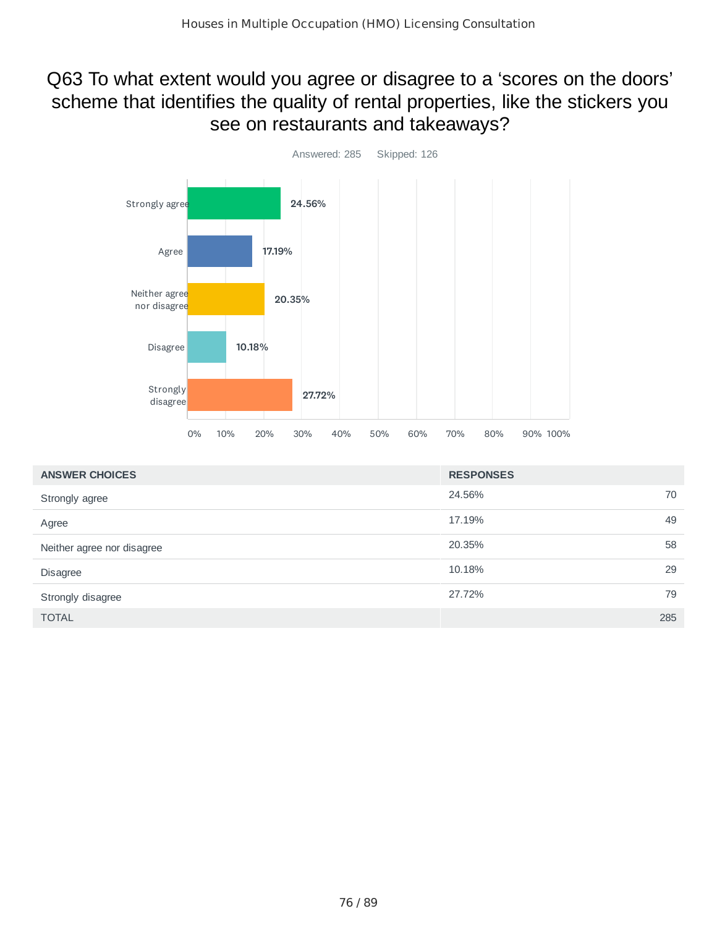## Q63 To what extent would you agree or disagree to a 'scores on the doors' scheme that identifies the quality of rental properties, like the stickers you see on restaurants and takeaways?



| <b>ANSWER CHOICES</b>      | <b>RESPONSES</b> |     |
|----------------------------|------------------|-----|
| Strongly agree             | 24.56%           | 70  |
| Agree                      | 17.19%           | 49  |
| Neither agree nor disagree | 20.35%           | 58  |
| <b>Disagree</b>            | 10.18%           | 29  |
| Strongly disagree          | 27.72%           | 79  |
| <b>TOTAL</b>               |                  | 285 |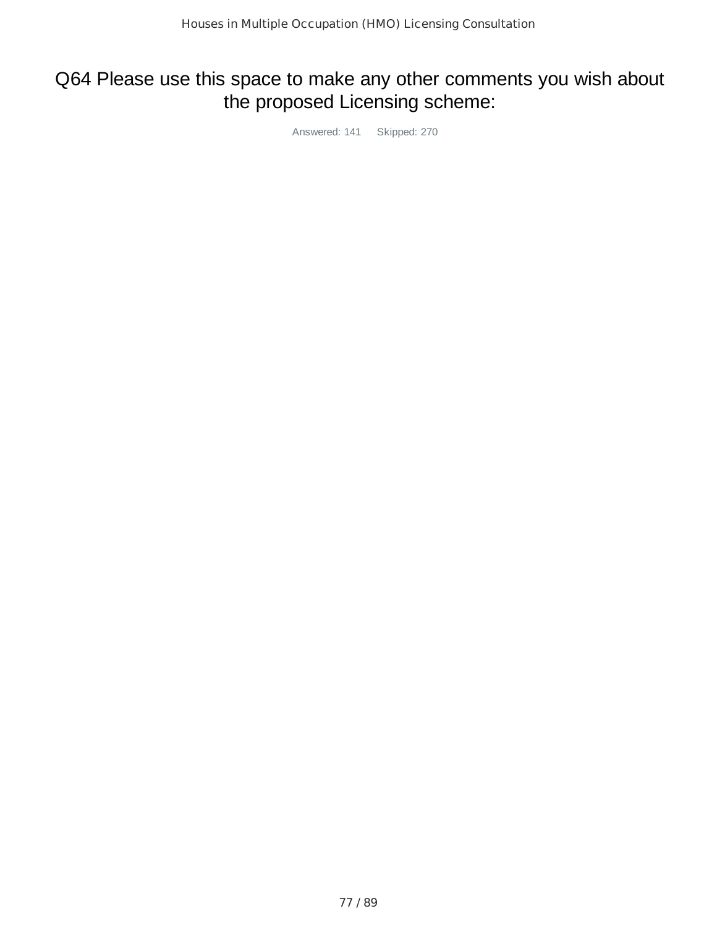## Q64 Please use this space to make any other comments you wish about the proposed Licensing scheme:

Answered: 141 Skipped: 270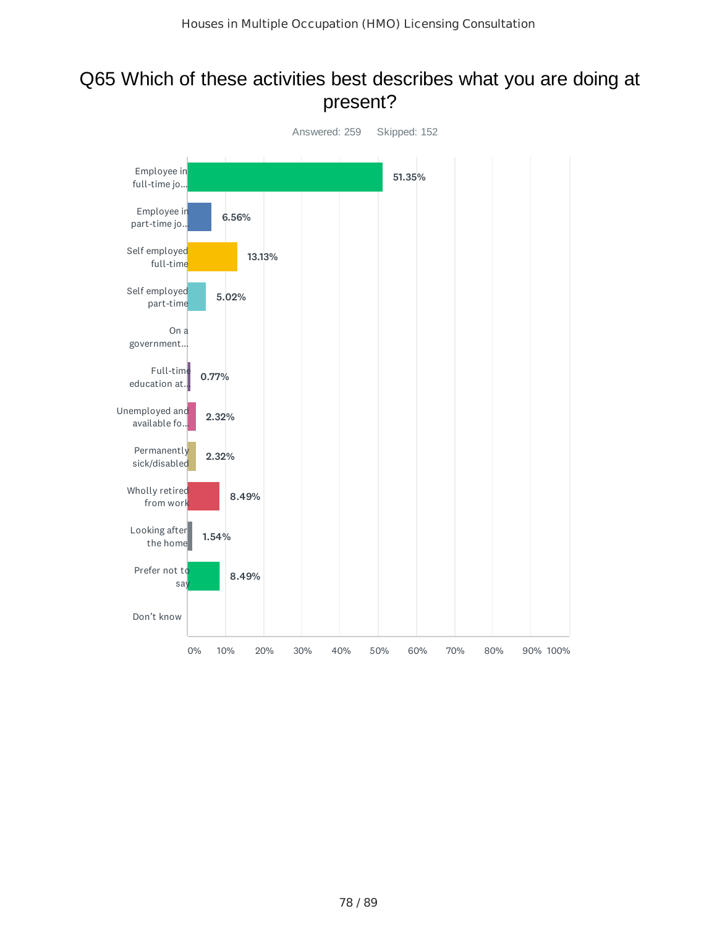### Q65 Which of these activities best describes what you are doing at present?

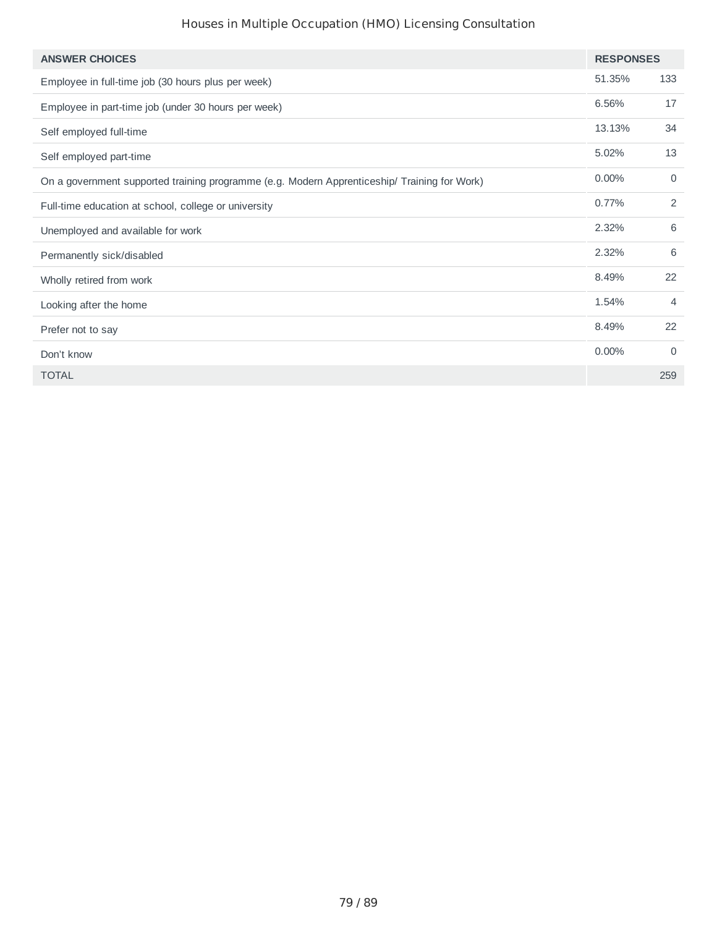#### Houses in Multiple Occupation (HMO) Licensing Consultation

| <b>ANSWER CHOICES</b>                                                                        | <b>RESPONSES</b> |                |
|----------------------------------------------------------------------------------------------|------------------|----------------|
| Employee in full-time job (30 hours plus per week)                                           | 51.35%           | 133            |
| Employee in part-time job (under 30 hours per week)                                          | 6.56%            | 17             |
| Self employed full-time                                                                      | 13.13%           | 34             |
| Self employed part-time                                                                      | 5.02%            | 13             |
| On a government supported training programme (e.g. Modern Apprenticeship/ Training for Work) | 0.00%            | $\mathbf 0$    |
| Full-time education at school, college or university                                         | 0.77%            | 2              |
| Unemployed and available for work                                                            | 2.32%            | 6              |
| Permanently sick/disabled                                                                    | 2.32%            | 6              |
| Wholly retired from work                                                                     | 8.49%            | 22             |
| Looking after the home                                                                       | 1.54%            | $\overline{4}$ |
| Prefer not to say                                                                            | 8.49%            | 22             |
| Don't know                                                                                   | 0.00%            | $\Omega$       |
| <b>TOTAL</b>                                                                                 |                  | 259            |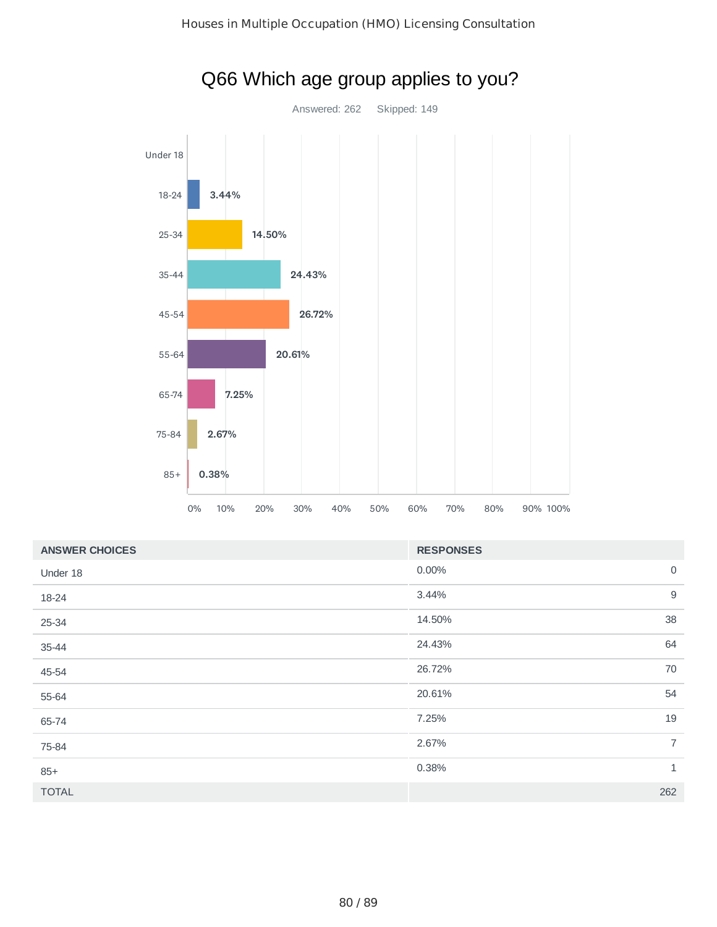

| $25 - 34$ | 14.50%                                                                    |
|-----------|---------------------------------------------------------------------------|
| $35 - 44$ | 24.43%                                                                    |
| 45-54     | 26.72%                                                                    |
| 55-64     | 20.61%                                                                    |
| 65-74     | 7.25%                                                                     |
| 75-84     | 2.67%                                                                     |
| $85+$     | 0.38%                                                                     |
|           | $0\%$<br>10%<br>20%<br>30%<br>40%<br>50%<br>70%<br>80%<br>90% 100%<br>60% |

# Q66 Which age group applies to you?

| <b>ANSWER CHOICES</b> | <b>RESPONSES</b>        |  |
|-----------------------|-------------------------|--|
| Under 18              | $\overline{0}$<br>0.00% |  |
| 18-24                 | $\mathsf 9$<br>3.44%    |  |
| 25-34                 | 38<br>14.50%            |  |
| 35-44                 | 64<br>24.43%            |  |
| 45-54                 | 70<br>26.72%            |  |
| 55-64                 | 54<br>20.61%            |  |
| 65-74                 | 19<br>7.25%             |  |
| 75-84                 | $\overline{7}$<br>2.67% |  |
| $85+$                 | $\mathbf{1}$<br>0.38%   |  |
| <b>TOTAL</b>          | 262                     |  |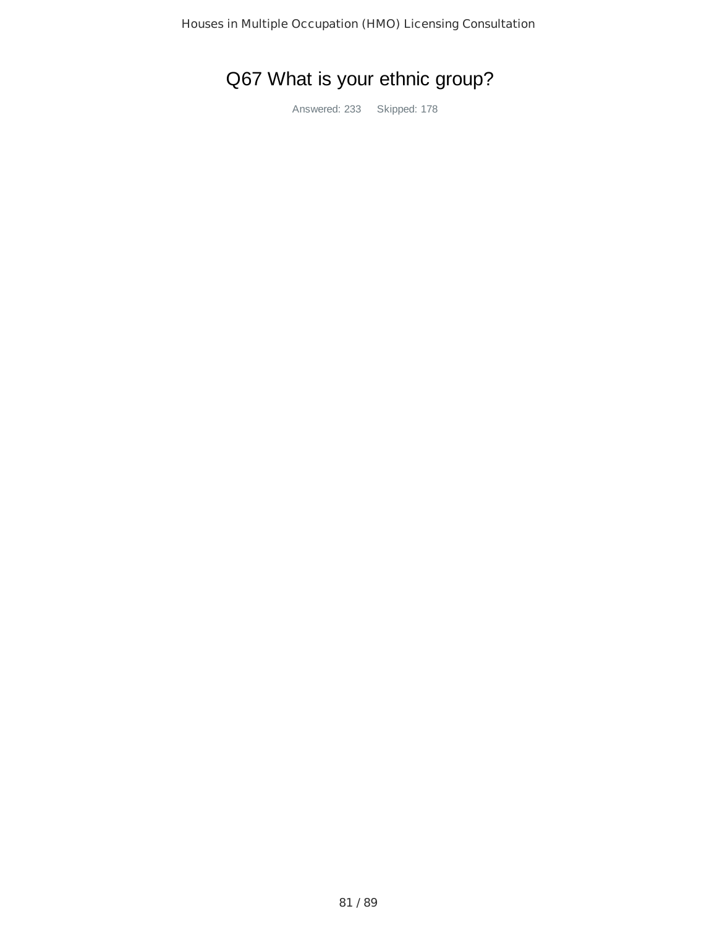# Q67 What is your ethnic group?

Answered: 233 Skipped: 178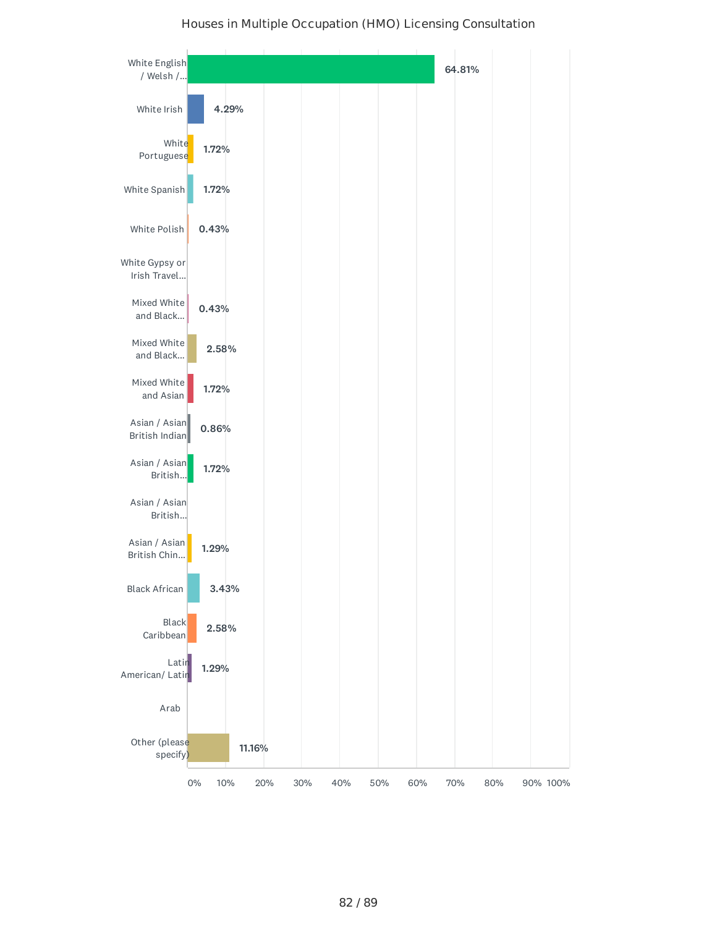

#### Houses in Multiple Occupation (HMO) Licensing Consultation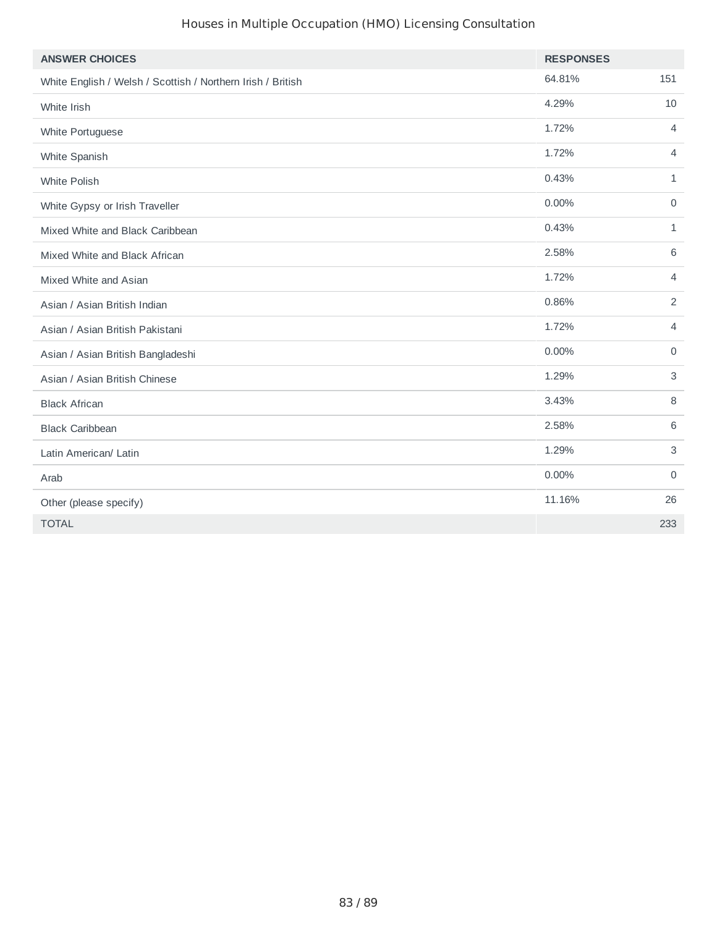#### Houses in Multiple Occupation (HMO) Licensing Consultation

| <b>ANSWER CHOICES</b>                                       | <b>RESPONSES</b> |                |
|-------------------------------------------------------------|------------------|----------------|
| White English / Welsh / Scottish / Northern Irish / British | 64.81%           | 151            |
| White Irish                                                 | 4.29%            | 10             |
| White Portuguese                                            | 1.72%            | $\overline{4}$ |
| White Spanish                                               | 1.72%            | $\overline{4}$ |
| White Polish                                                | 0.43%            | $\mathbf{1}$   |
| White Gypsy or Irish Traveller                              | $0.00\%$         | $\mathbf 0$    |
| Mixed White and Black Caribbean                             | 0.43%            | $\mathbf{1}$   |
| Mixed White and Black African                               | 2.58%            | 6              |
| Mixed White and Asian                                       | 1.72%            | $\overline{4}$ |
| Asian / Asian British Indian                                | 0.86%            | 2              |
| Asian / Asian British Pakistani                             | 1.72%            | $\overline{4}$ |
| Asian / Asian British Bangladeshi                           | 0.00%            | $\mathbf 0$    |
| Asian / Asian British Chinese                               | 1.29%            | 3              |
| <b>Black African</b>                                        | 3.43%            | 8              |
| <b>Black Caribbean</b>                                      | 2.58%            | 6              |
| Latin American/ Latin                                       | 1.29%            | 3              |
| Arab                                                        | 0.00%            | $\mathbf 0$    |
| Other (please specify)                                      | 11.16%           | 26             |
| <b>TOTAL</b>                                                |                  | 233            |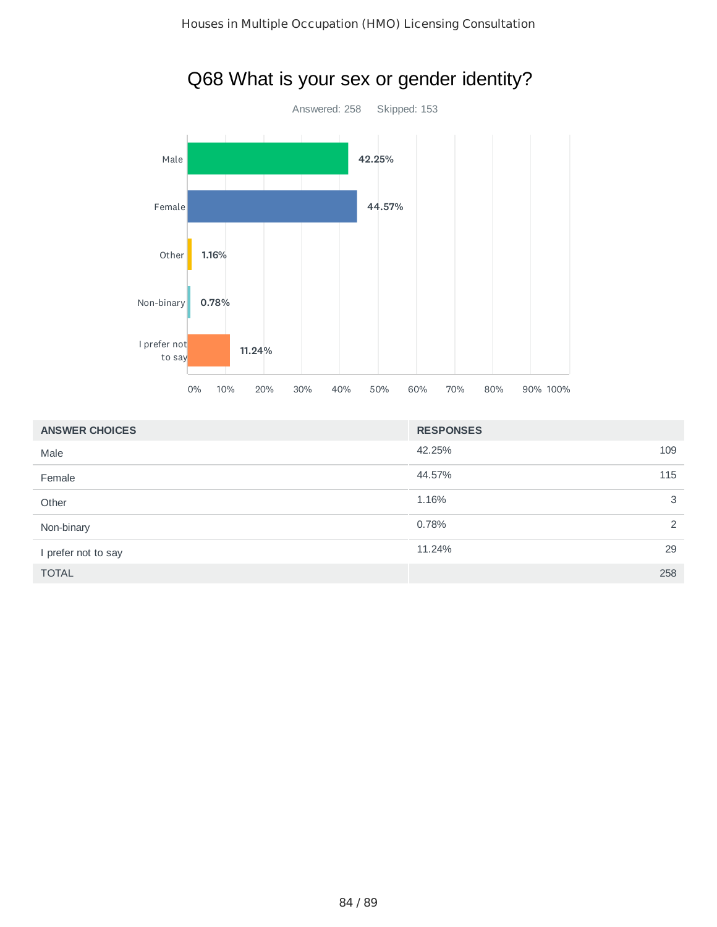

| Q68 What is your sex or gender identity? |  |  |
|------------------------------------------|--|--|
|                                          |  |  |

| <b>ANSWER CHOICES</b> | <b>RESPONSES</b> |    |
|-----------------------|------------------|----|
| Male                  | 42.25%<br>109    |    |
| Female                | 44.57%<br>115    |    |
| Other                 | 1.16%            | 3  |
| Non-binary            | 0.78%            | 2  |
| I prefer not to say   | 11.24%           | 29 |
| <b>TOTAL</b>          | 258              |    |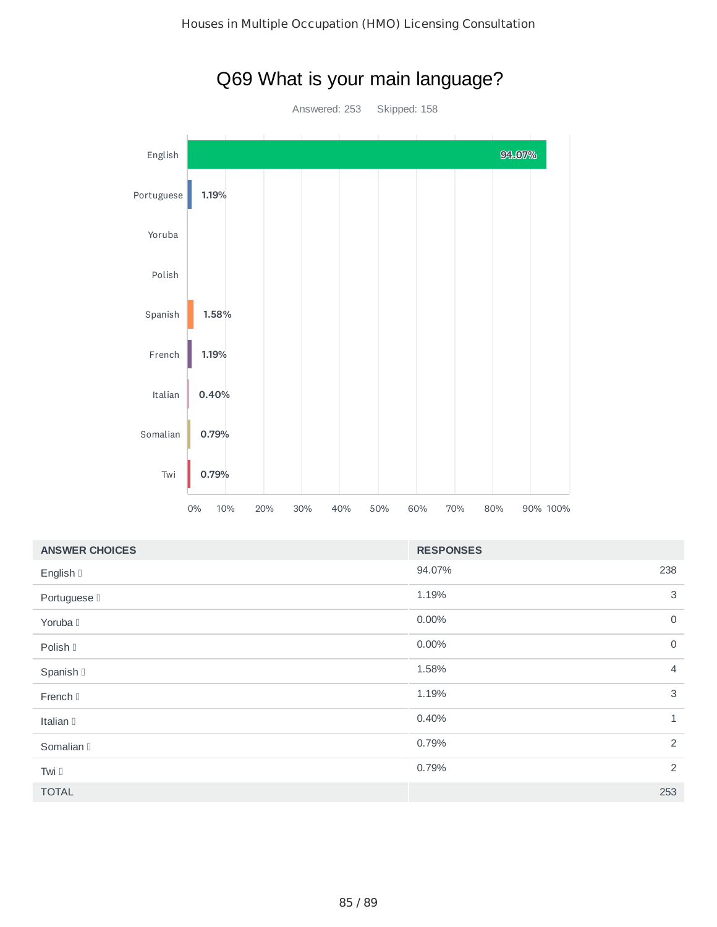

| <b>ANSWER CHOICES</b> | <b>RESPONSES</b> |                |
|-----------------------|------------------|----------------|
| English I             | 94.07%           | 238            |
| Portuguese D          | 1.19%            | 3              |
| Yoruba I              | 0.00%            | $\mathbf 0$    |
| Polish I              | 0.00%            | $\mathsf{O}$   |
| Spanish II            | 1.58%            | $\overline{4}$ |
| French [              | 1.19%            | $\mathbf{3}$   |
| Italian I             | 0.40%            | $\mathbf{1}$   |
| Somalian II           | 0.79%            | 2              |
| Twi D                 | 0.79%            | $\overline{2}$ |
| <b>TOTAL</b>          |                  | 253            |

# Q69 What is your main language?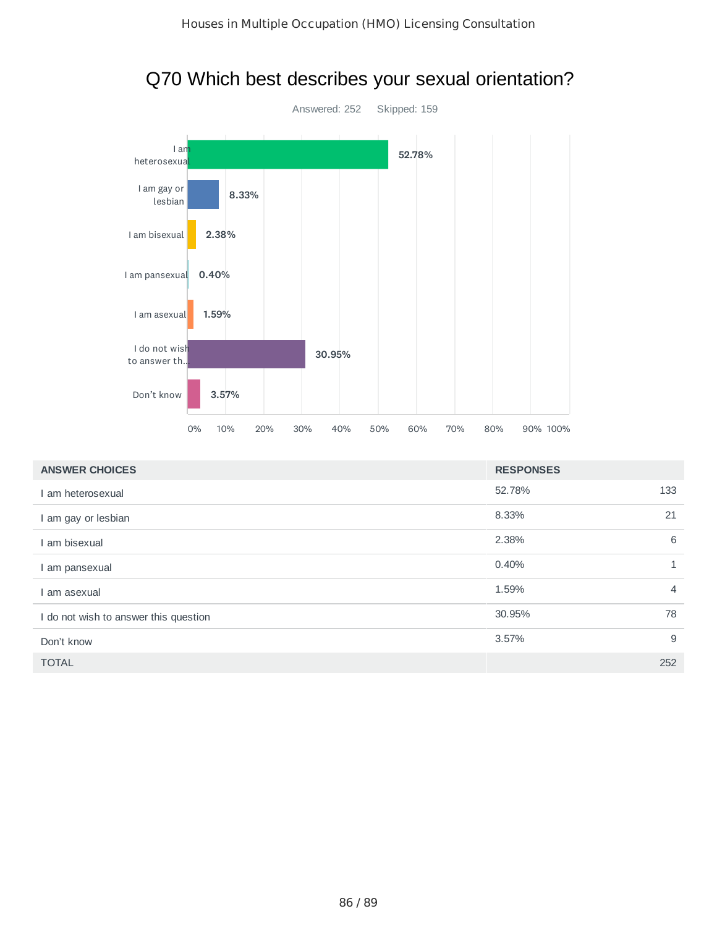

| Q70 Which best describes your sexual orientation? |  |
|---------------------------------------------------|--|
|---------------------------------------------------|--|

| <b>ANSWER CHOICES</b>                 | <b>RESPONSES</b> |                |
|---------------------------------------|------------------|----------------|
| I am heterosexual                     | 52.78%           | 133            |
| I am gay or lesbian                   | 8.33%            | 21             |
| am bisexual                           | 2.38%            | 6              |
| I am pansexual                        | 0.40%            | 1              |
| am asexual                            | 1.59%            | $\overline{4}$ |
| I do not wish to answer this question | 30.95%           | 78             |
| Don't know                            | 3.57%            | 9              |
| <b>TOTAL</b>                          |                  | 252            |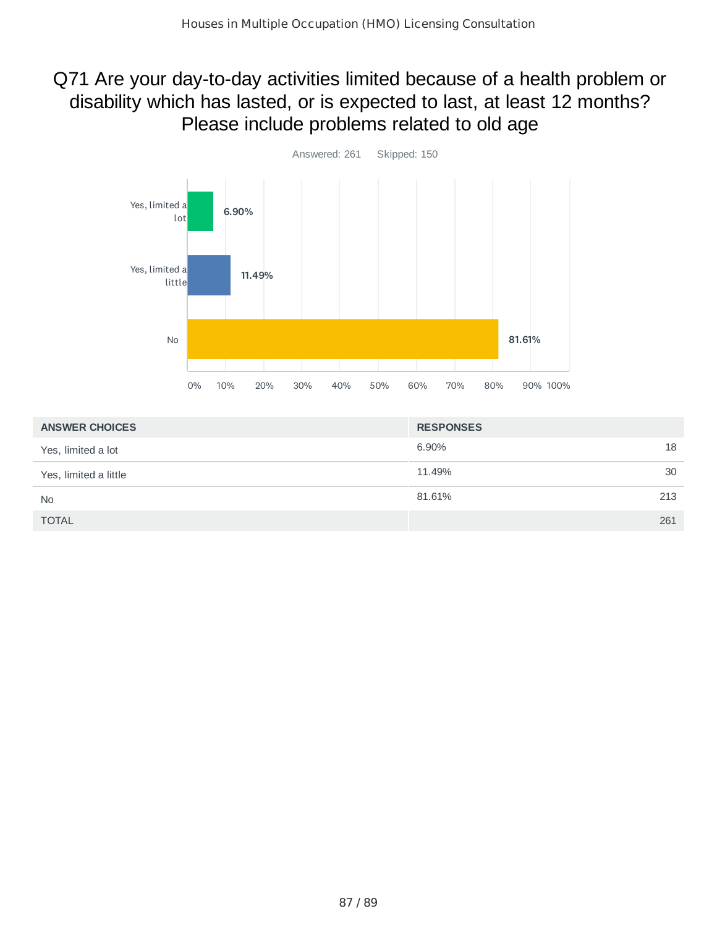## Q71 Are your day-to-day activities limited because of a health problem or disability which has lasted, or is expected to last, at least 12 months? Please include problems related to old age



| <b>ANSWER CHOICES</b> | <b>RESPONSES</b> |    |
|-----------------------|------------------|----|
| Yes, limited a lot    | 6.90%            | 18 |
| Yes, limited a little | 11.49%           | 30 |
| <b>No</b>             | 81.61%<br>213    |    |
| <b>TOTAL</b>          | 261              |    |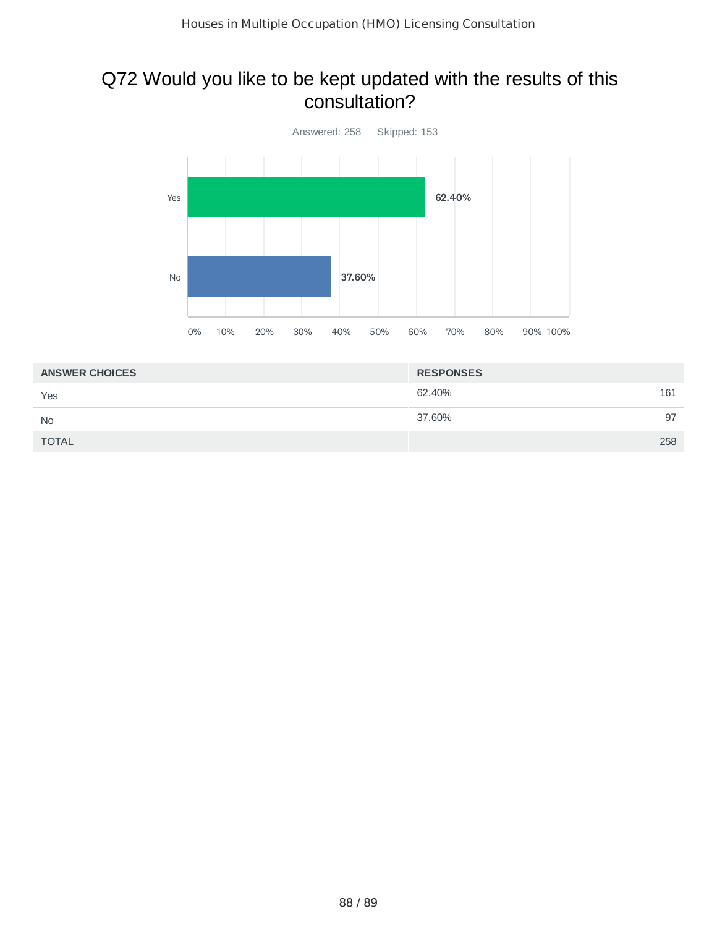### Q72 Would you like to be kept updated with the results of this consultation?



| <b>ANSWER CHOICES</b> | <b>RESPONSES</b> |     |
|-----------------------|------------------|-----|
| Yes                   | 62.40%           | 161 |
| <b>No</b>             | 37.60%           | 97  |
| <b>TOTAL</b>          |                  | 258 |